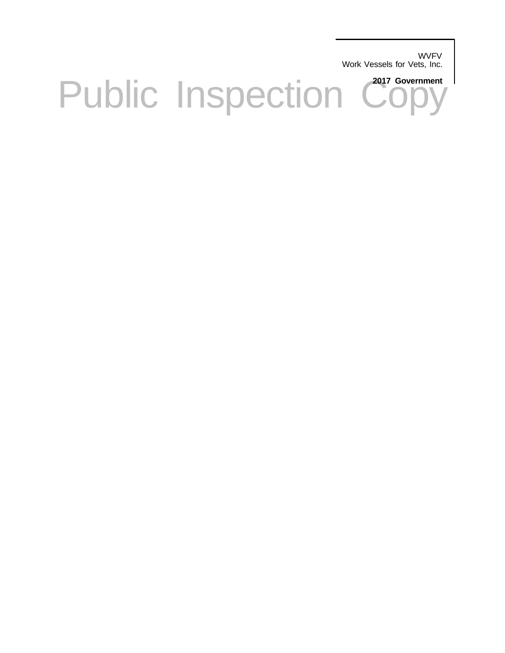**WVFV** Work Vessels for Vets, Inc.

Public Inspection Copy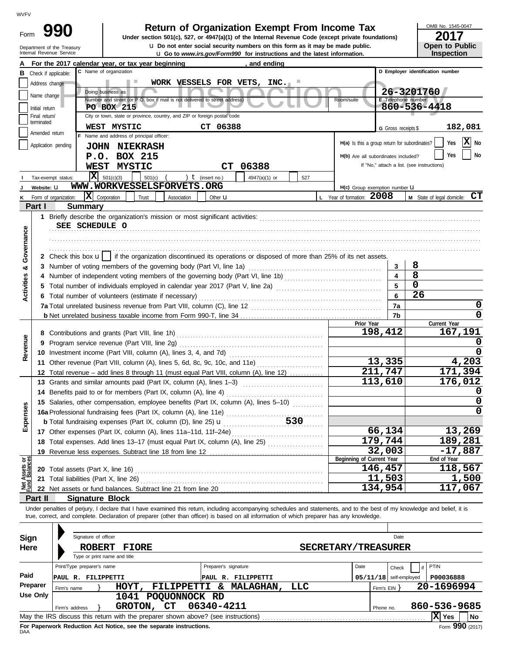| Form | 990                        |
|------|----------------------------|
|      | Department of the Treasury |

Check if applicable:

Application pending

Tax-exempt status: **Website:** u Form of organization:

**Part I Summary**

Amended return terminated

**I J K** Initial return Name change Address change

Final return/

Internal Revenue Service **Latest information. Latest information is a very service in the latest information. u** Do not enter social security numbers on this form as it may be made public. **990 1990 2017 2018 Depend of Organization Exempt From Income Tax 2017** 

NORK VESSELS FOR VETS, INC.<br>
Doing business as<br>
Number and street (or P.O. box if mail is not delivered to street address)<br>
PO BOX 215<br>
City of town of the or province country and 7<sup>1</sup> or foreign posts code.<br>
City of town

 $\overline{\mathbf{X}}$  Corporation Trust Association Other **u L** Year of formation: **2008 M** State of legal domicile:  $\mathbf{CT}$ 

**B** Check if annicable: **C** Name of organization **C D Employer identification number** 

Number and street (or P.O. box if mail is not delivered to street address) Room Room Room

**WORK VESSELS FOR VETS, INC.**

 $\begin{array}{|c|c|c|c|c|}\n\hline\n501(c) & ( & ) & \textbf{t} \text{ (insert no.)} & 4947(a)(1) & \text{or} & 527\n\end{array}$ 

OMB No. 1545-0047

| ZU I 1                |
|-----------------------|
| <b>Open to Public</b> |
| <b>Inspection</b>     |

**Y**es **X** No Yes | No

**182,081**

G Gross receipts \$

**26-3201760 860-536-4418**

If "No," attach a list. (see instructions)

**E** Telephone

**H(a)** Is this a group return for subordinates? **H(b)** Are all subordinates included?

H(c) Group exemption number **U** 

. . . . . . . . . . . . . . . . . . . . . . . . . . . . . . . . . . . . . . . . . . . . . . . . . . . . . . . . . . . . . . . . . . . . . . . . . . . . . . . .

**1** Briefly describe the organization's mission or most significant activities: . . . . . . . . . . . . . . . . . . . . . . . . . . . . . . . . . . . . . . . . . . . . . . . . . . . . . . . . . . . . . . . . . . . . . . . . . . . . . . . . . . . . . . . . . . . . . . . . . . . . . . . . . . . . . . . . . . . . . . . . . . . . . . . . . . . . . . . . . . . . . . . . . . . . . . . . . . . . **SEE SCHEDULE O**

**WWW.WORKVESSELSFORVETS.ORG**

Name and address of principal officer:

**JOHN NIEKRASH P.O. BOX 215**

**For the 2017 calendar year, or tax year beginning A , and ending**

C Name of organization

Doing business as

**PO BOX 215**

 $\overline{\mathbf{X}}$  501(c)(3)

City or town, state or province, country, and ZIP or foreign postal code

**WEST MYSTIC CT 06388**

**WEST MYSTIC CT 06388**

| Governance                     |          |                                                                                                                                                                                      |                         |                          |
|--------------------------------|----------|--------------------------------------------------------------------------------------------------------------------------------------------------------------------------------------|-------------------------|--------------------------|
|                                |          | 2 Check this box $\mathbf{u}$ if the organization discontinued its operations or disposed of more than 25% of its net assets.                                                        |                         |                          |
| ಯ                              |          | 3 Number of voting members of the governing body (Part VI, line 1a) [1] [2] Number of voting members of the governing body (Part VI, line 1a)                                        | 3                       | 8                        |
|                                |          |                                                                                                                                                                                      | $\overline{\mathbf{A}}$ | 8                        |
| <b>Activities</b>              |          | 5 Total number of individuals employed in calendar year 2017 (Part V, line 2a) [11] [20] [11] [11] [11] Total number of individuals employed in calendar year 2017 (Part V, line 2a) | 5                       | $\overline{\mathbf{0}}$  |
|                                |          | 6 Total number of volunteers (estimate if necessary)                                                                                                                                 | 6                       | 26                       |
|                                |          |                                                                                                                                                                                      | 7a                      | 0                        |
|                                |          |                                                                                                                                                                                      | 7b                      | 0                        |
|                                |          | Prior Year                                                                                                                                                                           |                         | Current Year             |
|                                |          | 198,412                                                                                                                                                                              |                         | 167,191                  |
| Revenue                        |          | 9 Program service revenue (Part VIII, line 2g)                                                                                                                                       |                         |                          |
|                                |          |                                                                                                                                                                                      |                         |                          |
|                                |          | 13,335<br>11 Other revenue (Part VIII, column (A), lines 5, 6d, 8c, 9c, 10c, and 11e)                                                                                                |                         | 4,203                    |
|                                |          | $\overline{211,747}$<br>12 Total revenue - add lines 8 through 11 (must equal Part VIII, column (A), line 12)                                                                        |                         | 171,394                  |
|                                |          | 113,610<br>13 Grants and similar amounts paid (Part IX, column (A), lines 1-3)                                                                                                       |                         | 176,012                  |
|                                |          |                                                                                                                                                                                      |                         |                          |
|                                |          | 15 Salaries, other compensation, employee benefits (Part IX, column (A), lines 5-10)                                                                                                 |                         | 0                        |
|                                |          | 16a Professional fundraising fees (Part IX, column (A), line 11e)                                                                                                                    |                         | 0                        |
| Expenses                       |          |                                                                                                                                                                                      |                         |                          |
|                                |          | 66,134                                                                                                                                                                               |                         | 13,269                   |
|                                |          | 179,744<br>18 Total expenses. Add lines 13-17 (must equal Part IX, column (A), line 25)                                                                                              |                         | 189,281                  |
|                                |          | 32,003                                                                                                                                                                               |                         | $-17,887$                |
|                                |          | Beginning of Current Year                                                                                                                                                            |                         | End of Year              |
|                                |          | 146,457<br>20 Total assets (Part X, line 16)                                                                                                                                         |                         | 118,567                  |
|                                |          | 11,503                                                                                                                                                                               |                         | 1,500                    |
| Net Assets or<br>Fund Balances |          | 134,954                                                                                                                                                                              |                         | 117,067                  |
|                                | Part II  | <b>Signature Block</b>                                                                                                                                                               |                         |                          |
|                                |          | Under penalties of perjury, I declare that I have examined this return, including accompanying schedules and statements, and to the best of my knowledge and belief, it is           |                         |                          |
|                                |          | true, correct, and complete. Declaration of preparer (other than officer) is based on all information of which preparer has any knowledge.                                           |                         |                          |
|                                |          |                                                                                                                                                                                      |                         |                          |
| Sign                           |          | Signature of officer                                                                                                                                                                 | Date                    |                          |
| Here                           |          | <b>ROBERT</b><br><b>SECRETARY/TREASURER</b><br><b>FIORE</b>                                                                                                                          |                         |                          |
|                                |          | Type or print name and title                                                                                                                                                         |                         |                          |
|                                |          | Print/Type preparer's name<br>Preparer's signature<br>Date                                                                                                                           | Check                   | PTIN                     |
| Paid                           |          | $05/11/18$ self-employed<br>PAUL R. FILIPPETTI<br>PAUL R. FILIPPETTI                                                                                                                 |                         | P00036888                |
| Preparer                       |          | HOYT, FILIPPETTI & MALAGHAN,<br><b>LLC</b><br>Firm's name                                                                                                                            | Firm's $EIN$ }          | 20-1696994               |
|                                | Use Only | 1041 POQUONNOCK RD                                                                                                                                                                   |                         |                          |
|                                |          | 06340-4211<br>GROTON, CT<br>Firm's address<br>Phone no.                                                                                                                              |                         | 860-536-9685             |
|                                |          | May the IRS discuss this return with the preparer shown above? (see instructions)                                                                                                    |                         | $ \mathbf{X} $ Yes<br>No |

| Sign                                                                                                         |                | Signature of officer                          |                |               |  |            |                      |                            |      |              | Date          |              |  |
|--------------------------------------------------------------------------------------------------------------|----------------|-----------------------------------------------|----------------|---------------|--|------------|----------------------|----------------------------|------|--------------|---------------|--------------|--|
| Here                                                                                                         |                | <b>ROBERT</b><br>Type or print name and title | <b>FIORE</b>   |               |  |            |                      | <b>SECRETARY/TREASURER</b> |      |              |               |              |  |
|                                                                                                              |                | Print/Type preparer's name                    |                |               |  |            | Preparer's signature |                            | Date |              | Check         | PTIN         |  |
| Paid                                                                                                         | PAUL R.        | FILIPPETTI                                    |                |               |  | IPAUL.     | FILIPPETTI<br>R.     |                            |      | 05/11/18     | self-employed | P00036888    |  |
| Preparer                                                                                                     | Firm's name    |                                               | HOYT,          | FILIPPETTI    |  | δz         | <b>MALAGHAN,</b>     | LLC                        |      | Firm's $EIN$ |               | 20-1696994   |  |
| Use Only                                                                                                     |                |                                               | 1041           | POQUONNOCK RD |  |            |                      |                            |      |              |               |              |  |
|                                                                                                              | Firm's address |                                               | <b>GROTON,</b> | <b>CT</b>     |  | 06340-4211 |                      |                            |      | Phone no.    |               | 860-536-9685 |  |
| IXI<br><b>No</b><br>May the IRS discuss this return with the preparer shown above? (see instructions)<br>Yes |                |                                               |                |               |  |            |                      |                            |      |              |               |              |  |
| Form 990 (2017)<br>For Paperwork Reduction Act Notice, see the separate instructions.<br>DAA                 |                |                                               |                |               |  |            |                      |                            |      |              |               |              |  |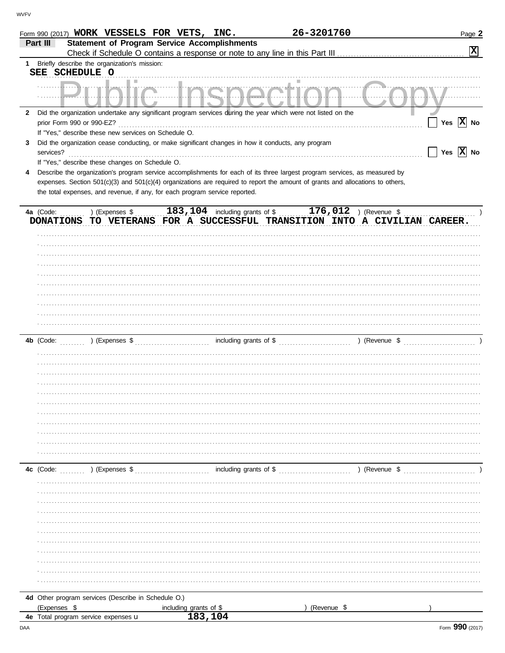|              |                           |                                                      | Form 990 (2017) WORK VESSELS FOR VETS, INC.                                                        | 26-3201760                                                                                                                                                                                                                                                   | Page 2                                                                    |
|--------------|---------------------------|------------------------------------------------------|----------------------------------------------------------------------------------------------------|--------------------------------------------------------------------------------------------------------------------------------------------------------------------------------------------------------------------------------------------------------------|---------------------------------------------------------------------------|
|              | Part III                  |                                                      | <b>Statement of Program Service Accomplishments</b>                                                |                                                                                                                                                                                                                                                              |                                                                           |
|              |                           |                                                      |                                                                                                    |                                                                                                                                                                                                                                                              | $\boxed{\mathbf{X}}$                                                      |
|              |                           | 1 Briefly describe the organization's mission:       |                                                                                                    |                                                                                                                                                                                                                                                              |                                                                           |
|              | SEE SCHEDULE O            |                                                      |                                                                                                    |                                                                                                                                                                                                                                                              |                                                                           |
|              |                           |                                                      |                                                                                                    | <u>ulalim Ingnantinn Conv</u>                                                                                                                                                                                                                                |                                                                           |
|              |                           |                                                      |                                                                                                    |                                                                                                                                                                                                                                                              |                                                                           |
| $\mathbf{2}$ |                           |                                                      |                                                                                                    | Did the organization undertake any significant program services during the year which were not listed on the                                                                                                                                                 |                                                                           |
|              | prior Form 990 or 990-EZ? |                                                      |                                                                                                    |                                                                                                                                                                                                                                                              | Yes $\overline{X}$ No                                                     |
|              |                           | If "Yes," describe these new services on Schedule O. |                                                                                                    |                                                                                                                                                                                                                                                              |                                                                           |
| 3            |                           |                                                      | Did the organization cease conducting, or make significant changes in how it conducts, any program |                                                                                                                                                                                                                                                              |                                                                           |
|              | services?                 |                                                      |                                                                                                    |                                                                                                                                                                                                                                                              | Yes $\overline{X}$ No                                                     |
|              |                           | If "Yes," describe these changes on Schedule O.      |                                                                                                    |                                                                                                                                                                                                                                                              |                                                                           |
| 4            |                           |                                                      |                                                                                                    | Describe the organization's program service accomplishments for each of its three largest program services, as measured by<br>expenses. Section 501(c)(3) and 501(c)(4) organizations are required to report the amount of grants and allocations to others, |                                                                           |
|              |                           |                                                      | the total expenses, and revenue, if any, for each program service reported.                        |                                                                                                                                                                                                                                                              |                                                                           |
|              |                           |                                                      |                                                                                                    |                                                                                                                                                                                                                                                              |                                                                           |
|              | 4a (Code:                 |                                                      |                                                                                                    | ) (Expenses $\frac{183,104}{\sqrt{104}}$ including grants of \$ 176,012 ) (Revenue \$                                                                                                                                                                        |                                                                           |
|              |                           |                                                      |                                                                                                    |                                                                                                                                                                                                                                                              | DONATIONS TO VETERANS FOR A SUCCESSFUL TRANSITION INTO A CIVILIAN CAREER. |
|              |                           |                                                      |                                                                                                    |                                                                                                                                                                                                                                                              |                                                                           |
|              |                           |                                                      |                                                                                                    |                                                                                                                                                                                                                                                              |                                                                           |
|              |                           |                                                      |                                                                                                    |                                                                                                                                                                                                                                                              |                                                                           |
|              |                           |                                                      |                                                                                                    |                                                                                                                                                                                                                                                              |                                                                           |
|              |                           |                                                      |                                                                                                    |                                                                                                                                                                                                                                                              |                                                                           |
|              |                           |                                                      |                                                                                                    |                                                                                                                                                                                                                                                              |                                                                           |
|              |                           |                                                      |                                                                                                    |                                                                                                                                                                                                                                                              |                                                                           |
|              |                           |                                                      |                                                                                                    |                                                                                                                                                                                                                                                              |                                                                           |
|              |                           |                                                      |                                                                                                    |                                                                                                                                                                                                                                                              |                                                                           |
|              |                           |                                                      |                                                                                                    |                                                                                                                                                                                                                                                              |                                                                           |
|              |                           |                                                      |                                                                                                    |                                                                                                                                                                                                                                                              |                                                                           |
|              |                           |                                                      |                                                                                                    |                                                                                                                                                                                                                                                              |                                                                           |
|              |                           |                                                      |                                                                                                    |                                                                                                                                                                                                                                                              |                                                                           |
|              |                           |                                                      |                                                                                                    |                                                                                                                                                                                                                                                              |                                                                           |
|              |                           |                                                      |                                                                                                    |                                                                                                                                                                                                                                                              |                                                                           |
|              |                           |                                                      |                                                                                                    |                                                                                                                                                                                                                                                              |                                                                           |
|              |                           |                                                      |                                                                                                    |                                                                                                                                                                                                                                                              |                                                                           |
|              |                           |                                                      |                                                                                                    |                                                                                                                                                                                                                                                              |                                                                           |
|              |                           |                                                      |                                                                                                    |                                                                                                                                                                                                                                                              |                                                                           |
|              |                           |                                                      |                                                                                                    |                                                                                                                                                                                                                                                              |                                                                           |
|              |                           |                                                      |                                                                                                    |                                                                                                                                                                                                                                                              |                                                                           |
|              |                           |                                                      |                                                                                                    |                                                                                                                                                                                                                                                              |                                                                           |
|              |                           | 4c (Code: $\ldots$ ) (Expenses \$                    |                                                                                                    |                                                                                                                                                                                                                                                              |                                                                           |
|              |                           |                                                      |                                                                                                    |                                                                                                                                                                                                                                                              |                                                                           |
|              |                           |                                                      |                                                                                                    |                                                                                                                                                                                                                                                              |                                                                           |
|              |                           |                                                      |                                                                                                    |                                                                                                                                                                                                                                                              |                                                                           |
|              |                           |                                                      |                                                                                                    |                                                                                                                                                                                                                                                              |                                                                           |
|              |                           |                                                      |                                                                                                    |                                                                                                                                                                                                                                                              |                                                                           |
|              |                           |                                                      |                                                                                                    |                                                                                                                                                                                                                                                              |                                                                           |
|              |                           |                                                      |                                                                                                    |                                                                                                                                                                                                                                                              |                                                                           |
|              |                           |                                                      |                                                                                                    |                                                                                                                                                                                                                                                              |                                                                           |
|              |                           |                                                      |                                                                                                    |                                                                                                                                                                                                                                                              |                                                                           |
|              |                           |                                                      |                                                                                                    |                                                                                                                                                                                                                                                              |                                                                           |
|              |                           | 4d Other program services (Describe in Schedule O.)  |                                                                                                    |                                                                                                                                                                                                                                                              |                                                                           |
|              | (Expenses \$              |                                                      | including grants of \$                                                                             | (Revenue \$                                                                                                                                                                                                                                                  |                                                                           |
|              |                           | 4e Total program service expenses u                  | 183,104                                                                                            |                                                                                                                                                                                                                                                              |                                                                           |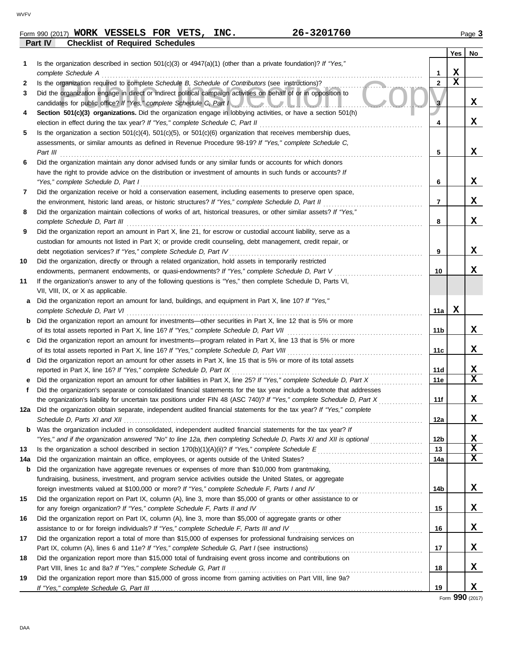|                                                   |  | Form 990 (2017) WORK VESSELS FOR VETS, |  |  | INC. | 26-3201760 |       | Page ა |     |
|---------------------------------------------------|--|----------------------------------------|--|--|------|------------|-------|--------|-----|
| Part IV<br><b>Checklist of Required Schedules</b> |  |                                        |  |  |      |            |       |        |     |
|                                                   |  |                                        |  |  |      |            | Vec 1 |        | No. |

|     |                                                                                                                                                                                                                   |                 | Yes | No |
|-----|-------------------------------------------------------------------------------------------------------------------------------------------------------------------------------------------------------------------|-----------------|-----|----|
| 1.  | Is the organization described in section $501(c)(3)$ or $4947(a)(1)$ (other than a private foundation)? If "Yes,"                                                                                                 |                 |     |    |
|     | complete Schedule A                                                                                                                                                                                               | 1               | х   |    |
| 2   | Is the organization required to complete Schedule B, Schedule of Contributors (see instructions)?                                                                                                                 | $\mathbf{2}$    | X   |    |
| 3   | Did the organization engage in direct or indirect political campaign activities on behalf of or in opposition to                                                                                                  |                 |     |    |
|     | candidates for public office? If "Yes," complete Schedule C, Part I                                                                                                                                               |                 |     | X. |
| 4   | Section 501(c)(3) organizations. Did the organization engage in lobbying activities, or have a section 501(h)                                                                                                     |                 |     |    |
|     | election in effect during the tax year? If "Yes," complete Schedule C, Part II                                                                                                                                    | 4               |     | X. |
| 5   | Is the organization a section $501(c)(4)$ , $501(c)(5)$ , or $501(c)(6)$ organization that receives membership dues,                                                                                              |                 |     |    |
|     | assessments, or similar amounts as defined in Revenue Procedure 98-19? If "Yes," complete Schedule C,                                                                                                             |                 |     |    |
|     | Part III                                                                                                                                                                                                          | 5               |     | x  |
| 6   | Did the organization maintain any donor advised funds or any similar funds or accounts for which donors                                                                                                           |                 |     |    |
|     | have the right to provide advice on the distribution or investment of amounts in such funds or accounts? If                                                                                                       |                 |     |    |
|     | "Yes," complete Schedule D, Part I                                                                                                                                                                                | 6               |     | X. |
| 7   | Did the organization receive or hold a conservation easement, including easements to preserve open space,                                                                                                         |                 |     |    |
|     | the environment, historic land areas, or historic structures? If "Yes," complete Schedule D, Part II                                                                                                              | 7               |     | X. |
| 8   | Did the organization maintain collections of works of art, historical treasures, or other similar assets? If "Yes,"                                                                                               |                 |     |    |
|     | complete Schedule D, Part III                                                                                                                                                                                     | 8               |     | x  |
| 9   | Did the organization report an amount in Part X, line 21, for escrow or custodial account liability, serve as a                                                                                                   |                 |     |    |
|     | custodian for amounts not listed in Part X; or provide credit counseling, debt management, credit repair, or                                                                                                      |                 |     |    |
|     | debt negotiation services? If "Yes," complete Schedule D, Part IV                                                                                                                                                 | 9               |     | X. |
| 10  | Did the organization, directly or through a related organization, hold assets in temporarily restricted                                                                                                           |                 |     |    |
|     | endowments, permanent endowments, or quasi-endowments? If "Yes," complete Schedule D, Part V                                                                                                                      | 10              |     | x  |
| 11  | If the organization's answer to any of the following questions is "Yes," then complete Schedule D, Parts VI,                                                                                                      |                 |     |    |
|     | VII, VIII, IX, or X as applicable.                                                                                                                                                                                |                 |     |    |
| a   | Did the organization report an amount for land, buildings, and equipment in Part X, line 10? If "Yes,"                                                                                                            |                 | x   |    |
|     | complete Schedule D, Part VI                                                                                                                                                                                      | 11a             |     |    |
|     | <b>b</b> Did the organization report an amount for investments—other securities in Part X, line 12 that is 5% or more<br>of its total assets reported in Part X, line 16? If "Yes," complete Schedule D, Part VII | 11 <sub>b</sub> |     | X. |
| C   | Did the organization report an amount for investments—program related in Part X, line 13 that is 5% or more                                                                                                       |                 |     |    |
|     |                                                                                                                                                                                                                   | 11c             |     | x  |
| d   | Did the organization report an amount for other assets in Part X, line 15 that is 5% or more of its total assets                                                                                                  |                 |     |    |
|     | reported in Part X, line 16? If "Yes," complete Schedule D, Part IX                                                                                                                                               | <b>11d</b>      |     | X  |
| е   | Did the organization report an amount for other liabilities in Part X, line 25? If "Yes," complete Schedule D, Part X                                                                                             | 11e             |     | x  |
| f   | Did the organization's separate or consolidated financial statements for the tax year include a footnote that addresses                                                                                           |                 |     |    |
|     | the organization's liability for uncertain tax positions under FIN 48 (ASC 740)? If "Yes," complete Schedule D, Part X                                                                                            | 11f             |     | x  |
| 12a | Did the organization obtain separate, independent audited financial statements for the tax year? If "Yes," complete                                                                                               |                 |     |    |
|     |                                                                                                                                                                                                                   | 12a             |     | X. |
| b   | Was the organization included in consolidated, independent audited financial statements for the tax year? If                                                                                                      |                 |     |    |
|     | "Yes," and if the organization answered "No" to line 12a, then completing Schedule D, Parts XI and XII is optional                                                                                                | 12b             |     | x  |
| 13  |                                                                                                                                                                                                                   | 13              |     | X  |
| 14a |                                                                                                                                                                                                                   | 14a             |     | x  |
| b   | Did the organization have aggregate revenues or expenses of more than \$10,000 from grantmaking,                                                                                                                  |                 |     |    |
|     | fundraising, business, investment, and program service activities outside the United States, or aggregate                                                                                                         |                 |     |    |
|     | foreign investments valued at \$100,000 or more? If "Yes," complete Schedule F, Parts I and IV [[[[[[[[[[[[[[[                                                                                                    | 14b             |     | X. |
| 15  | Did the organization report on Part IX, column (A), line 3, more than \$5,000 of grants or other assistance to or                                                                                                 |                 |     |    |
|     | for any foreign organization? If "Yes," complete Schedule F, Parts II and IV                                                                                                                                      | 15              |     | X. |
| 16  | Did the organization report on Part IX, column (A), line 3, more than \$5,000 of aggregate grants or other                                                                                                        |                 |     |    |
|     | assistance to or for foreign individuals? If "Yes," complete Schedule F, Parts III and IV                                                                                                                         | 16              |     | X. |
| 17  | Did the organization report a total of more than \$15,000 of expenses for professional fundraising services on                                                                                                    |                 |     |    |
|     |                                                                                                                                                                                                                   | 17              |     | X. |
| 18  | Did the organization report more than \$15,000 total of fundraising event gross income and contributions on                                                                                                       |                 |     |    |
|     | Part VIII, lines 1c and 8a? If "Yes," complete Schedule G, Part II                                                                                                                                                | 18              |     | X. |
| 19  | Did the organization report more than \$15,000 of gross income from gaming activities on Part VIII, line 9a?                                                                                                      |                 |     |    |
|     |                                                                                                                                                                                                                   | 19              |     | X. |

Form **990** (2017)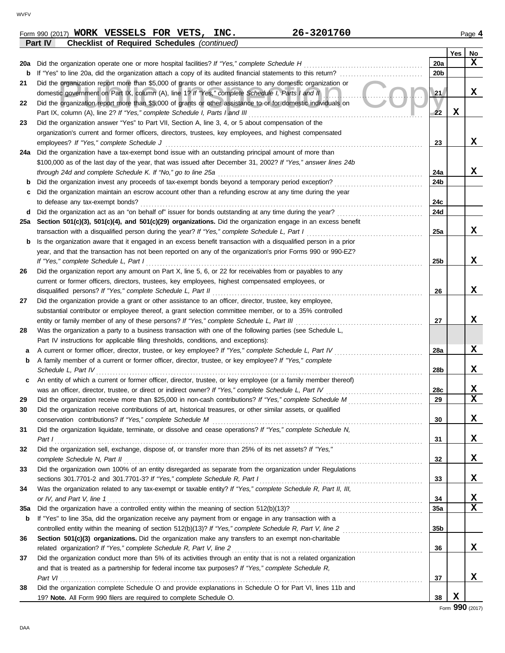|     | Part IV<br><b>Checklist of Required Schedules (continued)</b>                                                                                                                                                     |                 |     |                                 |
|-----|-------------------------------------------------------------------------------------------------------------------------------------------------------------------------------------------------------------------|-----------------|-----|---------------------------------|
|     |                                                                                                                                                                                                                   |                 | Yes | No                              |
| 20a | Did the organization operate one or more hospital facilities? If "Yes," complete Schedule H                                                                                                                       | 20a             |     | $\mathbf x$                     |
| b   | If "Yes" to line 20a, did the organization attach a copy of its audited financial statements to this return?                                                                                                      | 20 <sub>b</sub> |     |                                 |
| 21  | Did the organization report more than \$5,000 of grants or other assistance to any domestic organization or                                                                                                       |                 |     |                                 |
|     | domestic government on Part IX, column (A), line 1? If "Yes," complete Schedule I, Parts I and II                                                                                                                 | 21              |     | x                               |
| 22  | Did the organization report more than \$5,000 of grants or other assistance to or for domestic individuals on                                                                                                     |                 |     |                                 |
|     | Part IX, column (A), line 2? If "Yes," complete Schedule I, Parts I and III                                                                                                                                       | 22              | х   |                                 |
| 23  | Did the organization answer "Yes" to Part VII, Section A, line 3, 4, or 5 about compensation of the                                                                                                               |                 |     |                                 |
|     | organization's current and former officers, directors, trustees, key employees, and highest compensated                                                                                                           |                 |     |                                 |
|     | employees? If "Yes," complete Schedule J                                                                                                                                                                          | 23              |     | x                               |
| 24a | Did the organization have a tax-exempt bond issue with an outstanding principal amount of more than                                                                                                               |                 |     |                                 |
|     | \$100,000 as of the last day of the year, that was issued after December 31, 2002? If "Yes," answer lines 24b                                                                                                     |                 |     |                                 |
|     | through 24d and complete Schedule K. If "No," go to line 25a                                                                                                                                                      | 24a             |     | x                               |
| b   | Did the organization invest any proceeds of tax-exempt bonds beyond a temporary period exception?                                                                                                                 | 24b             |     |                                 |
| c   | Did the organization maintain an escrow account other than a refunding escrow at any time during the year                                                                                                         |                 |     |                                 |
|     | to defease any tax-exempt bonds?                                                                                                                                                                                  | 24c             |     |                                 |
| d   | Did the organization act as an "on behalf of" issuer for bonds outstanding at any time during the year?                                                                                                           | 24d             |     |                                 |
| 25a | Section 501(c)(3), 501(c)(4), and 501(c)(29) organizations. Did the organization engage in an excess benefit                                                                                                      |                 |     |                                 |
|     | transaction with a disqualified person during the year? If "Yes," complete Schedule L, Part I                                                                                                                     | 25a             |     | x                               |
| b   | Is the organization aware that it engaged in an excess benefit transaction with a disqualified person in a prior                                                                                                  |                 |     |                                 |
|     | year, and that the transaction has not been reported on any of the organization's prior Forms 990 or 990-EZ?                                                                                                      |                 |     |                                 |
|     | If "Yes," complete Schedule L, Part I                                                                                                                                                                             | 25 <sub>b</sub> |     | x                               |
| 26  | Did the organization report any amount on Part X, line 5, 6, or 22 for receivables from or payables to any                                                                                                        |                 |     |                                 |
|     | current or former officers, directors, trustees, key employees, highest compensated employees, or                                                                                                                 |                 |     |                                 |
|     | disqualified persons? If "Yes," complete Schedule L, Part II                                                                                                                                                      | 26              |     | x                               |
| 27  | Did the organization provide a grant or other assistance to an officer, director, trustee, key employee,                                                                                                          |                 |     |                                 |
|     | substantial contributor or employee thereof, a grant selection committee member, or to a 35% controlled                                                                                                           |                 |     | x                               |
|     | entity or family member of any of these persons? If "Yes," complete Schedule L, Part III                                                                                                                          | 27              |     |                                 |
| 28  | Was the organization a party to a business transaction with one of the following parties (see Schedule L,                                                                                                         |                 |     |                                 |
|     | Part IV instructions for applicable filing thresholds, conditions, and exceptions):                                                                                                                               |                 |     | X                               |
| а   | A current or former officer, director, trustee, or key employee? If "Yes," complete Schedule L, Part IV<br>A family member of a current or former officer, director, trustee, or key employee? If "Yes," complete | 28a             |     |                                 |
| b   | Schedule L, Part IV                                                                                                                                                                                               | 28b             |     | x                               |
|     | An entity of which a current or former officer, director, trustee, or key employee (or a family member thereof)                                                                                                   |                 |     |                                 |
| c   | was an officer, director, trustee, or direct or indirect owner? If "Yes," complete Schedule L, Part IV                                                                                                            | 28c             |     |                                 |
| 29  | Did the organization receive more than \$25,000 in non-cash contributions? If "Yes," complete Schedule M                                                                                                          | 29              |     | $\frac{\mathbf{x}}{\mathbf{x}}$ |
|     | Did the organization receive contributions of art, historical treasures, or other similar assets, or qualified                                                                                                    |                 |     |                                 |
|     | conservation contributions? If "Yes," complete Schedule M                                                                                                                                                         | 30              |     | X                               |
| 31  | Did the organization liquidate, terminate, or dissolve and cease operations? If "Yes," complete Schedule N,                                                                                                       |                 |     |                                 |
|     | Part I                                                                                                                                                                                                            | 31              |     | X                               |
| 32  | Did the organization sell, exchange, dispose of, or transfer more than 25% of its net assets? If "Yes,"                                                                                                           |                 |     |                                 |
|     | complete Schedule N, Part II                                                                                                                                                                                      | 32              |     | X                               |
| 33  | Did the organization own 100% of an entity disregarded as separate from the organization under Regulations                                                                                                        |                 |     |                                 |
|     | sections 301.7701-2 and 301.7701-3? If "Yes," complete Schedule R, Part I                                                                                                                                         | 33              |     | X                               |
| 34  | Was the organization related to any tax-exempt or taxable entity? If "Yes," complete Schedule R, Part II, III,                                                                                                    |                 |     |                                 |
|     | or IV, and Part V, line 1                                                                                                                                                                                         | 34              |     |                                 |
| 35a |                                                                                                                                                                                                                   | 35a             |     | $\frac{\mathbf{x}}{\mathbf{x}}$ |
| b   | If "Yes" to line 35a, did the organization receive any payment from or engage in any transaction with a                                                                                                           |                 |     |                                 |
|     |                                                                                                                                                                                                                   | 35b             |     |                                 |
| 36  | Section 501(c)(3) organizations. Did the organization make any transfers to an exempt non-charitable                                                                                                              |                 |     |                                 |
|     | related organization? If "Yes," complete Schedule R, Part V, line 2                                                                                                                                               | 36              |     | X                               |
| 37  | Did the organization conduct more than 5% of its activities through an entity that is not a related organization                                                                                                  |                 |     |                                 |
|     | and that is treated as a partnership for federal income tax purposes? If "Yes," complete Schedule R,                                                                                                              |                 |     |                                 |
|     | Part VI                                                                                                                                                                                                           | 37              |     | X                               |
| 38  | Did the organization complete Schedule O and provide explanations in Schedule O for Part VI, lines 11b and                                                                                                        |                 |     |                                 |
|     | 19? Note. All Form 990 filers are required to complete Schedule O.                                                                                                                                                | 38              | X   |                                 |
|     |                                                                                                                                                                                                                   |                 |     |                                 |

**WORK VESSELS FOR VETS, INC. 26-3201760**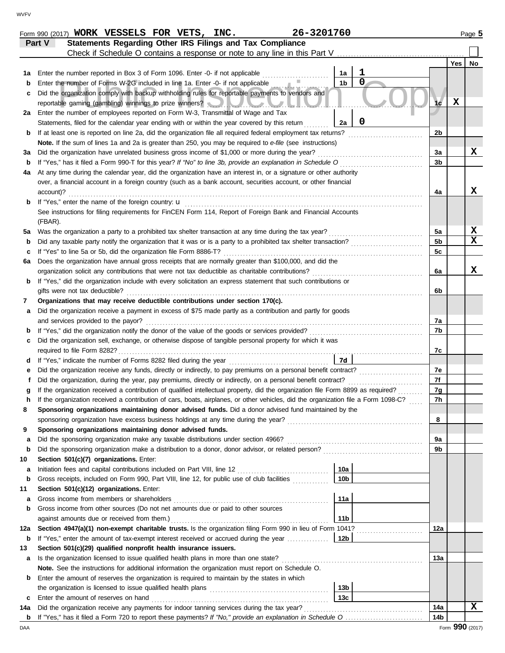|          | Check if Schedule O contains a response or note to any line in this Part V                                                                                                                                 |                |                 |                          |
|----------|------------------------------------------------------------------------------------------------------------------------------------------------------------------------------------------------------------|----------------|-----------------|--------------------------|
|          |                                                                                                                                                                                                            |                | Yes             | No                       |
| 1а       | 1<br>Enter the number reported in Box 3 of Form 1096. Enter -0- if not applicable<br>1a<br>$\mathbf 0$                                                                                                     |                |                 |                          |
| b        | 1 <sub>b</sub><br>Enter the number of Forms W-2G included in line 1a. Enter -0- if not applicable                                                                                                          |                |                 |                          |
| c        | Did the organization comply with backup withholding rules for reportable payments to vendors and                                                                                                           |                | $\mathbf x$     |                          |
|          | reportable gaming (gambling) winnings to prize winners? New York Mary                                                                                                                                      | 1c             |                 |                          |
| 2a       | Enter the number of employees reported on Form W-3, Transmittal of Wage and Tax<br>$\mathbf 0$                                                                                                             |                |                 |                          |
|          | Statements, filed for the calendar year ending with or within the year covered by this return<br>2a                                                                                                        |                |                 |                          |
| b        | If at least one is reported on line 2a, did the organization file all required federal employment tax returns?                                                                                             | 2 <sub>b</sub> |                 |                          |
|          | Note. If the sum of lines 1a and 2a is greater than 250, you may be required to e-file (see instructions)<br>Did the organization have unrelated business gross income of \$1,000 or more during the year? |                |                 | X                        |
| за       | If "Yes," has it filed a Form 990-T for this year? If "No" to line 3b, provide an explanation in Schedule O                                                                                                | 3a<br>3b       |                 |                          |
| b        | At any time during the calendar year, did the organization have an interest in, or a signature or other authority                                                                                          |                |                 |                          |
| 4a       | over, a financial account in a foreign country (such as a bank account, securities account, or other financial                                                                                             |                |                 |                          |
|          | account)?                                                                                                                                                                                                  | 4a             |                 | X                        |
| b        | If "Yes," enter the name of the foreign country: $\mathbf u$                                                                                                                                               |                |                 |                          |
|          | See instructions for filing requirements for FinCEN Form 114, Report of Foreign Bank and Financial Accounts                                                                                                |                |                 |                          |
|          | (FBAR).                                                                                                                                                                                                    |                |                 |                          |
| 5а       | Was the organization a party to a prohibited tax shelter transaction at any time during the tax year?                                                                                                      | 5a             |                 | $\underline{\mathbf{x}}$ |
| b        | Did any taxable party notify the organization that it was or is a party to a prohibited tax shelter transaction?                                                                                           | 5 <sub>b</sub> |                 | $\overline{\mathbf{x}}$  |
| с        | If "Yes" to line 5a or 5b, did the organization file Form 8886-T?                                                                                                                                          | 5c             |                 |                          |
| 6а       | Does the organization have annual gross receipts that are normally greater than \$100,000, and did the                                                                                                     |                |                 |                          |
|          | organization solicit any contributions that were not tax deductible as charitable contributions?                                                                                                           | 6a             |                 | X                        |
| b        | If "Yes," did the organization include with every solicitation an express statement that such contributions or                                                                                             |                |                 |                          |
|          | gifts were not tax deductible?                                                                                                                                                                             | 6b             |                 |                          |
| 7        | Organizations that may receive deductible contributions under section 170(c).                                                                                                                              |                |                 |                          |
| а        | Did the organization receive a payment in excess of \$75 made partly as a contribution and partly for goods                                                                                                |                |                 |                          |
|          | and services provided to the payor?                                                                                                                                                                        | 7а             |                 |                          |
| b        | If "Yes," did the organization notify the donor of the value of the goods or services provided?                                                                                                            | 7b             |                 |                          |
| с        | Did the organization sell, exchange, or otherwise dispose of tangible personal property for which it was                                                                                                   |                |                 |                          |
|          |                                                                                                                                                                                                            | 7c             |                 |                          |
| d        | 7d                                                                                                                                                                                                         |                |                 |                          |
| е        | Did the organization receive any funds, directly or indirectly, to pay premiums on a personal benefit contract?                                                                                            | 7e             |                 |                          |
| f        | Did the organization, during the year, pay premiums, directly or indirectly, on a personal benefit contract?                                                                                               | 7f             |                 |                          |
| g        | If the organization received a contribution of qualified intellectual property, did the organization file Form 8899 as required?                                                                           | 7g             |                 |                          |
| h        | If the organization received a contribution of cars, boats, airplanes, or other vehicles, did the organization file a Form 1098-C?                                                                         | 7h             |                 |                          |
| 8        | Sponsoring organizations maintaining donor advised funds. Did a donor advised fund maintained by the                                                                                                       |                |                 |                          |
|          | sponsoring organization have excess business holdings at any time during the year?                                                                                                                         | 8              |                 |                          |
| 9        | Sponsoring organizations maintaining donor advised funds.                                                                                                                                                  |                |                 |                          |
| a        | Did the sponsoring organization make any taxable distributions under section 4966?                                                                                                                         | 9а             |                 |                          |
| b        | Did the sponsoring organization make a distribution to a donor, donor advisor, or related person?                                                                                                          | 9b             |                 |                          |
| 10       | Section 501(c)(7) organizations. Enter:                                                                                                                                                                    |                |                 |                          |
| а        | 10a<br>Initiation fees and capital contributions included on Part VIII, line 12                                                                                                                            |                |                 |                          |
| b        | Gross receipts, included on Form 990, Part VIII, line 12, for public use of club facilities<br>10 <sub>b</sub>                                                                                             |                |                 |                          |
| 11       | Section 501(c)(12) organizations. Enter:                                                                                                                                                                   |                |                 |                          |
| а        | Gross income from members or shareholders<br>11a                                                                                                                                                           |                |                 |                          |
| b        | Gross income from other sources (Do not net amounts due or paid to other sources                                                                                                                           |                |                 |                          |
|          | against amounts due or received from them.)<br>11b                                                                                                                                                         |                |                 |                          |
| 12a      | Section 4947(a)(1) non-exempt charitable trusts. Is the organization filing Form 990 in lieu of Form 1041?                                                                                                 | 12a            |                 |                          |
| b        | If "Yes," enter the amount of tax-exempt interest received or accrued during the year<br>12b                                                                                                               |                |                 |                          |
| 13       | Section 501(c)(29) qualified nonprofit health insurance issuers.                                                                                                                                           | 13a            |                 |                          |
| а        | Is the organization licensed to issue qualified health plans in more than one state?                                                                                                                       |                |                 |                          |
|          | Note. See the instructions for additional information the organization must report on Schedule O.                                                                                                          |                |                 |                          |
| b        | Enter the amount of reserves the organization is required to maintain by the states in which<br>13 <sub>b</sub>                                                                                            |                |                 |                          |
|          | Enter the amount of reserves on hand<br>13 <sub>c</sub>                                                                                                                                                    |                |                 |                          |
| c<br>14a | Did the organization receive any payments for indoor tanning services during the tax year?                                                                                                                 | 14a            |                 | X                        |
| b        |                                                                                                                                                                                                            | 14b            |                 |                          |
| DAA      |                                                                                                                                                                                                            |                | Form 990 (2017) |                          |

**Form 990 (2017) WORK VESSELS FOR VETS, INC.** 26-3201760 2010 2010 2010 2010 2021

**Part V Statements Regarding Other IRS Filings and Tax Compliance**

 $\blacksquare$  $\overline{\phantom{0}}$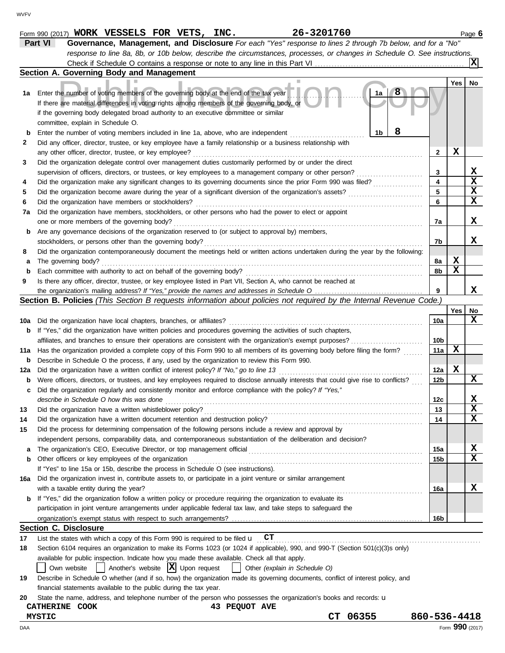|     | Part VI<br>Governance, Management, and Disclosure For each "Yes" response to lines 2 through 7b below, and for a "No"                                                                    |              |                 |             |
|-----|------------------------------------------------------------------------------------------------------------------------------------------------------------------------------------------|--------------|-----------------|-------------|
|     | response to line 8a, 8b, or 10b below, describe the circumstances, processes, or changes in Schedule O. See instructions.                                                                |              |                 |             |
|     |                                                                                                                                                                                          |              |                 | X           |
|     | Section A. Governing Body and Management                                                                                                                                                 |              |                 |             |
|     | ш                                                                                                                                                                                        |              | Yes             | No          |
| 1a  | Enter the number of voting members of the governing body at the end of the tax year<br>1a                                                                                                |              |                 |             |
|     | If there are material differences in voting rights among members of the governing body, or                                                                                               |              |                 |             |
|     | if the governing body delegated broad authority to an executive committee or similar                                                                                                     |              |                 |             |
|     | committee, explain in Schedule O.                                                                                                                                                        |              |                 |             |
| b   | 8<br>1b<br>Enter the number of voting members included in line 1a, above, who are independent                                                                                            |              |                 |             |
| 2   | Did any officer, director, trustee, or key employee have a family relationship or a business relationship with                                                                           |              |                 |             |
|     | any other officer, director, trustee, or key employee?                                                                                                                                   | 2            | х               |             |
| 3   | Did the organization delegate control over management duties customarily performed by or under the direct                                                                                |              |                 |             |
|     | supervision of officers, directors, or trustees, or key employees to a management company or other person?                                                                               | 3            |                 | X           |
| 4   | Did the organization make any significant changes to its governing documents since the prior Form 990 was filed?                                                                         | 4            |                 | $\mathbf x$ |
| 5   |                                                                                                                                                                                          | 5            |                 | X           |
| 6   | Did the organization have members or stockholders?                                                                                                                                       | 6            |                 | $\mathbf x$ |
| 7a  | Did the organization have members, stockholders, or other persons who had the power to elect or appoint                                                                                  |              |                 |             |
|     | one or more members of the governing body?                                                                                                                                               | 7a           |                 | X           |
| b   | Are any governance decisions of the organization reserved to (or subject to approval by) members,                                                                                        |              |                 |             |
|     | stockholders, or persons other than the governing body?                                                                                                                                  | 7b           |                 | X           |
| 8   | Did the organization contemporaneously document the meetings held or written actions undertaken during the year by the following:                                                        |              |                 |             |
| а   | The governing body?                                                                                                                                                                      | 8а           | X               |             |
| b   | Each committee with authority to act on behalf of the governing body?                                                                                                                    | 8b           | X               |             |
| 9   | Is there any officer, director, trustee, or key employee listed in Part VII, Section A, who cannot be reached at                                                                         |              |                 |             |
|     |                                                                                                                                                                                          | 9            |                 | x           |
|     | Section B. Policies (This Section B requests information about policies not required by the Internal Revenue Code.)                                                                      |              |                 |             |
|     |                                                                                                                                                                                          |              | Yes             | No          |
| 10a | Did the organization have local chapters, branches, or affiliates?                                                                                                                       | 10a          |                 | X           |
| b   | If "Yes," did the organization have written policies and procedures governing the activities of such chapters,                                                                           |              |                 |             |
|     |                                                                                                                                                                                          | 10b          |                 |             |
| 11a | Has the organization provided a complete copy of this Form 990 to all members of its governing body before filing the form?                                                              | 11a          | х               |             |
| b   | Describe in Schedule O the process, if any, used by the organization to review this Form 990.                                                                                            |              |                 |             |
| 12a | Did the organization have a written conflict of interest policy? If "No," go to line 13                                                                                                  | 12a          | X               |             |
| b   | Were officers, directors, or trustees, and key employees required to disclose annually interests that could give rise to conflicts?                                                      | 12b          |                 | x           |
|     | Did the organization regularly and consistently monitor and enforce compliance with the policy? If "Yes,"                                                                                |              |                 |             |
| c   |                                                                                                                                                                                          |              |                 | X           |
|     | describe in Schedule O how this was done                                                                                                                                                 | 12c          |                 | X           |
|     | Did the organization have a written whistleblower policy?                                                                                                                                | 13           |                 | X           |
| 14  | Did the organization have a written document retention and destruction policy?<br>Did the process for determining compensation of the following persons include a review and approval by | 14           |                 |             |
| 15  |                                                                                                                                                                                          |              |                 |             |
|     | independent persons, comparability data, and contemporaneous substantiation of the deliberation and decision?                                                                            |              |                 |             |
| а   | The organization's CEO, Executive Director, or top management official [11] content content content content of the organization's CEO, executive Director, or top management official    | 15a          |                 | X           |
| b   | Other officers or key employees of the organization<br>If "Yes" to line 15a or 15b, describe the process in Schedule O (see instructions).                                               | 15b          |                 | X           |
|     |                                                                                                                                                                                          |              |                 |             |
| 16а | Did the organization invest in, contribute assets to, or participate in a joint venture or similar arrangement                                                                           |              |                 |             |
|     | with a taxable entity during the year?                                                                                                                                                   | 16a          |                 | X           |
| b   | If "Yes," did the organization follow a written policy or procedure requiring the organization to evaluate its                                                                           |              |                 |             |
|     | participation in joint venture arrangements under applicable federal tax law, and take steps to safeguard the                                                                            |              |                 |             |
|     |                                                                                                                                                                                          | 16b          |                 |             |
|     | <b>Section C. Disclosure</b>                                                                                                                                                             |              |                 |             |
| 17  | List the states with which a copy of this Form 990 is required to be filed $\mathbf{u}$ CT                                                                                               |              |                 |             |
| 18  | Section 6104 requires an organization to make its Forms 1023 (or 1024 if applicable), 990, and 990-T (Section 501(c)(3)s only)                                                           |              |                 |             |
|     | available for public inspection. Indicate how you made these available. Check all that apply.                                                                                            |              |                 |             |
|     | $ $ Another's website $ X $ Upon request<br>Other (explain in Schedule O)<br>Own website<br>$\Box$                                                                                       |              |                 |             |
| 19  | Describe in Schedule O whether (and if so, how) the organization made its governing documents, conflict of interest policy, and                                                          |              |                 |             |
|     | financial statements available to the public during the tax year.                                                                                                                        |              |                 |             |
| 20  | State the name, address, and telephone number of the person who possesses the organization's books and records: u                                                                        |              |                 |             |
|     | 43 PEQUOT AVE<br>CATHERINE COOK                                                                                                                                                          |              |                 |             |
|     | 06355<br>CT.<br><b>MYSTIC</b>                                                                                                                                                            | 860-536-4418 |                 |             |
| DAA |                                                                                                                                                                                          |              | Form 990 (2017) |             |

 $_{\rm Form}$  990 (2017) WORK VESSELS FOR VETS, INC.  $26-3201760$  Page 6

**WORK VESSELS FOR VETS, INC. 26-3201760**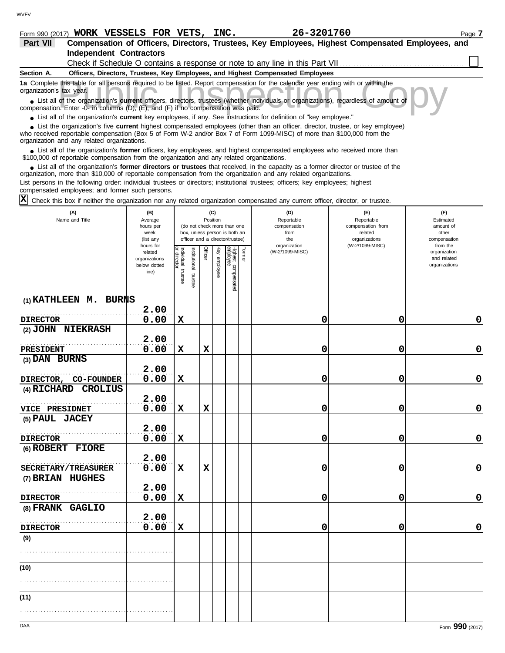## **Form 990 (2017) WORK VESSELS FOR VETS, INC.** 26-3201760 2012 2012 2012 2013

| 26-3201760 |  |
|------------|--|
|------------|--|

| Part VII                                                                                                                                                                                                                                                                                                   |                                                                                                                                      |                                                | Compensation of Officers, Directors, Trustees, Key Employees, Highest Compensated Employees, and |                                        |                               |  |  |  |  |
|------------------------------------------------------------------------------------------------------------------------------------------------------------------------------------------------------------------------------------------------------------------------------------------------------------|--------------------------------------------------------------------------------------------------------------------------------------|------------------------------------------------|--------------------------------------------------------------------------------------------------|----------------------------------------|-------------------------------|--|--|--|--|
| <b>Independent Contractors</b>                                                                                                                                                                                                                                                                             |                                                                                                                                      |                                                |                                                                                                  |                                        |                               |  |  |  |  |
|                                                                                                                                                                                                                                                                                                            |                                                                                                                                      |                                                | Check if Schedule O contains a response or note to any line in this Part VII                     |                                        |                               |  |  |  |  |
| Section A.                                                                                                                                                                                                                                                                                                 |                                                                                                                                      |                                                | Officers, Directors, Trustees, Key Employees, and Highest Compensated Employees                  |                                        |                               |  |  |  |  |
| 1a Complete this table for all persons required to be listed. Report compensation for the calendar year ending with or within the<br>organization's tax year.                                                                                                                                              |                                                                                                                                      |                                                |                                                                                                  |                                        |                               |  |  |  |  |
| • List all of the organization's current officers, directors, trustees (whether individuals or organizations), regardless of amount of<br>compensation. Enter -0- in columns (D), (E), and (F) if no compensation was paid.                                                                                |                                                                                                                                      |                                                |                                                                                                  |                                        |                               |  |  |  |  |
| • List all of the organization's current key employees, if any. See instructions for definition of "key employee."                                                                                                                                                                                         |                                                                                                                                      |                                                |                                                                                                  |                                        |                               |  |  |  |  |
| • List the organization's five current highest compensated employees (other than an officer, director, trustee, or key employee)<br>who received reportable compensation (Box 5 of Form W-2 and/or Box 7 of Form 1099-MISC) of more than \$100,000 from the<br>organization and any related organizations. |                                                                                                                                      |                                                |                                                                                                  |                                        |                               |  |  |  |  |
| List all of the organization's former officers, key employees, and highest compensated employees who received more than<br>\$100,000 of reportable compensation from the organization and any related organizations.                                                                                       |                                                                                                                                      |                                                |                                                                                                  |                                        |                               |  |  |  |  |
| List all of the organization's former directors or trustees that received, in the capacity as a former director or trustee of the<br>organization, more than \$10,000 of reportable compensation from the organization and any related organizations.                                                      |                                                                                                                                      |                                                |                                                                                                  |                                        |                               |  |  |  |  |
| List persons in the following order: individual trustees or directors; institutional trustees; officers; key employees; highest<br>compensated employees; and former such persons.                                                                                                                         |                                                                                                                                      |                                                |                                                                                                  |                                        |                               |  |  |  |  |
|                                                                                                                                                                                                                                                                                                            | $ X $ Check this box if neither the organization nor any related organization compensated any current officer, director, or trustee. |                                                |                                                                                                  |                                        |                               |  |  |  |  |
| (A)<br>Name and Title                                                                                                                                                                                                                                                                                      | (B)<br>Average<br>hours per                                                                                                          | (C)<br>Position<br>(do not check more than one | (D)<br>Reportable<br>compensation                                                                | (E)<br>Reportable<br>compensation from | (F)<br>Estimated<br>amount of |  |  |  |  |
|                                                                                                                                                                                                                                                                                                            | عاموري                                                                                                                               | hox unless nerson is hoth an                   | fr∩m                                                                                             | heteler                                | other                         |  |  |  |  |

|                       | hours per<br>week<br>(list any                                 |                                   |                       |             |              | (do not check more than one<br>box, unless person is both an<br>officer and a director/trustee) |        | compensation<br>from<br>the     | compensation from<br>related<br>organizations | amount of<br>other<br>compensation<br>from the |
|-----------------------|----------------------------------------------------------------|-----------------------------------|-----------------------|-------------|--------------|-------------------------------------------------------------------------------------------------|--------|---------------------------------|-----------------------------------------------|------------------------------------------------|
|                       | hours for<br>related<br>organizations<br>below dotted<br>line) | Individual trustee<br>or director | Institutional trustee | Officer     | Key employee | Highest compensated<br>employee                                                                 | Former | organization<br>(W-2/1099-MISC) | (W-2/1099-MISC)                               | organization<br>and related<br>organizations   |
| (1) KATHLEEN M. BURNS |                                                                |                                   |                       |             |              |                                                                                                 |        |                                 |                                               |                                                |
| <b>DIRECTOR</b>       | 2.00<br>0.00                                                   | $\mathbf x$                       |                       |             |              |                                                                                                 |        | 0                               | $\mathbf 0$                                   | $\mathbf 0$                                    |
| (2) JOHN NIEKRASH     |                                                                |                                   |                       |             |              |                                                                                                 |        |                                 |                                               |                                                |
|                       | 2.00                                                           |                                   |                       |             |              |                                                                                                 |        |                                 |                                               |                                                |
| PRESIDENT             | 0.00                                                           | $\mathbf x$                       |                       | $\mathbf x$ |              |                                                                                                 |        | 0                               | 0                                             | $\mathbf 0$                                    |
| (3) DAN BURNS         | 2.00                                                           |                                   |                       |             |              |                                                                                                 |        |                                 |                                               |                                                |
| DIRECTOR, CO-FOUNDER  | 0.00                                                           | $\mathbf x$                       |                       |             |              |                                                                                                 |        | 0                               | 0                                             | $\pmb{0}$                                      |
| (4) RICHARD CROLIUS   |                                                                |                                   |                       |             |              |                                                                                                 |        |                                 |                                               |                                                |
|                       | 2.00                                                           |                                   |                       |             |              |                                                                                                 |        |                                 |                                               |                                                |
| VICE PRESIDNET        | 0.00                                                           | $\mathbf x$                       |                       | $\mathbf x$ |              |                                                                                                 |        | 0                               | 0                                             | $\mathbf 0$                                    |
| (5) PAUL JACEY        | 2.00                                                           |                                   |                       |             |              |                                                                                                 |        |                                 |                                               |                                                |
| <b>DIRECTOR</b>       | 0.00                                                           | $\mathbf x$                       |                       |             |              |                                                                                                 |        | 0                               | 0                                             | $\bf{0}$                                       |
| (6) ROBERT FIORE      |                                                                |                                   |                       |             |              |                                                                                                 |        |                                 |                                               |                                                |
|                       | 2.00                                                           |                                   |                       |             |              |                                                                                                 |        |                                 |                                               |                                                |
| SECRETARY/TREASURER   | 0.00                                                           | $\mathbf x$                       |                       | $\mathbf x$ |              |                                                                                                 |        | 0                               | 0                                             | $\mathbf 0$                                    |
| (7) BRIAN HUGHES      |                                                                |                                   |                       |             |              |                                                                                                 |        |                                 |                                               |                                                |
|                       | 2.00                                                           |                                   |                       |             |              |                                                                                                 |        |                                 |                                               |                                                |
| <b>DIRECTOR</b>       | 0.00                                                           | $\mathbf x$                       |                       |             |              |                                                                                                 |        | 0                               | $\mathbf 0$                                   | $\mathbf 0$                                    |
| (8) FRANK GAGLIO      | 2.00                                                           |                                   |                       |             |              |                                                                                                 |        |                                 |                                               |                                                |
| <b>DIRECTOR</b>       | 0.00                                                           | $\mathbf x$                       |                       |             |              |                                                                                                 |        | 0                               | 0                                             | $\mathbf 0$                                    |
| (9)                   |                                                                |                                   |                       |             |              |                                                                                                 |        |                                 |                                               |                                                |
|                       |                                                                |                                   |                       |             |              |                                                                                                 |        |                                 |                                               |                                                |
| (10)                  |                                                                |                                   |                       |             |              |                                                                                                 |        |                                 |                                               |                                                |
|                       |                                                                |                                   |                       |             |              |                                                                                                 |        |                                 |                                               |                                                |
| (11)                  |                                                                |                                   |                       |             |              |                                                                                                 |        |                                 |                                               |                                                |
|                       |                                                                |                                   |                       |             |              |                                                                                                 |        |                                 |                                               |                                                |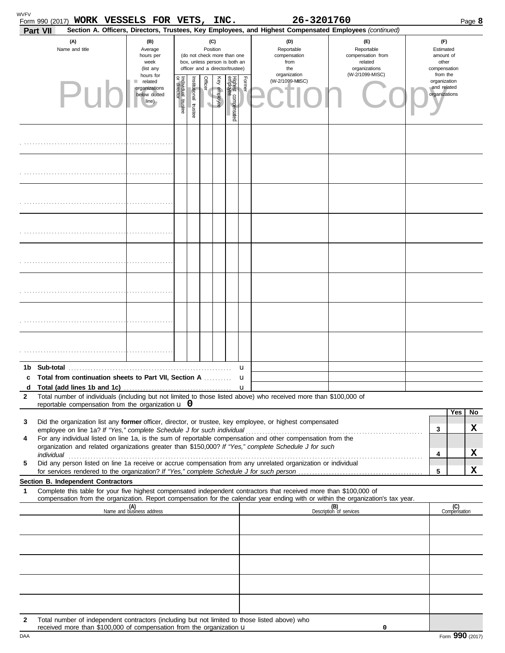|              | Form 990 (2017) WORK VESSELS FOR VETS, INC.<br>Part VII                                                                                                                                                                                                |                                                                |                                  |                      |                                                                                                                    |              |                                 |        | 26-3201760<br>Section A. Officers, Directors, Trustees, Key Employees, and Highest Compensated Employees (continued) |                                                                    |                                                          |                     | Page 8 |
|--------------|--------------------------------------------------------------------------------------------------------------------------------------------------------------------------------------------------------------------------------------------------------|----------------------------------------------------------------|----------------------------------|----------------------|--------------------------------------------------------------------------------------------------------------------|--------------|---------------------------------|--------|----------------------------------------------------------------------------------------------------------------------|--------------------------------------------------------------------|----------------------------------------------------------|---------------------|--------|
|              | (A)<br>Name and title                                                                                                                                                                                                                                  | (B)<br>Average<br>hours per<br>week<br>(list any               |                                  |                      | (C)<br>Position<br>(do not check more than one<br>box, unless person is both an<br>officer and a director/trustee) |              |                                 |        | (D)<br>Reportable<br>compensation<br>from<br>the                                                                     | (E)<br>Reportable<br>compensation from<br>related<br>organizations | (F)<br>Estimated<br>amount of<br>other<br>compensation   |                     |        |
|              |                                                                                                                                                                                                                                                        | hours for<br>related<br>organizations<br>below dotted<br>line) | ndividual trustee<br>or director | nstitutional trustee | Officer                                                                                                            | Key employee | Highest compensated<br>employee | Former | organization<br>(W-2/1099-MISC)                                                                                      | (W-2/1099-MISC)                                                    | from the<br>organization<br>and related<br>organizations |                     |        |
|              |                                                                                                                                                                                                                                                        |                                                                |                                  |                      |                                                                                                                    |              |                                 |        |                                                                                                                      |                                                                    |                                                          |                     |        |
|              |                                                                                                                                                                                                                                                        |                                                                |                                  |                      |                                                                                                                    |              |                                 |        |                                                                                                                      |                                                                    |                                                          |                     |        |
|              |                                                                                                                                                                                                                                                        |                                                                |                                  |                      |                                                                                                                    |              |                                 |        |                                                                                                                      |                                                                    |                                                          |                     |        |
|              |                                                                                                                                                                                                                                                        |                                                                |                                  |                      |                                                                                                                    |              |                                 |        |                                                                                                                      |                                                                    |                                                          |                     |        |
|              |                                                                                                                                                                                                                                                        |                                                                |                                  |                      |                                                                                                                    |              |                                 |        |                                                                                                                      |                                                                    |                                                          |                     |        |
|              |                                                                                                                                                                                                                                                        |                                                                |                                  |                      |                                                                                                                    |              |                                 |        |                                                                                                                      |                                                                    |                                                          |                     |        |
|              |                                                                                                                                                                                                                                                        |                                                                |                                  |                      |                                                                                                                    |              |                                 |        |                                                                                                                      |                                                                    |                                                          |                     |        |
|              |                                                                                                                                                                                                                                                        |                                                                |                                  |                      |                                                                                                                    |              |                                 |        |                                                                                                                      |                                                                    |                                                          |                     |        |
| 1b.          | Total from continuation sheets to Part VII, Section A                                                                                                                                                                                                  |                                                                |                                  |                      |                                                                                                                    |              |                                 | u      |                                                                                                                      |                                                                    |                                                          |                     |        |
|              |                                                                                                                                                                                                                                                        |                                                                |                                  |                      |                                                                                                                    |              |                                 | u      |                                                                                                                      |                                                                    |                                                          |                     |        |
| $\mathbf{2}$ | Total number of individuals (including but not limited to those listed above) who received more than \$100,000 of<br>reportable compensation from the organization $\mathbf u$ 0                                                                       |                                                                |                                  |                      |                                                                                                                    |              |                                 |        |                                                                                                                      |                                                                    |                                                          |                     |        |
|              |                                                                                                                                                                                                                                                        |                                                                |                                  |                      |                                                                                                                    |              |                                 |        |                                                                                                                      |                                                                    |                                                          | Yes                 | No     |
| 3            | Did the organization list any former officer, director, or trustee, key employee, or highest compensated                                                                                                                                               |                                                                |                                  |                      |                                                                                                                    |              |                                 |        |                                                                                                                      |                                                                    | 3                                                        |                     | x      |
| 4            | For any individual listed on line 1a, is the sum of reportable compensation and other compensation from the                                                                                                                                            |                                                                |                                  |                      |                                                                                                                    |              |                                 |        |                                                                                                                      |                                                                    |                                                          |                     |        |
|              | organization and related organizations greater than \$150,000? If "Yes," complete Schedule J for such                                                                                                                                                  |                                                                |                                  |                      |                                                                                                                    |              |                                 |        |                                                                                                                      |                                                                    | 4                                                        |                     | X      |
| 5            | Did any person listed on line 1a receive or accrue compensation from any unrelated organization or individual                                                                                                                                          |                                                                |                                  |                      |                                                                                                                    |              |                                 |        |                                                                                                                      |                                                                    | 5                                                        |                     | X      |
|              | Section B. Independent Contractors                                                                                                                                                                                                                     |                                                                |                                  |                      |                                                                                                                    |              |                                 |        |                                                                                                                      |                                                                    |                                                          |                     |        |
| 1            | Complete this table for your five highest compensated independent contractors that received more than \$100,000 of<br>compensation from the organization. Report compensation for the calendar year ending with or within the organization's tax year. |                                                                |                                  |                      |                                                                                                                    |              |                                 |        |                                                                                                                      |                                                                    |                                                          |                     |        |
|              |                                                                                                                                                                                                                                                        | (A)<br>Name and business address                               |                                  |                      |                                                                                                                    |              |                                 |        |                                                                                                                      | (B)<br>Description of services                                     |                                                          | (C)<br>Compensation |        |
|              |                                                                                                                                                                                                                                                        |                                                                |                                  |                      |                                                                                                                    |              |                                 |        |                                                                                                                      |                                                                    |                                                          |                     |        |
|              |                                                                                                                                                                                                                                                        |                                                                |                                  |                      |                                                                                                                    |              |                                 |        |                                                                                                                      |                                                                    |                                                          |                     |        |
|              |                                                                                                                                                                                                                                                        |                                                                |                                  |                      |                                                                                                                    |              |                                 |        |                                                                                                                      |                                                                    |                                                          |                     |        |
|              |                                                                                                                                                                                                                                                        |                                                                |                                  |                      |                                                                                                                    |              |                                 |        |                                                                                                                      |                                                                    |                                                          |                     |        |
| $\mathbf{2}$ | Total number of independent contractors (including but not limited to those listed above) who<br>received more than \$100,000 of compensation from the organization u                                                                                  |                                                                |                                  |                      |                                                                                                                    |              |                                 |        |                                                                                                                      | 0                                                                  |                                                          |                     |        |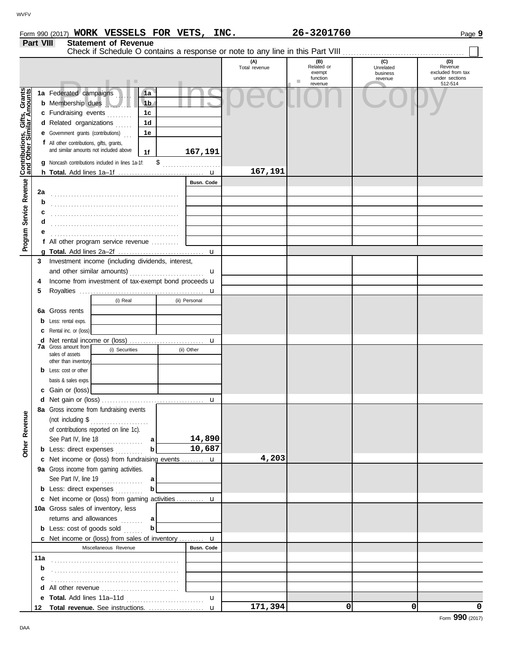| Form 990 (2017) | <b>WORK</b> | VESSELS | <b>FOR</b> | <b>VETS</b> | INC. | 3201760<br>26– | ≙מפ⊂י<br>aqe o | . . |
|-----------------|-------------|---------|------------|-------------|------|----------------|----------------|-----|
|-----------------|-------------|---------|------------|-------------|------|----------------|----------------|-----|

|                                              | Part VIII | <b>Statement of Revenue</b>                                                                                          |                      |                                         |                                         |                                                       |
|----------------------------------------------|-----------|----------------------------------------------------------------------------------------------------------------------|----------------------|-----------------------------------------|-----------------------------------------|-------------------------------------------------------|
|                                              |           |                                                                                                                      | (A)<br>Total revenue | (B)<br>Related or<br>exempt<br>function | (C)<br>Unrelated<br>business<br>revenue | (D)<br>Revenue<br>excluded from tax<br>under sections |
| Service Revenue Contributions, Gifts, Grants |           | 1a Federated campaigns<br>1a<br><b>b</b> Membership dues<br>1 <sub>b</sub><br>c Fundraising events<br>1 <sub>c</sub> |                      | ш.<br>revenue                           |                                         | 512-514                                               |
|                                              |           | d Related organizations<br>1d<br><b>e</b> Government grants (contributions)<br>1e                                    |                      |                                         |                                         |                                                       |
|                                              |           | f All other contributions, gifts, grants,<br>and similar amounts not included above<br>167,191<br>1f                 |                      |                                         |                                         |                                                       |
|                                              |           | g Noncash contributions included in lines 1a-1f:<br>$\frac{1}{2}$                                                    |                      |                                         |                                         |                                                       |
|                                              |           | Busn. Code                                                                                                           | 167,191              |                                         |                                         |                                                       |
|                                              | 2a        |                                                                                                                      |                      |                                         |                                         |                                                       |
|                                              | b         |                                                                                                                      |                      |                                         |                                         |                                                       |
|                                              | с         |                                                                                                                      |                      |                                         |                                         |                                                       |
|                                              | d         |                                                                                                                      |                      |                                         |                                         |                                                       |
| Program                                      |           |                                                                                                                      |                      |                                         |                                         |                                                       |
|                                              |           | f All other program service revenue                                                                                  |                      |                                         |                                         |                                                       |
|                                              |           |                                                                                                                      |                      |                                         |                                         |                                                       |
|                                              | 3         | Investment income (including dividends, interest,                                                                    |                      |                                         |                                         |                                                       |
|                                              |           | and other similar amounts)<br>u                                                                                      |                      |                                         |                                         |                                                       |
|                                              | 4         | Income from investment of tax-exempt bond proceeds <b>u</b>                                                          |                      |                                         |                                         |                                                       |
|                                              | 5         |                                                                                                                      |                      |                                         |                                         |                                                       |
|                                              |           | (i) Real<br>(ii) Personal                                                                                            |                      |                                         |                                         |                                                       |
|                                              | 6а        | Gross rents                                                                                                          |                      |                                         |                                         |                                                       |
|                                              | b         | Less: rental exps.                                                                                                   |                      |                                         |                                         |                                                       |
|                                              | с         | Rental inc. or (loss)                                                                                                |                      |                                         |                                         |                                                       |
|                                              | d         | <b>7a</b> Gross amount from                                                                                          |                      |                                         |                                         |                                                       |
|                                              |           | (i) Securities<br>(ii) Other<br>sales of assets                                                                      |                      |                                         |                                         |                                                       |
|                                              |           | other than inventory                                                                                                 |                      |                                         |                                         |                                                       |
|                                              |           | <b>b</b> Less: cost or other                                                                                         |                      |                                         |                                         |                                                       |
|                                              |           | basis & sales exps.                                                                                                  |                      |                                         |                                         |                                                       |
|                                              |           | c Gain or (loss)                                                                                                     |                      |                                         |                                         |                                                       |
|                                              |           | 8a Gross income from fundraising events                                                                              |                      |                                         |                                         |                                                       |
| Other Revenue                                |           | (not including $$$                                                                                                   |                      |                                         |                                         |                                                       |
|                                              |           | .<br>of contributions reported on line 1c).                                                                          |                      |                                         |                                         |                                                       |
|                                              |           | 14,890<br>See Part IV, line $18$<br>a                                                                                |                      |                                         |                                         |                                                       |
|                                              |           | 10,687<br><b>b</b> Less: direct expenses                                                                             |                      |                                         |                                         |                                                       |
|                                              |           | c Net income or (loss) from fundraising events  u                                                                    | 4,203                |                                         |                                         |                                                       |
|                                              |           | 9a Gross income from gaming activities.                                                                              |                      |                                         |                                         |                                                       |
|                                              |           | See Part IV, line 19 $\ldots$<br>a                                                                                   |                      |                                         |                                         |                                                       |
|                                              |           | <b>b</b> Less: direct expenses                                                                                       |                      |                                         |                                         |                                                       |
|                                              |           | c Net income or (loss) from gaming activities  u                                                                     |                      |                                         |                                         |                                                       |
|                                              |           | 10a Gross sales of inventory, less                                                                                   |                      |                                         |                                         |                                                       |
|                                              |           | returns and allowances<br>a                                                                                          |                      |                                         |                                         |                                                       |
|                                              |           | b<br><b>b</b> Less: cost of goods sold                                                                               |                      |                                         |                                         |                                                       |
|                                              |           | <b>c</b> Net income or (loss) from sales of inventory $\mathbf{u}$                                                   |                      |                                         |                                         |                                                       |
|                                              |           | <b>Busn. Code</b><br>Miscellaneous Revenue                                                                           |                      |                                         |                                         |                                                       |
|                                              | 11a       |                                                                                                                      |                      |                                         |                                         |                                                       |
|                                              | b         |                                                                                                                      |                      |                                         |                                         |                                                       |
|                                              |           |                                                                                                                      |                      |                                         |                                         |                                                       |
|                                              |           | d All other revenue                                                                                                  |                      |                                         |                                         |                                                       |
|                                              |           | $\mathbf{u}$                                                                                                         | 171,394              | 0                                       | 0                                       | 0                                                     |
|                                              |           |                                                                                                                      |                      |                                         |                                         |                                                       |

**WORK VESSELS FOR VETS, INC. 26-3201760**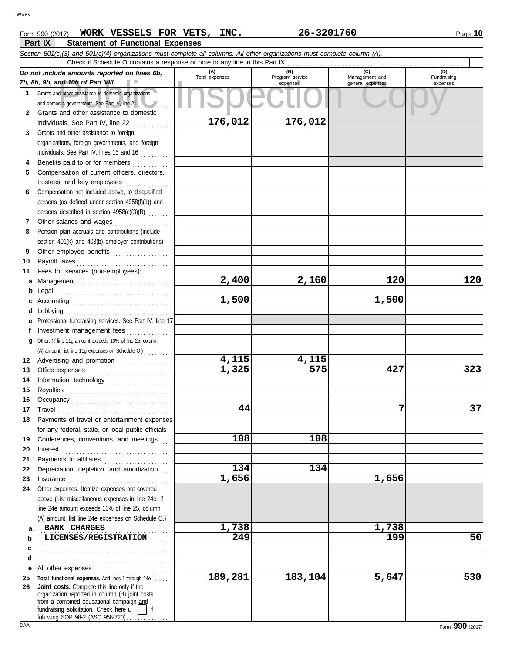| Form 990 (2017) | WORK VESSELS FOR VETS, INC.             |  | 26-3201760                                                                                                                 | Page 10 |
|-----------------|-----------------------------------------|--|----------------------------------------------------------------------------------------------------------------------------|---------|
| <b>Part IX</b>  | <b>Statement of Functional Expenses</b> |  |                                                                                                                            |         |
|                 |                                         |  | Section 501(c)(3) and 501(c)(4) organizations must complete all columns. All other organizations must complete column (A). |         |

|          | $\sigma$ ction oo $(0/5)$ and oo $(0/4)$ organizations must complete all columns. All other organizations must complete column (A).<br>Check if Schedule O contains a response or note to any line in this Part IX                                                                                                                                                                                                                                                                                                          |                |                             |                                    |                         |
|----------|-----------------------------------------------------------------------------------------------------------------------------------------------------------------------------------------------------------------------------------------------------------------------------------------------------------------------------------------------------------------------------------------------------------------------------------------------------------------------------------------------------------------------------|----------------|-----------------------------|------------------------------------|-------------------------|
|          | Do not include amounts reported on lines 6b,                                                                                                                                                                                                                                                                                                                                                                                                                                                                                | (A)            | (B)                         | (C)                                | (D)                     |
|          | 7b, 8b, 9b, and 10b of Part VIII.                                                                                                                                                                                                                                                                                                                                                                                                                                                                                           | Total expenses | Program service<br>expenses | Management and<br>general expenses | Fundraising<br>expenses |
|          | 1 Grants and other assistance to domestic organizations                                                                                                                                                                                                                                                                                                                                                                                                                                                                     |                |                             |                                    |                         |
|          | and domestic governments. See Part IV, line 21                                                                                                                                                                                                                                                                                                                                                                                                                                                                              |                |                             |                                    |                         |
| 2        | Grants and other assistance to domestic                                                                                                                                                                                                                                                                                                                                                                                                                                                                                     |                |                             |                                    |                         |
|          | individuals. See Part IV, line 22                                                                                                                                                                                                                                                                                                                                                                                                                                                                                           | 176,012        | 176,012                     |                                    |                         |
| 3        | Grants and other assistance to foreign                                                                                                                                                                                                                                                                                                                                                                                                                                                                                      |                |                             |                                    |                         |
|          | organizations, foreign governments, and foreign                                                                                                                                                                                                                                                                                                                                                                                                                                                                             |                |                             |                                    |                         |
|          | individuals. See Part IV, lines 15 and 16                                                                                                                                                                                                                                                                                                                                                                                                                                                                                   |                |                             |                                    |                         |
| 4        | Benefits paid to or for members                                                                                                                                                                                                                                                                                                                                                                                                                                                                                             |                |                             |                                    |                         |
| 5        | Compensation of current officers, directors,                                                                                                                                                                                                                                                                                                                                                                                                                                                                                |                |                             |                                    |                         |
|          | trustees, and key employees                                                                                                                                                                                                                                                                                                                                                                                                                                                                                                 |                |                             |                                    |                         |
| 6        | Compensation not included above, to disqualified                                                                                                                                                                                                                                                                                                                                                                                                                                                                            |                |                             |                                    |                         |
|          | persons (as defined under section 4958(f)(1)) and                                                                                                                                                                                                                                                                                                                                                                                                                                                                           |                |                             |                                    |                         |
|          | persons described in section 4958(c)(3)(B)                                                                                                                                                                                                                                                                                                                                                                                                                                                                                  |                |                             |                                    |                         |
| 7        | Other salaries and wages                                                                                                                                                                                                                                                                                                                                                                                                                                                                                                    |                |                             |                                    |                         |
| 8        | Pension plan accruals and contributions (include                                                                                                                                                                                                                                                                                                                                                                                                                                                                            |                |                             |                                    |                         |
|          | section 401(k) and 403(b) employer contributions)                                                                                                                                                                                                                                                                                                                                                                                                                                                                           |                |                             |                                    |                         |
| 9        |                                                                                                                                                                                                                                                                                                                                                                                                                                                                                                                             |                |                             |                                    |                         |
| 10       |                                                                                                                                                                                                                                                                                                                                                                                                                                                                                                                             |                |                             |                                    |                         |
| 11       | Fees for services (non-employees):                                                                                                                                                                                                                                                                                                                                                                                                                                                                                          |                |                             |                                    |                         |
| a        |                                                                                                                                                                                                                                                                                                                                                                                                                                                                                                                             | 2,400          | 2,160                       | 120                                | 120                     |
| b        |                                                                                                                                                                                                                                                                                                                                                                                                                                                                                                                             |                |                             |                                    |                         |
| c        |                                                                                                                                                                                                                                                                                                                                                                                                                                                                                                                             | 1,500          |                             | 1,500                              |                         |
| d        |                                                                                                                                                                                                                                                                                                                                                                                                                                                                                                                             |                |                             |                                    |                         |
| е        | Professional fundraising services. See Part IV, line 17                                                                                                                                                                                                                                                                                                                                                                                                                                                                     |                |                             |                                    |                         |
| f        | Investment management fees                                                                                                                                                                                                                                                                                                                                                                                                                                                                                                  |                |                             |                                    |                         |
| a        | Other. (If line 11g amount exceeds 10% of line 25, column                                                                                                                                                                                                                                                                                                                                                                                                                                                                   |                |                             |                                    |                         |
|          | (A) amount, list line 11g expenses on Schedule O.)                                                                                                                                                                                                                                                                                                                                                                                                                                                                          |                |                             |                                    |                         |
| 12       | Advertising and promotion                                                                                                                                                                                                                                                                                                                                                                                                                                                                                                   | 4,115          | 4,115                       |                                    |                         |
| 13       |                                                                                                                                                                                                                                                                                                                                                                                                                                                                                                                             | 1,325          | 575                         | 427                                | 323                     |
| 14       |                                                                                                                                                                                                                                                                                                                                                                                                                                                                                                                             |                |                             |                                    |                         |
| 15       |                                                                                                                                                                                                                                                                                                                                                                                                                                                                                                                             |                |                             |                                    |                         |
| 16       |                                                                                                                                                                                                                                                                                                                                                                                                                                                                                                                             |                |                             |                                    |                         |
| 17       | $\begin{minipage}[c]{0.9\linewidth} \begin{tabular}{l} \textbf{Travel} \end{tabular} \end{minipage} \end{minipage} \begin{minipage}[c]{0.9\linewidth} \begin{tabular}{l} \textbf{True} \end{tabular} \end{minipage} \end{minipage} \begin{minipage}[c]{0.9\linewidth} \begin{tabular}{l} \textbf{True} \end{tabular} \end{minipage} \end{minipage} \begin{minipage}[c]{0.9\linewidth} \begin{tabular}{l} \textbf{True} \end{tabular} \end{minipage} \end{minipage} \begin{minipage}[c]{0.9\linewidth} \begin{tabular}{l} \$ | 44             |                             | 7                                  | 37                      |
| 18       | Payments of travel or entertainment expenses                                                                                                                                                                                                                                                                                                                                                                                                                                                                                |                |                             |                                    |                         |
|          | for any federal, state, or local public officials                                                                                                                                                                                                                                                                                                                                                                                                                                                                           | 108            | 108                         |                                    |                         |
| 19       | Conferences, conventions, and meetings                                                                                                                                                                                                                                                                                                                                                                                                                                                                                      |                |                             |                                    |                         |
| 20<br>21 | Interest                                                                                                                                                                                                                                                                                                                                                                                                                                                                                                                    |                |                             |                                    |                         |
| 22       | Depreciation, depletion, and amortization                                                                                                                                                                                                                                                                                                                                                                                                                                                                                   | 134            | 134                         |                                    |                         |
| 23       |                                                                                                                                                                                                                                                                                                                                                                                                                                                                                                                             | 1,656          |                             | 1,656                              |                         |
| 24       | Other expenses. Itemize expenses not covered                                                                                                                                                                                                                                                                                                                                                                                                                                                                                |                |                             |                                    |                         |
|          | above (List miscellaneous expenses in line 24e. If                                                                                                                                                                                                                                                                                                                                                                                                                                                                          |                |                             |                                    |                         |
|          | line 24e amount exceeds 10% of line 25, column                                                                                                                                                                                                                                                                                                                                                                                                                                                                              |                |                             |                                    |                         |
|          | (A) amount, list line 24e expenses on Schedule O.)                                                                                                                                                                                                                                                                                                                                                                                                                                                                          |                |                             |                                    |                         |
| a        | BANK CHARGES                                                                                                                                                                                                                                                                                                                                                                                                                                                                                                                | 1,738          |                             | 1,738                              |                         |
| b        | LICENSES/REGISTRATION                                                                                                                                                                                                                                                                                                                                                                                                                                                                                                       | 249            |                             | 199                                | 50                      |
| c        |                                                                                                                                                                                                                                                                                                                                                                                                                                                                                                                             |                |                             |                                    |                         |
| d        |                                                                                                                                                                                                                                                                                                                                                                                                                                                                                                                             |                |                             |                                    |                         |
| е        | All other expenses                                                                                                                                                                                                                                                                                                                                                                                                                                                                                                          |                |                             |                                    |                         |
| 25       | Total functional expenses. Add lines 1 through 24e                                                                                                                                                                                                                                                                                                                                                                                                                                                                          | 189,281        | 183,104                     | 5,647                              | 530                     |
| 26       | Joint costs. Complete this line only if the                                                                                                                                                                                                                                                                                                                                                                                                                                                                                 |                |                             |                                    |                         |
|          | organization reported in column (B) joint costs<br>from a combined educational campaign and                                                                                                                                                                                                                                                                                                                                                                                                                                 |                |                             |                                    |                         |
|          | fundraising solicitation. Check here $\mathbf{u}$<br>if                                                                                                                                                                                                                                                                                                                                                                                                                                                                     |                |                             |                                    |                         |
|          | following SOP 98-2 (ASC 958-720)                                                                                                                                                                                                                                                                                                                                                                                                                                                                                            |                |                             |                                    |                         |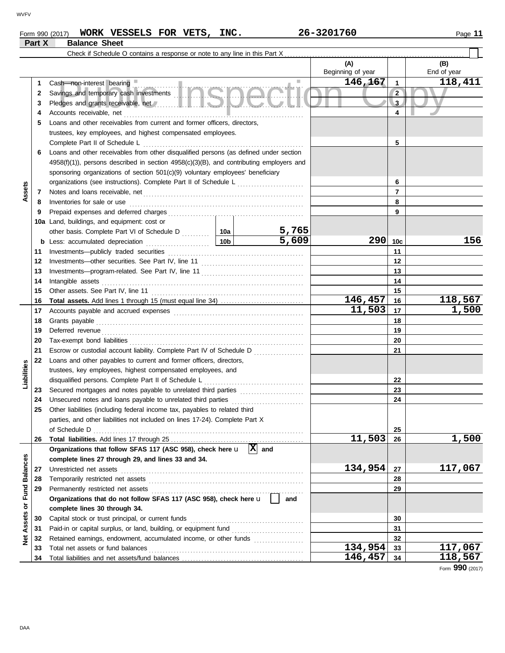**Part X Balance Sheet**

## **Form 990 (2017) WORK VESSELS FOR VETS, INC.** 26-3201760 2000 2001 2009 11

|                      |          | Check if Schedule O contains a response or note to any line in this Part $X_1$ .                                                                                                                                                    |                 |                       |                   |                 |             |
|----------------------|----------|-------------------------------------------------------------------------------------------------------------------------------------------------------------------------------------------------------------------------------------|-----------------|-----------------------|-------------------|-----------------|-------------|
|                      |          |                                                                                                                                                                                                                                     |                 |                       | (A)               |                 | (B)         |
|                      |          |                                                                                                                                                                                                                                     |                 |                       | Beginning of year |                 | End of year |
|                      | 1        | Cash-non-interest bearing                                                                                                                                                                                                           |                 |                       | 146,167           | 1               | 118,411     |
|                      | 2        | Savings and temporary cash investments and the contract of the savings and temporary cash investments                                                                                                                               |                 |                       |                   | $\overline{2}$  |             |
|                      | 3        | Pledges and grants receivable, net <b>All and School and School and School and School and School and School and School</b>                                                                                                          |                 |                       |                   | $\mathbf{3}$    |             |
|                      | 4        | Accounts receivable, net                                                                                                                                                                                                            |                 |                       |                   | 4               |             |
|                      | 5        | Loans and other receivables from current and former officers, directors,                                                                                                                                                            |                 |                       |                   |                 |             |
|                      |          | trustees, key employees, and highest compensated employees.                                                                                                                                                                         |                 |                       |                   |                 |             |
|                      |          | Complete Part II of Schedule L                                                                                                                                                                                                      |                 |                       |                   | 5               |             |
|                      | 6        | Loans and other receivables from other disqualified persons (as defined under section                                                                                                                                               |                 |                       |                   |                 |             |
|                      |          | $4958(f)(1)$ ), persons described in section $4958(c)(3)(B)$ , and contributing employers and                                                                                                                                       |                 |                       |                   |                 |             |
|                      |          | sponsoring organizations of section 501(c)(9) voluntary employees' beneficiary                                                                                                                                                      |                 |                       |                   |                 |             |
|                      |          |                                                                                                                                                                                                                                     |                 |                       |                   | 6               |             |
| Assets               | 7        |                                                                                                                                                                                                                                     |                 |                       |                   | 7               |             |
|                      | 8        | Inventories for sale or use                                                                                                                                                                                                         |                 |                       |                   | 8               |             |
|                      | 9        |                                                                                                                                                                                                                                     |                 |                       |                   | 9               |             |
|                      |          | 10a Land, buildings, and equipment: cost or                                                                                                                                                                                         |                 |                       |                   |                 |             |
|                      |          | other basis. Complete Part VI of Schedule D                                                                                                                                                                                         | 10a             | <u>5,765</u>          |                   |                 |             |
|                      |          | <b>b</b> Less: accumulated depreciation                                                                                                                                                                                             | 10 <sub>b</sub> | 5,609                 | 290               | 10 <sub>c</sub> | 156         |
|                      | 11       | Investments-publicly traded securities                                                                                                                                                                                              |                 |                       |                   | 11              |             |
|                      | 12       |                                                                                                                                                                                                                                     |                 |                       |                   | 12              |             |
|                      | 13       |                                                                                                                                                                                                                                     |                 |                       |                   | 13              |             |
|                      | 14       | Intangible assets                                                                                                                                                                                                                   |                 | 14                    |                   |                 |             |
|                      | 15       |                                                                                                                                                                                                                                     |                 |                       |                   | 15              |             |
|                      | 16       |                                                                                                                                                                                                                                     |                 |                       | <u>146,457</u>    | 16              | 118,567     |
|                      | 17       |                                                                                                                                                                                                                                     |                 |                       | 11,503            | 17              | 1,500       |
|                      | 18       | Grants payable <i>communication</i> and all the contract of the contract of the contract of the contract of the contract of the contract of the contract of the contract of the contract of the contract of the contract of the con |                 |                       |                   | 18              |             |
|                      | 19       | Deferred revenue                                                                                                                                                                                                                    |                 |                       |                   | 19              |             |
|                      | 20       |                                                                                                                                                                                                                                     |                 |                       |                   | 20              |             |
|                      | 21       | Escrow or custodial account liability. Complete Part IV of Schedule D                                                                                                                                                               |                 |                       |                   | 21              |             |
|                      | 22       | Loans and other payables to current and former officers, directors,                                                                                                                                                                 |                 |                       |                   |                 |             |
| Liabilities          |          | trustees, key employees, highest compensated employees, and                                                                                                                                                                         |                 |                       |                   |                 |             |
|                      |          |                                                                                                                                                                                                                                     |                 |                       |                   | 22              |             |
|                      | 23       |                                                                                                                                                                                                                                     |                 |                       |                   | 23              |             |
|                      | 24       | Unsecured notes and loans payable to unrelated third parties                                                                                                                                                                        |                 |                       |                   | 24              |             |
|                      | 25       | Other liabilities (including federal income tax, payables to related third                                                                                                                                                          |                 |                       |                   |                 |             |
|                      |          | parties, and other liabilities not included on lines 17-24). Complete Part X                                                                                                                                                        |                 |                       |                   |                 |             |
|                      |          | of Schedule D                                                                                                                                                                                                                       |                 |                       |                   | 25              |             |
|                      | 26       |                                                                                                                                                                                                                                     |                 | $ \mathbf{x} $<br>and | 11,503            | 26              | 1,500       |
|                      |          | Organizations that follow SFAS 117 (ASC 958), check here u                                                                                                                                                                          |                 |                       |                   |                 |             |
|                      |          | complete lines 27 through 29, and lines 33 and 34.<br>Unrestricted net assets                                                                                                                                                       |                 |                       | 134,954           | 27              | 117,067     |
|                      | 27<br>28 | Temporarily restricted net assets                                                                                                                                                                                                   |                 |                       |                   | 28              |             |
| <b>Fund Balances</b> | 29       | Permanently restricted net assets                                                                                                                                                                                                   |                 |                       |                   | 29              |             |
|                      |          | Organizations that do not follow SFAS 117 (ASC 958), check here u                                                                                                                                                                   |                 | and                   |                   |                 |             |
| ৯                    |          | complete lines 30 through 34.                                                                                                                                                                                                       |                 |                       |                   |                 |             |
|                      | 30       | Capital stock or trust principal, or current funds                                                                                                                                                                                  |                 |                       |                   | 30              |             |
| <b>Net Assets</b>    | 31       | Paid-in or capital surplus, or land, building, or equipment fund                                                                                                                                                                    |                 |                       |                   | 31              |             |
|                      | 32       | Retained earnings, endowment, accumulated income, or other funds                                                                                                                                                                    |                 |                       |                   | 32              |             |
|                      | 33       | Total net assets or fund balances                                                                                                                                                                                                   |                 |                       | 134,954           | 33              | 117,067     |
|                      | 34       |                                                                                                                                                                                                                                     |                 |                       | 146,457           | 34              | 118,567     |

Form **990** (2017)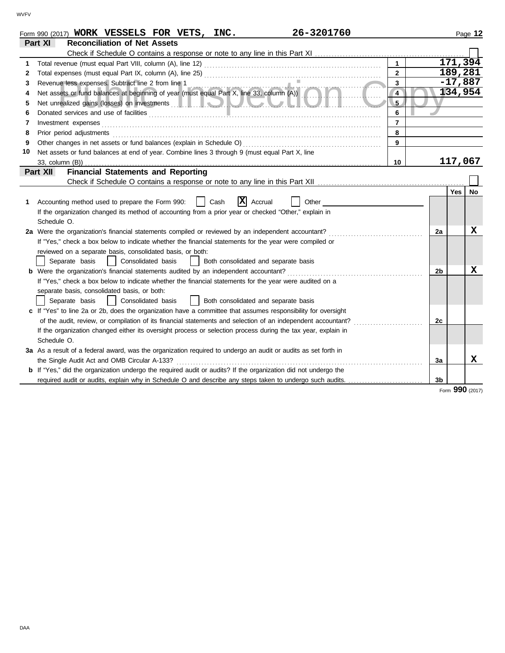|    | 26-3201760<br>Form 990 (2017) WORK VESSELS FOR VETS, INC.                                                                                                                                                                                 |                |                |           | Page 12 |
|----|-------------------------------------------------------------------------------------------------------------------------------------------------------------------------------------------------------------------------------------------|----------------|----------------|-----------|---------|
|    | Part XI<br><b>Reconciliation of Net Assets</b>                                                                                                                                                                                            |                |                |           |         |
|    |                                                                                                                                                                                                                                           |                |                |           |         |
|    | Total revenue (must equal Part VIII, column (A), line 12) <i>[[Clearedon]</i> [ <i>[Clearedon]</i> [[Clearedon] [[Clearedon] [[Clearedon] [[Clearedon] [[Clearedon] [[Clearedon] [[Clearedon] [[Clearedon] [[Clearedon] [[Clearedon] [[Cl | $\mathbf{1}$   |                | 171,394   |         |
| 2  |                                                                                                                                                                                                                                           | $\mathbf{2}$   |                | 189,281   |         |
| 3  |                                                                                                                                                                                                                                           | 3 <sup>1</sup> |                | $-17,887$ |         |
| 4  | Revenue less expenses. Subtract line 2 from line 1<br>Net assets or fund balances at beginning of year (must equal Part X, line 33, column (A))                                                                                           | $\overline{4}$ |                | 134,954   |         |
| 5  |                                                                                                                                                                                                                                           | 5 <sub>2</sub> |                |           |         |
| 6  |                                                                                                                                                                                                                                           | 6              |                |           |         |
| 7  | Investment expenses                                                                                                                                                                                                                       | $\overline{7}$ |                |           |         |
| 8  | Prior period adjustments [11] production and the contract of the contract of the contract of the contract of the contract of the contract of the contract of the contract of the contract of the contract of the contract of t            | 8              |                |           |         |
| 9  |                                                                                                                                                                                                                                           | $\mathbf{Q}$   |                |           |         |
| 10 | Net assets or fund balances at end of year. Combine lines 3 through 9 (must equal Part X, line                                                                                                                                            |                |                |           |         |
|    |                                                                                                                                                                                                                                           | 10             |                | 117,067   |         |
|    | <b>Financial Statements and Reporting</b><br>Part XII                                                                                                                                                                                     |                |                |           |         |
|    |                                                                                                                                                                                                                                           |                |                |           |         |
|    |                                                                                                                                                                                                                                           |                |                | Yes       | No.     |
| 1  | $ \mathbf{X} $ Accrual<br>Accounting method used to prepare the Form 990:<br>Cash<br>Other                                                                                                                                                |                |                |           |         |
|    | If the organization changed its method of accounting from a prior year or checked "Other," explain in                                                                                                                                     |                |                |           |         |
|    | Schedule O.                                                                                                                                                                                                                               |                |                |           |         |
|    | 2a Were the organization's financial statements compiled or reviewed by an independent accountant?                                                                                                                                        |                | 2a             |           | x       |
|    | If "Yes," check a box below to indicate whether the financial statements for the year were compiled or                                                                                                                                    |                |                |           |         |
|    | reviewed on a separate basis, consolidated basis, or both:                                                                                                                                                                                |                |                |           |         |
|    | Separate basis<br>  Consolidated basis<br>Both consolidated and separate basis<br>$\Box$                                                                                                                                                  |                |                |           |         |
|    |                                                                                                                                                                                                                                           |                | 2 <sub>b</sub> |           | x       |
|    | If "Yes," check a box below to indicate whether the financial statements for the year were audited on a                                                                                                                                   |                |                |           |         |
|    | separate basis, consolidated basis, or both:                                                                                                                                                                                              |                |                |           |         |
|    | Consolidated basis<br>  Both consolidated and separate basis<br>Separate basis                                                                                                                                                            |                |                |           |         |
|    | c If "Yes" to line 2a or 2b, does the organization have a committee that assumes responsibility for oversight                                                                                                                             |                |                |           |         |
|    | of the audit, review, or compilation of its financial statements and selection of an independent accountant?                                                                                                                              |                | 2c             |           |         |
|    | If the organization changed either its oversight process or selection process during the tax year, explain in                                                                                                                             |                |                |           |         |
|    | Schedule O.                                                                                                                                                                                                                               |                |                |           |         |
|    | 3a As a result of a federal award, was the organization required to undergo an audit or audits as set forth in                                                                                                                            |                |                |           |         |
|    | the Single Audit Act and OMB Circular A-133?                                                                                                                                                                                              |                | За             |           | x       |
|    | b If "Yes," did the organization undergo the required audit or audits? If the organization did not undergo the                                                                                                                            |                |                |           |         |
|    | required audit or audits, explain why in Schedule O and describe any steps taken to undergo such audits.                                                                                                                                  |                | 3 <sub>b</sub> |           |         |

Form **990** (2017)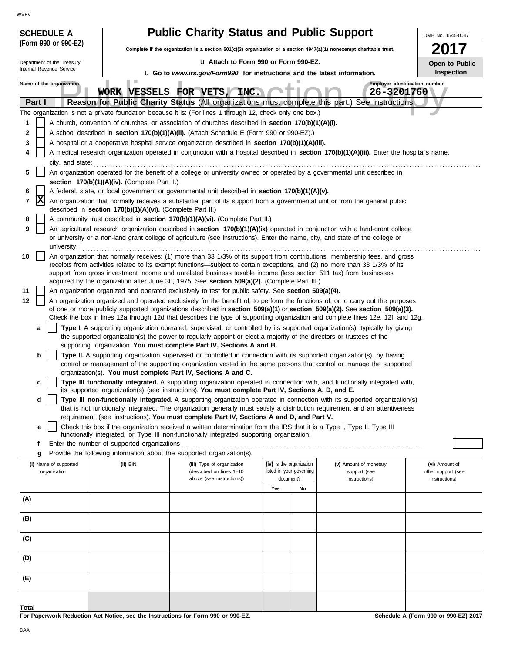$\sqrt{N}$ 

| <b>WVFV</b>                |                                                                                                                                                                                                                                                                                     |                                               |                                                                                                                                                                                                                                                  |     |                          |                                                                                                                                                                                                                                                                |                    |  |  |  |
|----------------------------|-------------------------------------------------------------------------------------------------------------------------------------------------------------------------------------------------------------------------------------------------------------------------------------|-----------------------------------------------|--------------------------------------------------------------------------------------------------------------------------------------------------------------------------------------------------------------------------------------------------|-----|--------------------------|----------------------------------------------------------------------------------------------------------------------------------------------------------------------------------------------------------------------------------------------------------------|--------------------|--|--|--|
| <b>SCHEDULE A</b>          |                                                                                                                                                                                                                                                                                     |                                               | <b>Public Charity Status and Public Support</b>                                                                                                                                                                                                  |     |                          |                                                                                                                                                                                                                                                                | OMB No. 1545-0047  |  |  |  |
| (Form 990 or 990-EZ)       |                                                                                                                                                                                                                                                                                     |                                               | Complete if the organization is a section $501(c)(3)$ organization or a section $4947(a)(1)$ nonexempt charitable trust.                                                                                                                         |     |                          |                                                                                                                                                                                                                                                                |                    |  |  |  |
| Department of the Treasury |                                                                                                                                                                                                                                                                                     |                                               | La Attach to Form 990 or Form 990-EZ.                                                                                                                                                                                                            |     |                          |                                                                                                                                                                                                                                                                | Open to Public     |  |  |  |
| Internal Revenue Service   |                                                                                                                                                                                                                                                                                     |                                               | <b>u</b> Go to www.irs.gov/Form990 for instructions and the latest information.                                                                                                                                                                  |     |                          |                                                                                                                                                                                                                                                                | <b>Inspection</b>  |  |  |  |
| Name of the organization   |                                                                                                                                                                                                                                                                                     | WORK VESSELS FOR VETS,                        | INC.                                                                                                                                                                                                                                             |     |                          | Employer identification number<br>26-3201760                                                                                                                                                                                                                   |                    |  |  |  |
| Part I                     |                                                                                                                                                                                                                                                                                     |                                               |                                                                                                                                                                                                                                                  |     |                          | Reason for Public Charity Status (All organizations must complete this part.) See instructions.                                                                                                                                                                |                    |  |  |  |
|                            |                                                                                                                                                                                                                                                                                     |                                               | The organization is not a private foundation because it is: (For lines 1 through 12, check only one box.)                                                                                                                                        |     |                          |                                                                                                                                                                                                                                                                |                    |  |  |  |
| 1                          |                                                                                                                                                                                                                                                                                     |                                               | A church, convention of churches, or association of churches described in section 170(b)(1)(A)(i).                                                                                                                                               |     |                          |                                                                                                                                                                                                                                                                |                    |  |  |  |
| 2                          |                                                                                                                                                                                                                                                                                     |                                               | A school described in section 170(b)(1)(A)(ii). (Attach Schedule E (Form 990 or 990-EZ).)                                                                                                                                                        |     |                          |                                                                                                                                                                                                                                                                |                    |  |  |  |
| 3<br>4                     |                                                                                                                                                                                                                                                                                     |                                               | A hospital or a cooperative hospital service organization described in section 170(b)(1)(A)(iii).                                                                                                                                                |     |                          | A medical research organization operated in conjunction with a hospital described in section 170(b)(1)(A)(iii). Enter the hospital's name,                                                                                                                     |                    |  |  |  |
|                            | city, and state:                                                                                                                                                                                                                                                                    |                                               |                                                                                                                                                                                                                                                  |     |                          |                                                                                                                                                                                                                                                                |                    |  |  |  |
| 5                          |                                                                                                                                                                                                                                                                                     |                                               | An organization operated for the benefit of a college or university owned or operated by a governmental unit described in                                                                                                                        |     |                          |                                                                                                                                                                                                                                                                |                    |  |  |  |
| 6                          |                                                                                                                                                                                                                                                                                     | section 170(b)(1)(A)(iv). (Complete Part II.) |                                                                                                                                                                                                                                                  |     |                          |                                                                                                                                                                                                                                                                |                    |  |  |  |
| x<br>7                     | A federal, state, or local government or governmental unit described in section 170(b)(1)(A)(v).<br>An organization that normally receives a substantial part of its support from a governmental unit or from the general public                                                    |                                               |                                                                                                                                                                                                                                                  |     |                          |                                                                                                                                                                                                                                                                |                    |  |  |  |
|                            | described in section 170(b)(1)(A)(vi). (Complete Part II.)                                                                                                                                                                                                                          |                                               |                                                                                                                                                                                                                                                  |     |                          |                                                                                                                                                                                                                                                                |                    |  |  |  |
| 8                          |                                                                                                                                                                                                                                                                                     |                                               | A community trust described in section 170(b)(1)(A)(vi). (Complete Part II.)                                                                                                                                                                     |     |                          |                                                                                                                                                                                                                                                                |                    |  |  |  |
|                            | 9<br>An agricultural research organization described in section 170(b)(1)(A)(ix) operated in conjunction with a land-grant college<br>or university or a non-land grant college of agriculture (see instructions). Enter the name, city, and state of the college or<br>university: |                                               |                                                                                                                                                                                                                                                  |     |                          |                                                                                                                                                                                                                                                                |                    |  |  |  |
| 10                         |                                                                                                                                                                                                                                                                                     |                                               |                                                                                                                                                                                                                                                  |     |                          | An organization that normally receives: (1) more than 33 1/3% of its support from contributions, membership fees, and gross                                                                                                                                    |                    |  |  |  |
|                            |                                                                                                                                                                                                                                                                                     |                                               | receipts from activities related to its exempt functions—subject to certain exceptions, and (2) no more than 33 1/3% of its<br>support from gross investment income and unrelated business taxable income (less section 511 tax) from businesses |     |                          |                                                                                                                                                                                                                                                                |                    |  |  |  |
|                            |                                                                                                                                                                                                                                                                                     |                                               | acquired by the organization after June 30, 1975. See section 509(a)(2). (Complete Part III.)                                                                                                                                                    |     |                          |                                                                                                                                                                                                                                                                |                    |  |  |  |
| 11                         |                                                                                                                                                                                                                                                                                     |                                               | An organization organized and operated exclusively to test for public safety. See section 509(a)(4).                                                                                                                                             |     |                          |                                                                                                                                                                                                                                                                |                    |  |  |  |
| 12                         |                                                                                                                                                                                                                                                                                     |                                               |                                                                                                                                                                                                                                                  |     |                          | An organization organized and operated exclusively for the benefit of, to perform the functions of, or to carry out the purposes                                                                                                                               |                    |  |  |  |
|                            |                                                                                                                                                                                                                                                                                     |                                               |                                                                                                                                                                                                                                                  |     |                          | of one or more publicly supported organizations described in section 509(a)(1) or section 509(a)(2). See section 509(a)(3).<br>Check the box in lines 12a through 12d that describes the type of supporting organization and complete lines 12e, 12f, and 12g. |                    |  |  |  |
| a                          |                                                                                                                                                                                                                                                                                     |                                               |                                                                                                                                                                                                                                                  |     |                          | Type I. A supporting organization operated, supervised, or controlled by its supported organization(s), typically by giving                                                                                                                                    |                    |  |  |  |
|                            |                                                                                                                                                                                                                                                                                     |                                               | the supported organization(s) the power to regularly appoint or elect a majority of the directors or trustees of the<br>supporting organization. You must complete Part IV, Sections A and B.                                                    |     |                          |                                                                                                                                                                                                                                                                |                    |  |  |  |
| b                          |                                                                                                                                                                                                                                                                                     |                                               | Type II. A supporting organization supervised or controlled in connection with its supported organization(s), by having                                                                                                                          |     |                          |                                                                                                                                                                                                                                                                |                    |  |  |  |
|                            |                                                                                                                                                                                                                                                                                     |                                               |                                                                                                                                                                                                                                                  |     |                          | control or management of the supporting organization vested in the same persons that control or manage the supported                                                                                                                                           |                    |  |  |  |
|                            |                                                                                                                                                                                                                                                                                     |                                               | organization(s). You must complete Part IV, Sections A and C.                                                                                                                                                                                    |     |                          | Type III functionally integrated. A supporting organization operated in connection with, and functionally integrated with,                                                                                                                                     |                    |  |  |  |
|                            |                                                                                                                                                                                                                                                                                     |                                               | its supported organization(s) (see instructions). You must complete Part IV, Sections A, D, and E.                                                                                                                                               |     |                          |                                                                                                                                                                                                                                                                |                    |  |  |  |
| d                          |                                                                                                                                                                                                                                                                                     |                                               |                                                                                                                                                                                                                                                  |     |                          | Type III non-functionally integrated. A supporting organization operated in connection with its supported organization(s)<br>that is not functionally integrated. The organization generally must satisfy a distribution requirement and an attentiveness      |                    |  |  |  |
|                            |                                                                                                                                                                                                                                                                                     |                                               | requirement (see instructions). You must complete Part IV, Sections A and D, and Part V.<br>Check this box if the organization received a written determination from the IRS that it is a Type I, Type II, Type III                              |     |                          |                                                                                                                                                                                                                                                                |                    |  |  |  |
| е                          |                                                                                                                                                                                                                                                                                     |                                               | functionally integrated, or Type III non-functionally integrated supporting organization.                                                                                                                                                        |     |                          |                                                                                                                                                                                                                                                                |                    |  |  |  |
| f                          |                                                                                                                                                                                                                                                                                     | Enter the number of supported organizations   |                                                                                                                                                                                                                                                  |     |                          |                                                                                                                                                                                                                                                                |                    |  |  |  |
| g<br>(i) Name of supported |                                                                                                                                                                                                                                                                                     | (ii) EIN                                      | Provide the following information about the supported organization(s).<br>(iii) Type of organization                                                                                                                                             |     | (iv) Is the organization | (v) Amount of monetary                                                                                                                                                                                                                                         | (vi) Amount of     |  |  |  |
| organization               |                                                                                                                                                                                                                                                                                     |                                               | (described on lines 1-10                                                                                                                                                                                                                         |     | listed in your governing | support (see                                                                                                                                                                                                                                                   | other support (see |  |  |  |
|                            |                                                                                                                                                                                                                                                                                     |                                               | above (see instructions))                                                                                                                                                                                                                        | Yes | document?<br>No          | instructions)                                                                                                                                                                                                                                                  | instructions)      |  |  |  |
| (A)                        |                                                                                                                                                                                                                                                                                     |                                               |                                                                                                                                                                                                                                                  |     |                          |                                                                                                                                                                                                                                                                |                    |  |  |  |
| (B)                        |                                                                                                                                                                                                                                                                                     |                                               |                                                                                                                                                                                                                                                  |     |                          |                                                                                                                                                                                                                                                                |                    |  |  |  |
|                            |                                                                                                                                                                                                                                                                                     |                                               |                                                                                                                                                                                                                                                  |     |                          |                                                                                                                                                                                                                                                                |                    |  |  |  |
| (C)                        |                                                                                                                                                                                                                                                                                     |                                               |                                                                                                                                                                                                                                                  |     |                          |                                                                                                                                                                                                                                                                |                    |  |  |  |
| (D)                        |                                                                                                                                                                                                                                                                                     |                                               |                                                                                                                                                                                                                                                  |     |                          |                                                                                                                                                                                                                                                                |                    |  |  |  |
| (E)                        |                                                                                                                                                                                                                                                                                     |                                               |                                                                                                                                                                                                                                                  |     |                          |                                                                                                                                                                                                                                                                |                    |  |  |  |
| <b>Total</b>               |                                                                                                                                                                                                                                                                                     |                                               |                                                                                                                                                                                                                                                  |     |                          |                                                                                                                                                                                                                                                                |                    |  |  |  |

**For Paperwork Reduction Act Notice, see the Instructions for Form 990 or 990-EZ.**

**Schedule A (Form 990 or 990-EZ) 2017**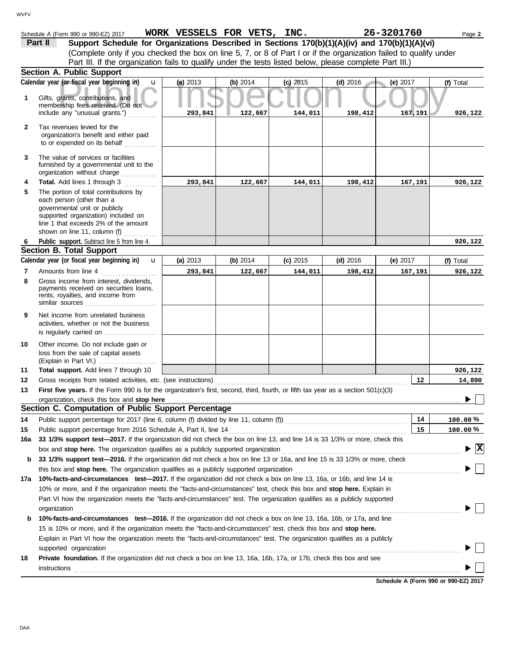| <b>VVFV</b>  |                                                                                                                                                                                                                                                                                                                                                                           |                             |          |            |            |            |                                    |
|--------------|---------------------------------------------------------------------------------------------------------------------------------------------------------------------------------------------------------------------------------------------------------------------------------------------------------------------------------------------------------------------------|-----------------------------|----------|------------|------------|------------|------------------------------------|
|              |                                                                                                                                                                                                                                                                                                                                                                           |                             |          |            |            |            |                                    |
|              | Schedule A (Form 990 or 990-EZ) 2017                                                                                                                                                                                                                                                                                                                                      | WORK VESSELS FOR VETS, INC. |          |            |            | 26-3201760 | Page 2                             |
|              | Support Schedule for Organizations Described in Sections 170(b)(1)(A)(iv) and 170(b)(1)(A)(vi)<br>Part II<br>(Complete only if you checked the box on line 5, 7, or 8 of Part I or if the organization failed to qualify under                                                                                                                                            |                             |          |            |            |            |                                    |
|              | Part III. If the organization fails to qualify under the tests listed below, please complete Part III.)                                                                                                                                                                                                                                                                   |                             |          |            |            |            |                                    |
|              | Section A. Public Support<br>Calendar year (or fiscal year beginning in)                                                                                                                                                                                                                                                                                                  | (a) 2013                    | (b) 2014 |            |            |            |                                    |
|              | $\mathbf{u}$                                                                                                                                                                                                                                                                                                                                                              |                             |          | $(c)$ 2015 | $(d)$ 2016 | (e) $2017$ | (f) Total                          |
| 1            | Gifts, grants, contributions, and<br>membership fees received. (Do not<br>include any "unusual grants.")                                                                                                                                                                                                                                                                  | 293,841                     | 122,667  | 144,011    | 198,412    | 167,191    | 926,122                            |
| $\mathbf{2}$ | Tax revenues levied for the<br>organization's benefit and either paid<br>to or expended on its behalf<br>in a bheala                                                                                                                                                                                                                                                      |                             |          |            |            |            |                                    |
| 3            | The value of services or facilities<br>furnished by a governmental unit to the<br>organization without charge                                                                                                                                                                                                                                                             |                             |          |            |            |            |                                    |
| 4            | Total. Add lines 1 through 3                                                                                                                                                                                                                                                                                                                                              | 293,841                     | 122,667  | 144,011    | 198,412    | 167,191    | 926,122                            |
| 5            | The portion of total contributions by<br>each person (other than a<br>governmental unit or publicly<br>supported organization) included on<br>line 1 that exceeds 2% of the amount<br>shown on line 11, column (f)                                                                                                                                                        |                             |          |            |            |            |                                    |
| 6            | Public_support. Subtract line 5 from line 4.                                                                                                                                                                                                                                                                                                                              |                             |          |            |            |            | 926,122                            |
|              | <b>Section B. Total Support</b>                                                                                                                                                                                                                                                                                                                                           |                             |          |            |            |            |                                    |
|              | Calendar year (or fiscal year beginning in)<br>$\mathbf{u}$                                                                                                                                                                                                                                                                                                               | (a) $2013$                  | (b) 2014 | $(c)$ 2015 | (d) $2016$ | (e) 2017   | (f) Total                          |
| 7            | Amounts from line 4                                                                                                                                                                                                                                                                                                                                                       | 293,841                     | 122,667  | 144,011    | 198,412    | 167,191    | 926,122                            |
| 8            | Gross income from interest, dividends,<br>payments received on securities loans,<br>rents, royalties, and income from<br>similar sources                                                                                                                                                                                                                                  |                             |          |            |            |            |                                    |
| 9            | Net income from unrelated business<br>activities, whether or not the business<br>is regularly carried on $\ldots$ , $\ldots$                                                                                                                                                                                                                                              |                             |          |            |            |            |                                    |
| 10           | Other income. Do not include gain or<br>loss from the sale of capital assets<br>(Explain in Part VI.)                                                                                                                                                                                                                                                                     |                             |          |            |            |            |                                    |
| 11           | Total support. Add lines 7 through 10                                                                                                                                                                                                                                                                                                                                     |                             |          |            |            |            | 926,122                            |
| 12           |                                                                                                                                                                                                                                                                                                                                                                           |                             |          |            |            | 12         | 14,890                             |
| 13           | First five years. If the Form 990 is for the organization's first, second, third, fourth, or fifth tax year as a section 501(c)(3)                                                                                                                                                                                                                                        |                             |          |            |            |            |                                    |
|              |                                                                                                                                                                                                                                                                                                                                                                           |                             |          |            |            |            |                                    |
|              | Section C. Computation of Public Support Percentage                                                                                                                                                                                                                                                                                                                       |                             |          |            |            |            |                                    |
| 14           | Public support percentage for 2017 (line 6, column (f) divided by line 11, column (f)) [[[[[[[[[[[[[[[[[[[[[[                                                                                                                                                                                                                                                             |                             |          |            |            | 14         | 100.00%                            |
| 15           | 33 1/3% support test-2017. If the organization did not check the box on line 13, and line 14 is 33 1/3% or more, check this                                                                                                                                                                                                                                               |                             |          |            |            | 15         | 100.00%                            |
| 16a          |                                                                                                                                                                                                                                                                                                                                                                           |                             |          |            |            |            | $\blacktriangleright$ $\mathbf{X}$ |
| b            | 33 1/3% support test-2016. If the organization did not check a box on line 13 or 16a, and line 15 is 33 1/3% or more, check                                                                                                                                                                                                                                               |                             |          |            |            |            |                                    |
|              |                                                                                                                                                                                                                                                                                                                                                                           |                             |          |            |            |            |                                    |
| 17a          | 10%-facts-and-circumstances test-2017. If the organization did not check a box on line 13, 16a, or 16b, and line 14 is                                                                                                                                                                                                                                                    |                             |          |            |            |            |                                    |
|              | 10% or more, and if the organization meets the "facts-and-circumstances" test, check this box and stop here. Explain in<br>Part VI how the organization meets the "facts-and-circumstances" test. The organization qualifies as a publicly supported                                                                                                                      |                             |          |            |            |            |                                    |
|              | organization                                                                                                                                                                                                                                                                                                                                                              |                             |          |            |            |            |                                    |
| b            | 10%-facts-and-circumstances test-2016. If the organization did not check a box on line 13, 16a, 16b, or 17a, and line<br>15 is 10% or more, and if the organization meets the "facts-and-circumstances" test, check this box and stop here.<br>Explain in Part VI how the organization meets the "facts-and-circumstances" test. The organization qualifies as a publicly |                             |          |            |            |            |                                    |
|              | supported organization examples and construct or construction of the construction of the construction of the construction of the construction of the construction of the construction of the construction of the construction                                                                                                                                             |                             |          |            |            |            |                                    |
| 18           | Private foundation. If the organization did not check a box on line 13, 16a, 16b, 17a, or 17b, check this box and see                                                                                                                                                                                                                                                     |                             |          |            |            |            |                                    |
|              | instructions                                                                                                                                                                                                                                                                                                                                                              |                             |          |            |            |            |                                    |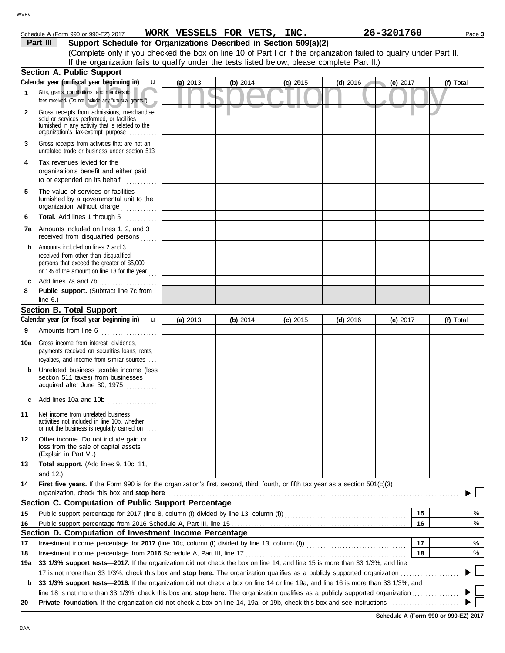# Schedule A (Form 990 or 990-EZ) 2017 Page **3 WORK VESSELS FOR VETS, INC. 26-3201760**

**Part III Support Schedule for Organizations Described in Section 509(a)(2)** (Complete only if you checked the box on line 10 of Part I or if the organization failed to qualify under Part II. If the organization fails to qualify under the tests listed below, please complete Part II.)

|              | <b>Section A. Public Support</b>                                                                                                                                                  |            |          |            |            |            |           |
|--------------|-----------------------------------------------------------------------------------------------------------------------------------------------------------------------------------|------------|----------|------------|------------|------------|-----------|
|              | Calendar year (or fiscal year beginning in)<br>u                                                                                                                                  | (a) 2013   | (b) 2014 | $(c)$ 2015 | $(d)$ 2016 | (e) 2017   | (f) Total |
| 1            | Gifts, grants, contributions, and membership<br>fees received. (Do not include any "unusual grants.")                                                                             |            |          |            |            |            |           |
| $\mathbf{2}$ | Gross receipts from admissions, merchandise<br>sold or services performed, or facilities<br>furnished in any activity that is related to the<br>organization's tax-exempt purpose |            |          |            |            |            |           |
| 3            | Gross receipts from activities that are not an<br>unrelated trade or business under section 513                                                                                   |            |          |            |            |            |           |
| 4            | Tax revenues levied for the<br>organization's benefit and either paid<br>to or expended on its behalf<br>.                                                                        |            |          |            |            |            |           |
| 5            | The value of services or facilities<br>furnished by a governmental unit to the<br>organization without charge                                                                     |            |          |            |            |            |           |
| 6            | Total. Add lines 1 through 5<br>.                                                                                                                                                 |            |          |            |            |            |           |
| 7a           | Amounts included on lines 1, 2, and 3<br>received from disqualified persons<br>.                                                                                                  |            |          |            |            |            |           |
| b            | Amounts included on lines 2 and 3<br>received from other than disqualified<br>persons that exceed the greater of \$5,000<br>or 1% of the amount on line 13 for the year           |            |          |            |            |            |           |
| c            | Add lines 7a and 7b<br>.                                                                                                                                                          |            |          |            |            |            |           |
| 8            | Public support. (Subtract line 7c from                                                                                                                                            |            |          |            |            |            |           |
|              | line 6.) $\ldots$ $\ldots$ $\ldots$ $\ldots$ $\ldots$ $\ldots$ $\ldots$<br><b>Section B. Total Support</b>                                                                        |            |          |            |            |            |           |
|              | Calendar year (or fiscal year beginning in)<br>$\mathbf{u}$                                                                                                                       | (a) $2013$ | (b) 2014 | $(c)$ 2015 | $(d)$ 2016 | (e) $2017$ | (f) Total |
| 9            | Amounts from line 6                                                                                                                                                               |            |          |            |            |            |           |
| 10a          | Gross income from interest, dividends,<br>payments received on securities loans, rents,<br>royalties, and income from similar sources                                             |            |          |            |            |            |           |
| b            | Unrelated business taxable income (less<br>section 511 taxes) from businesses<br>acquired after June 30, 1975                                                                     |            |          |            |            |            |           |
| c            | Add lines 10a and 10b                                                                                                                                                             |            |          |            |            |            |           |
| 11           | Net income from unrelated business<br>activities not included in line 10b, whether<br>or not the business is regularly carried on                                                 |            |          |            |            |            |           |
| 12           | Other income. Do not include gain or<br>loss from the sale of capital assets<br>(Explain in Part VI.)                                                                             |            |          |            |            |            |           |
| 13           | Total support. (Add lines 9, 10c, 11,<br>and 12.)                                                                                                                                 |            |          |            |            |            |           |
| 14           | First five vears. If the Form 990 is for the organization's first, second, third, fourth, or fifth tax vear as a section 501(c)(3)<br>organization, check this box and stop here  |            |          |            |            |            |           |
|              | Section C. Computation of Public Support Percentage                                                                                                                               |            |          |            |            |            |           |
| 15           | Public support percentage for 2017 (line 8, column (f) divided by line 13, column (f)) [[[[[[[[[[[[[[[[[[[[[[                                                                     |            |          |            |            | 15         | %         |
| 16           |                                                                                                                                                                                   |            |          |            |            | 16         | %         |
|              | Section D. Computation of Investment Income Percentage                                                                                                                            |            |          |            |            |            |           |
| 17           | Investment income percentage for 2017 (line 10c, column (f) divided by line 13, column (f)) [[[[[[[[[[[[[[[[[[                                                                    |            |          |            |            | 17         | %         |
| 18           | Investment income percentage from 2016 Schedule A, Part III, line 17                                                                                                              |            |          |            |            | 18         | %         |
| 19a          | 33 1/3% support tests-2017. If the organization did not check the box on line 14, and line 15 is more than 33 1/3%, and line                                                      |            |          |            |            |            |           |
|              |                                                                                                                                                                                   |            |          |            |            |            |           |
| b            | 33 1/3% support tests-2016. If the organization did not check a box on line 14 or line 19a, and line 16 is more than 33 1/3%, and                                                 |            |          |            |            |            |           |
|              |                                                                                                                                                                                   |            |          |            |            |            |           |
| 20           |                                                                                                                                                                                   |            |          |            |            |            |           |

**Schedule A (Form 990 or 990-EZ) 2017**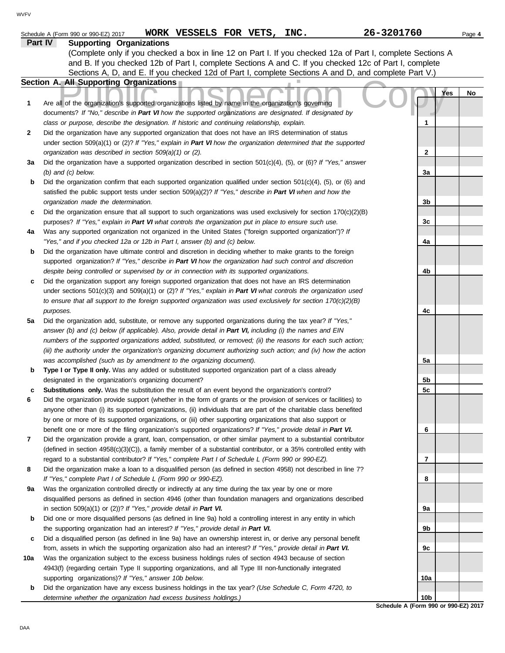|     | WORK VESSELS FOR VETS, INC.<br>Schedule A (Form 990 or 990-EZ) 2017                                                      | 26-3201760                                              | Page 4    |
|-----|--------------------------------------------------------------------------------------------------------------------------|---------------------------------------------------------|-----------|
|     | Part IV<br><b>Supporting Organizations</b>                                                                               |                                                         |           |
|     | (Complete only if you checked a box in line 12 on Part I. If you checked 12a of Part I, complete Sections A              |                                                         |           |
|     | and B. If you checked 12b of Part I, complete Sections A and C. If you checked 12c of Part I, complete                   |                                                         |           |
|     | Sections A, D, and E. If you checked 12d of Part I, complete Sections A and D, and complete Part V.)                     |                                                         |           |
|     | <b>Section A. All Supporting Organizations</b>                                                                           |                                                         |           |
|     |                                                                                                                          |                                                         | Yes<br>No |
| 1   | Are all of the organization's supported organizations listed by name in the organization's governing                     |                                                         |           |
|     | documents? If "No," describe in Part VI how the supported organizations are designated. If designated by                 |                                                         |           |
|     | class or purpose, describe the designation. If historic and continuing relationship, explain.                            | 1                                                       |           |
| 2   | Did the organization have any supported organization that does not have an IRS determination of status                   |                                                         |           |
|     | under section 509(a)(1) or (2)? If "Yes," explain in Part VI how the organization determined that the supported          |                                                         |           |
|     | organization was described in section 509(a)(1) or (2).                                                                  | 2                                                       |           |
| За  | Did the organization have a supported organization described in section $501(c)(4)$ , (5), or (6)? If "Yes," answer      |                                                         |           |
|     | $(b)$ and $(c)$ below.                                                                                                   | 3a                                                      |           |
| b   | Did the organization confirm that each supported organization qualified under section $501(c)(4)$ , $(5)$ , or $(6)$ and |                                                         |           |
|     | satisfied the public support tests under section 509(a)(2)? If "Yes," describe in Part VI when and how the               |                                                         |           |
|     | organization made the determination.                                                                                     | 3b                                                      |           |
| c   | Did the organization ensure that all support to such organizations was used exclusively for section $170(c)(2)(B)$       |                                                         |           |
|     | purposes? If "Yes," explain in Part VI what controls the organization put in place to ensure such use.                   | 3c                                                      |           |
| 4a  | Was any supported organization not organized in the United States ("foreign supported organization")? If                 |                                                         |           |
|     | "Yes," and if you checked 12a or 12b in Part I, answer (b) and (c) below.                                                | 4a                                                      |           |
| b   | Did the organization have ultimate control and discretion in deciding whether to make grants to the foreign              |                                                         |           |
|     | supported organization? If "Yes," describe in Part VI how the organization had such control and discretion               |                                                         |           |
|     | despite being controlled or supervised by or in connection with its supported organizations.                             | 4b                                                      |           |
| c   | Did the organization support any foreign supported organization that does not have an IRS determination                  |                                                         |           |
|     | under sections $501(c)(3)$ and $509(a)(1)$ or (2)? If "Yes," explain in Part VI what controls the organization used      |                                                         |           |
|     | to ensure that all support to the foreign supported organization was used exclusively for section $170(c)(2)(B)$         |                                                         |           |
|     | purposes.                                                                                                                | 4c                                                      |           |
| 5a  | Did the organization add, substitute, or remove any supported organizations during the tax year? If "Yes,"               |                                                         |           |
|     | answer (b) and (c) below (if applicable). Also, provide detail in Part VI, including (i) the names and EIN               |                                                         |           |
|     | numbers of the supported organizations added, substituted, or removed; (ii) the reasons for each such action;            |                                                         |           |
|     | (iii) the authority under the organization's organizing document authorizing such action; and (iv) how the action        |                                                         |           |
|     | was accomplished (such as by amendment to the organizing document).                                                      | 5a                                                      |           |
| b   | Type I or Type II only. Was any added or substituted supported organization part of a class already                      |                                                         |           |
|     | designated in the organization's organizing document?                                                                    | 5b                                                      |           |
| c   | Substitutions only. Was the substitution the result of an event beyond the organization's control?                       | 5c                                                      |           |
| 6   | Did the organization provide support (whether in the form of grants or the provision of services or facilities) to       |                                                         |           |
|     | anyone other than (i) its supported organizations, (ii) individuals that are part of the charitable class benefited      |                                                         |           |
|     | by one or more of its supported organizations, or (iii) other supporting organizations that also support or              |                                                         |           |
|     | benefit one or more of the filing organization's supported organizations? If "Yes," provide detail in Part VI.           | 6                                                       |           |
| 7   | Did the organization provide a grant, loan, compensation, or other similar payment to a substantial contributor          |                                                         |           |
|     | (defined in section $4958(c)(3)(C)$ ), a family member of a substantial contributor, or a 35% controlled entity with     |                                                         |           |
|     | regard to a substantial contributor? If "Yes," complete Part I of Schedule L (Form 990 or 990-EZ).                       | 7                                                       |           |
| 8   | Did the organization make a loan to a disqualified person (as defined in section 4958) not described in line 7?          |                                                         |           |
|     | If "Yes," complete Part I of Schedule L (Form 990 or 990-EZ).                                                            | 8                                                       |           |
| 9а  | Was the organization controlled directly or indirectly at any time during the tax year by one or more                    |                                                         |           |
|     | disqualified persons as defined in section 4946 (other than foundation managers and organizations described              |                                                         |           |
|     | in section $509(a)(1)$ or $(2)$ ? If "Yes," provide detail in Part VI.                                                   | 9а                                                      |           |
| b   | Did one or more disqualified persons (as defined in line 9a) hold a controlling interest in any entity in which          |                                                         |           |
|     | the supporting organization had an interest? If "Yes," provide detail in Part VI.                                        | 9b                                                      |           |
| c   | Did a disqualified person (as defined in line 9a) have an ownership interest in, or derive any personal benefit          |                                                         |           |
|     | from, assets in which the supporting organization also had an interest? If "Yes," provide detail in Part VI.             | 9c                                                      |           |
| 10a | Was the organization subject to the excess business holdings rules of section 4943 because of section                    |                                                         |           |
|     | 4943(f) (regarding certain Type II supporting organizations, and all Type III non-functionally integrated                |                                                         |           |
|     | supporting organizations)? If "Yes," answer 10b below.                                                                   | 10a                                                     |           |
| b   | Did the organization have any excess business holdings in the tax year? (Use Schedule C, Form 4720, to                   |                                                         |           |
|     | determine whether the organization had excess business holdings.)                                                        | 10 <sub>b</sub><br>Schedule A (Form 990 or 990-EZ) 2017 |           |
|     |                                                                                                                          |                                                         |           |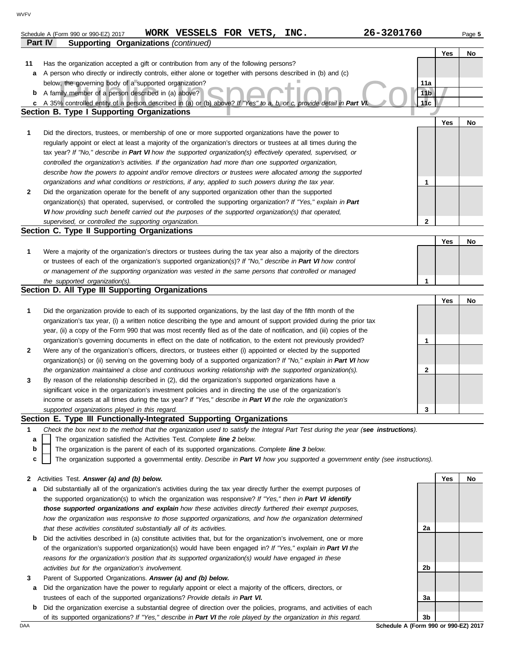|              | 26-3201760<br>WORK VESSELS FOR VETS, INC.                                                                                         |                 |     |        |
|--------------|-----------------------------------------------------------------------------------------------------------------------------------|-----------------|-----|--------|
|              | Schedule A (Form 990 or 990-EZ) 2017<br>Part IV<br><b>Supporting Organizations (continued)</b>                                    |                 |     | Page 5 |
|              |                                                                                                                                   |                 | Yes | No     |
| 11           | Has the organization accepted a gift or contribution from any of the following persons?                                           |                 |     |        |
| а            | A person who directly or indirectly controls, either alone or together with persons described in (b) and (c)                      |                 |     |        |
|              | below, the governing body of a supported organization?                                                                            | 11a             |     |        |
| b            | A family member of a person described in (a) above?                                                                               | 11 <sub>b</sub> |     |        |
| c            | A 35% controlled entity of a person described in (a) or (b) above? If "Yes" to a, b, or c, provide detail in Part Vi              | 11с             |     |        |
|              | <b>Section B. Type I Supporting Organizations</b>                                                                                 |                 |     |        |
|              |                                                                                                                                   |                 | Yes | No     |
| 1            | Did the directors, trustees, or membership of one or more supported organizations have the power to                               |                 |     |        |
|              | regularly appoint or elect at least a majority of the organization's directors or trustees at all times during the                |                 |     |        |
|              | tax year? If "No," describe in Part VI how the supported organization(s) effectively operated, supervised, or                     |                 |     |        |
|              | controlled the organization's activities. If the organization had more than one supported organization,                           |                 |     |        |
|              | describe how the powers to appoint and/or remove directors or trustees were allocated among the supported                         |                 |     |        |
|              | organizations and what conditions or restrictions, if any, applied to such powers during the tax year.                            | 1               |     |        |
| $\mathbf{2}$ | Did the organization operate for the benefit of any supported organization other than the supported                               |                 |     |        |
|              | organization(s) that operated, supervised, or controlled the supporting organization? If "Yes," explain in Part                   |                 |     |        |
|              | VI how providing such benefit carried out the purposes of the supported organization(s) that operated,                            |                 |     |        |
|              | supervised, or controlled the supporting organization.                                                                            | $\mathbf{2}$    |     |        |
|              | Section C. Type II Supporting Organizations                                                                                       |                 |     |        |
|              |                                                                                                                                   |                 | Yes | No     |
| 1            | Were a majority of the organization's directors or trustees during the tax year also a majority of the directors                  |                 |     |        |
|              | or trustees of each of the organization's supported organization(s)? If "No," describe in Part VI how control                     |                 |     |        |
|              | or management of the supporting organization was vested in the same persons that controlled or managed                            | 1               |     |        |
|              | the supported organization(s).<br>Section D. All Type III Supporting Organizations                                                |                 |     |        |
|              |                                                                                                                                   |                 | Yes | No     |
| 1            | Did the organization provide to each of its supported organizations, by the last day of the fifth month of the                    |                 |     |        |
|              | organization's tax year, (i) a written notice describing the type and amount of support provided during the prior tax             |                 |     |        |
|              | year, (ii) a copy of the Form 990 that was most recently filed as of the date of notification, and (iii) copies of the            |                 |     |        |
|              | organization's governing documents in effect on the date of notification, to the extent not previously provided?                  | 1               |     |        |
| $\mathbf{2}$ | Were any of the organization's officers, directors, or trustees either (i) appointed or elected by the supported                  |                 |     |        |
|              | organization(s) or (ii) serving on the governing body of a supported organization? If "No," explain in Part VI how                |                 |     |        |
|              | the organization maintained a close and continuous working relationship with the supported organization(s).                       | $\mathbf{2}$    |     |        |
| 3            | By reason of the relationship described in (2), did the organization's supported organizations have a                             |                 |     |        |
|              | significant voice in the organization's investment policies and in directing the use of the organization's                        |                 |     |        |
|              | income or assets at all times during the tax year? If "Yes," describe in Part VI the role the organization's                      |                 |     |        |
|              | supported organizations played in this regard.                                                                                    | 3               |     |        |
|              | Section E. Type III Functionally-Integrated Supporting Organizations                                                              |                 |     |        |
| 1            | Check the box next to the method that the organization used to satisfy the Integral Part Test during the year (see instructions). |                 |     |        |
| a            | The organization satisfied the Activities Test. Complete line 2 below.                                                            |                 |     |        |
| b            | The organization is the parent of each of its supported organizations. Complete line 3 below.                                     |                 |     |        |
| c            | The organization supported a governmental entity. Describe in Part VI how you supported a government entity (see instructions).   |                 |     |        |
|              |                                                                                                                                   |                 |     |        |
| 2            | Activities Test. Answer (a) and (b) below.                                                                                        |                 | Yes | No     |
| а            | Did substantially all of the organization's activities during the tax year directly further the exempt purposes of                |                 |     |        |
|              | the supported organization(s) to which the organization was responsive? If "Yes," then in Part VI identify                        |                 |     |        |
|              | those supported organizations and explain how these activities directly furthered their exempt purposes,                          |                 |     |        |
|              | how the organization was responsive to those supported organizations, and how the organization determined                         |                 |     |        |
|              | that these activities constituted substantially all of its activities.                                                            | 2a              |     |        |
| b            | Did the activities described in (a) constitute activities that, but for the organization's involvement, one or more               |                 |     |        |
|              | of the organization's supported organization(s) would have been engaged in? If "Yes," explain in Part VI the                      |                 |     |        |
|              | reasons for the organization's position that its supported organization(s) would have engaged in these                            |                 |     |        |
|              | activities but for the organization's involvement.                                                                                | 2b              |     |        |
| 3            | Parent of Supported Organizations. Answer (a) and (b) below.                                                                      |                 |     |        |

- **a** Did the organization have the power to regularly appoint or elect a majority of the officers, directors, or trustees of each of the supported organizations? *Provide details in Part VI.*
- **b** Did the organization exercise a substantial degree of direction over the policies, programs, and activities of each of its supported organizations? *If "Yes," describe in Part VI the role played by the organization in this regard.*

DAA **Schedule A (Form 990 or 990-EZ) 2017 3b**

**3a**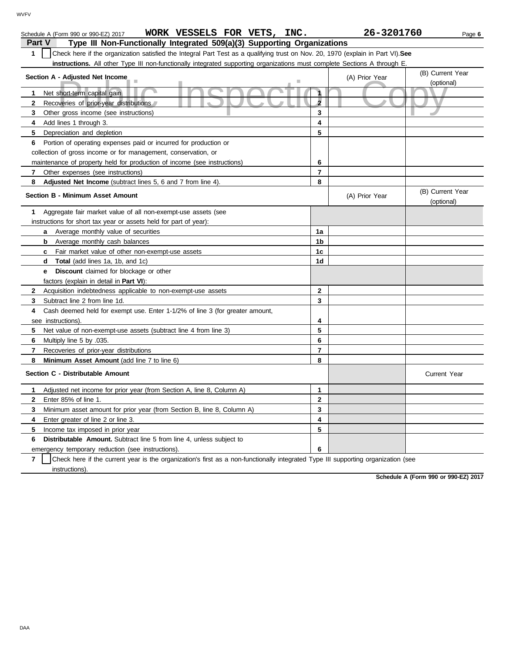| WORK VESSELS FOR VETS,<br>INC.<br>Schedule A (Form 990 or 990-EZ) 2017                                                                |                | 26-3201760     | Page 6                         |  |
|---------------------------------------------------------------------------------------------------------------------------------------|----------------|----------------|--------------------------------|--|
| Part V<br>Type III Non-Functionally Integrated 509(a)(3) Supporting Organizations                                                     |                |                |                                |  |
| Check here if the organization satisfied the Integral Part Test as a qualifying trust on Nov. 20, 1970 (explain in Part VI). See<br>1 |                |                |                                |  |
| instructions. All other Type III non-functionally integrated supporting organizations must complete Sections A through E.             |                |                |                                |  |
| Section A - Adjusted Net Income                                                                                                       |                | (A) Prior Year | (B) Current Year               |  |
|                                                                                                                                       |                |                | (optional)                     |  |
| Net short-term capital gain<br>1                                                                                                      | $\mathbf{1}$   |                |                                |  |
| $\mathbf{2}$<br>Recoveries of prior-year distributions                                                                                | $\overline{2}$ |                |                                |  |
| Other gross income (see instructions)<br>3                                                                                            | 3              |                |                                |  |
| 4<br>Add lines 1 through 3.                                                                                                           | 4              |                |                                |  |
| 5<br>Depreciation and depletion                                                                                                       | 5              |                |                                |  |
| Portion of operating expenses paid or incurred for production or<br>6                                                                 |                |                |                                |  |
| collection of gross income or for management, conservation, or                                                                        |                |                |                                |  |
| maintenance of property held for production of income (see instructions)                                                              | 6              |                |                                |  |
| 7<br>Other expenses (see instructions)                                                                                                | $\overline{7}$ |                |                                |  |
| Adjusted Net Income (subtract lines 5, 6 and 7 from line 4).<br>8                                                                     | 8              |                |                                |  |
| <b>Section B - Minimum Asset Amount</b>                                                                                               |                | (A) Prior Year | (B) Current Year<br>(optional) |  |
| Aggregate fair market value of all non-exempt-use assets (see<br>1                                                                    |                |                |                                |  |
| instructions for short tax year or assets held for part of year):                                                                     |                |                |                                |  |
| <b>a</b> Average monthly value of securities                                                                                          | 1a             |                |                                |  |
| Average monthly cash balances<br>b                                                                                                    | 1b             |                |                                |  |
| Fair market value of other non-exempt-use assets<br>c                                                                                 | 1c             |                |                                |  |
| Total (add lines 1a, 1b, and 1c)<br>d                                                                                                 | 1 <sub>d</sub> |                |                                |  |
| <b>e</b> Discount claimed for blockage or other                                                                                       |                |                |                                |  |
| factors (explain in detail in Part VI):                                                                                               |                |                |                                |  |
| $\mathbf{2}$<br>Acquisition indebtedness applicable to non-exempt-use assets                                                          | $\overline{2}$ |                |                                |  |
| Subtract line 2 from line 1d.<br>3                                                                                                    | 3              |                |                                |  |
| Cash deemed held for exempt use. Enter 1-1/2% of line 3 (for greater amount,<br>4                                                     |                |                |                                |  |
| see instructions).                                                                                                                    | 4              |                |                                |  |
| 5<br>Net value of non-exempt-use assets (subtract line 4 from line 3)                                                                 | 5              |                |                                |  |
| Multiply line 5 by .035.<br>6                                                                                                         | 6              |                |                                |  |
| 7<br>Recoveries of prior-year distributions                                                                                           | $\overline{7}$ |                |                                |  |
| 8<br>Minimum Asset Amount (add line 7 to line 6)                                                                                      | 8              |                |                                |  |
| Section C - Distributable Amount                                                                                                      |                |                | <b>Current Year</b>            |  |
| Adjusted net income for prior year (from Section A, line 8, Column A)<br>1                                                            | $\mathbf{1}$   |                |                                |  |
| Enter 85% of line 1.<br>2                                                                                                             | $\mathbf{2}$   |                |                                |  |
| 3<br>Minimum asset amount for prior year (from Section B, line 8, Column A)                                                           | 3              |                |                                |  |
| 4<br>Enter greater of line 2 or line 3.                                                                                               | 4              |                |                                |  |
| 5<br>Income tax imposed in prior year                                                                                                 | 5              |                |                                |  |
| <b>Distributable Amount.</b> Subtract line 5 from line 4, unless subject to<br>6                                                      |                |                |                                |  |
| emergency temporary reduction (see instructions).                                                                                     | 6              |                |                                |  |

**7** instructions). Check here if the current year is the organization's first as a non-functionally integrated Type III supporting organization (see

**Schedule A (Form 990 or 990-EZ) 2017**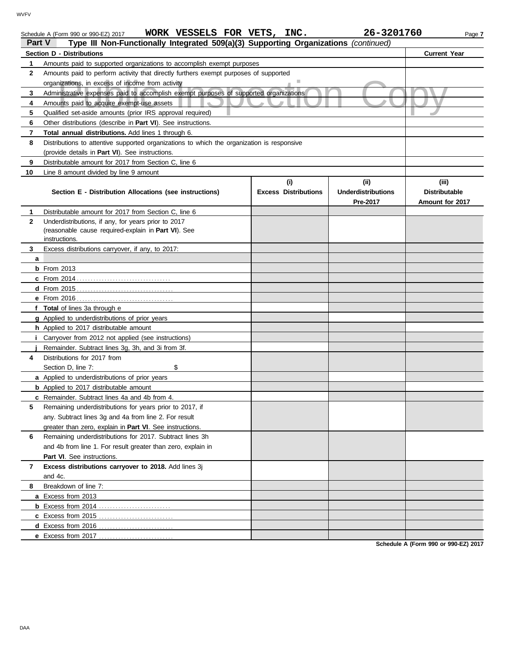|              | WORK VESSELS FOR VETS, INC.<br>Schedule A (Form 990 or 990-EZ) 2017                                                         |                                    | 26-3201760                                    | Page 7                                           |
|--------------|-----------------------------------------------------------------------------------------------------------------------------|------------------------------------|-----------------------------------------------|--------------------------------------------------|
| Part V       | Type III Non-Functionally Integrated 509(a)(3) Supporting Organizations (continued)                                         |                                    |                                               |                                                  |
|              | <b>Section D - Distributions</b>                                                                                            |                                    |                                               | <b>Current Year</b>                              |
| 1            | Amounts paid to supported organizations to accomplish exempt purposes                                                       |                                    |                                               |                                                  |
| $\mathbf{2}$ | Amounts paid to perform activity that directly furthers exempt purposes of supported                                        |                                    |                                               |                                                  |
|              | organizations, in excess of income from activity                                                                            |                                    |                                               |                                                  |
| 3            | Administrative expenses paid to accomplish exempt purposes of supported organizations                                       |                                    |                                               |                                                  |
| 4            | Amounts paid to acquire exempt-use assets                                                                                   |                                    |                                               |                                                  |
| 5            | Qualified set-aside amounts (prior IRS approval required)                                                                   |                                    |                                               |                                                  |
| 6            | Other distributions (describe in Part VI). See instructions.                                                                |                                    |                                               |                                                  |
|              | <b>Total annual distributions.</b> Add lines 1 through 6.                                                                   |                                    |                                               |                                                  |
| 8            | Distributions to attentive supported organizations to which the organization is responsive                                  |                                    |                                               |                                                  |
|              | (provide details in Part VI). See instructions.                                                                             |                                    |                                               |                                                  |
| 9            | Distributable amount for 2017 from Section C, line 6                                                                        |                                    |                                               |                                                  |
| 10           | Line 8 amount divided by line 9 amount                                                                                      |                                    |                                               |                                                  |
|              | Section E - Distribution Allocations (see instructions)                                                                     | (i)<br><b>Excess Distributions</b> | (ii)<br><b>Underdistributions</b><br>Pre-2017 | (iii)<br><b>Distributable</b><br>Amount for 2017 |
|              | Distributable amount for 2017 from Section C, line 6                                                                        |                                    |                                               |                                                  |
| $\mathbf{2}$ | Underdistributions, if any, for years prior to 2017<br>(reasonable cause required-explain in Part VI). See<br>instructions. |                                    |                                               |                                                  |
| 3.           | Excess distributions carryover, if any, to 2017:                                                                            |                                    |                                               |                                                  |
| a            |                                                                                                                             |                                    |                                               |                                                  |
|              | <b>b</b> From 2013                                                                                                          |                                    |                                               |                                                  |
|              |                                                                                                                             |                                    |                                               |                                                  |
|              |                                                                                                                             |                                    |                                               |                                                  |
|              |                                                                                                                             |                                    |                                               |                                                  |
|              | f Total of lines 3a through e                                                                                               |                                    |                                               |                                                  |
|              | g Applied to underdistributions of prior years                                                                              |                                    |                                               |                                                  |
|              | h Applied to 2017 distributable amount                                                                                      |                                    |                                               |                                                  |
|              | Carryover from 2012 not applied (see instructions)                                                                          |                                    |                                               |                                                  |
|              | Remainder. Subtract lines 3g, 3h, and 3i from 3f.                                                                           |                                    |                                               |                                                  |
|              |                                                                                                                             |                                    |                                               |                                                  |

**8** Breakdown of line 7:

and 4c.

Part VI. See instructions.

**a** Excess from 2013

**5**

**7 Excess distributions carryover to 2018.** Add lines 3j

**b** Excess from 2014 . . . . . . . . . . . . . . . . . . . . . . . . . . **c** Excess from 2015 . . . . . . . . . . . . . . . . . . . . . . . . . . . **d** Excess from 2016 . . . . . . . . . . . . . . . . . . . . . . . . . . . **e** Excess from 2017 . . . . . . . . . . . . . . . . . . . . . . . . . . .

**6** Remaining underdistributions for 2017. Subtract lines 3h

and 4b from line 1. For result greater than zero, explain in

Remaining underdistributions for years prior to 2017, if any. Subtract lines 3g and 4a from line 2. For result greater than zero, explain in **Part VI**. See instructions.

**a** Applied to underdistributions of prior years **b** Applied to 2017 distributable amount **c** Remainder. Subtract lines 4a and 4b from 4.

Section D, line 7: \$

**Schedule A (Form 990 or 990-EZ) 2017**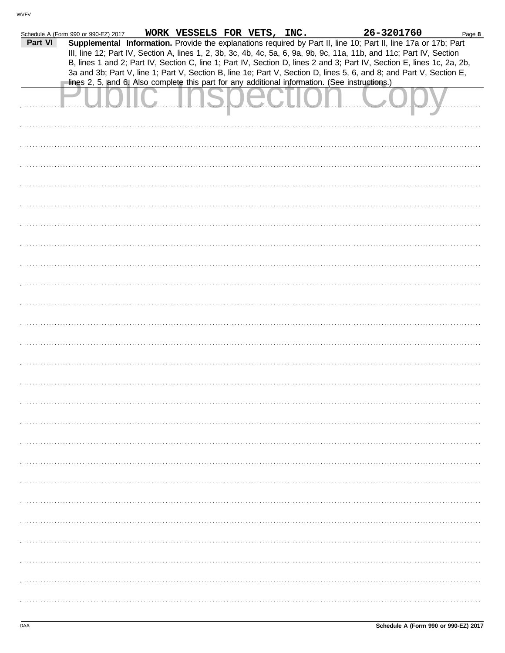|         | Schedule A (Form 990 or 990-EZ) 2017 | WORK VESSELS FOR VETS, INC. |  | 26-3201760                                                                                                                                                                                                                                    | Page 8 |
|---------|--------------------------------------|-----------------------------|--|-----------------------------------------------------------------------------------------------------------------------------------------------------------------------------------------------------------------------------------------------|--------|
| Part VI |                                      |                             |  | Supplemental Information. Provide the explanations required by Part II, line 10; Part II, line 17a or 17b; Part                                                                                                                               |        |
|         |                                      |                             |  | III, line 12; Part IV, Section A, lines 1, 2, 3b, 3c, 4b, 4c, 5a, 6, 9a, 9b, 9c, 11a, 11b, and 11c; Part IV, Section                                                                                                                          |        |
|         |                                      |                             |  | B, lines 1 and 2; Part IV, Section C, line 1; Part IV, Section D, lines 2 and 3; Part IV, Section E, lines 1c, 2a, 2b,<br>3a and 3b; Part V, line 1; Part V, Section B, line 1e; Part V, Section D, lines 5, 6, and 8; and Part V, Section E, |        |
|         |                                      |                             |  | lines 2, 5, and 6. Also complete this part for any additional information. (See instructions.)                                                                                                                                                |        |
|         |                                      |                             |  |                                                                                                                                                                                                                                               |        |
|         |                                      |                             |  |                                                                                                                                                                                                                                               |        |
|         |                                      |                             |  |                                                                                                                                                                                                                                               |        |
|         |                                      |                             |  |                                                                                                                                                                                                                                               |        |
|         |                                      |                             |  |                                                                                                                                                                                                                                               |        |
|         |                                      |                             |  |                                                                                                                                                                                                                                               |        |
|         |                                      |                             |  |                                                                                                                                                                                                                                               |        |
|         |                                      |                             |  |                                                                                                                                                                                                                                               |        |
|         |                                      |                             |  |                                                                                                                                                                                                                                               |        |
|         |                                      |                             |  |                                                                                                                                                                                                                                               |        |
|         |                                      |                             |  |                                                                                                                                                                                                                                               |        |
|         |                                      |                             |  |                                                                                                                                                                                                                                               |        |
|         |                                      |                             |  |                                                                                                                                                                                                                                               |        |
|         |                                      |                             |  |                                                                                                                                                                                                                                               |        |
|         |                                      |                             |  |                                                                                                                                                                                                                                               |        |
|         |                                      |                             |  |                                                                                                                                                                                                                                               |        |
|         |                                      |                             |  |                                                                                                                                                                                                                                               |        |
|         |                                      |                             |  |                                                                                                                                                                                                                                               |        |
|         |                                      |                             |  |                                                                                                                                                                                                                                               |        |
|         |                                      |                             |  |                                                                                                                                                                                                                                               |        |
|         |                                      |                             |  |                                                                                                                                                                                                                                               |        |
|         |                                      |                             |  |                                                                                                                                                                                                                                               |        |
|         |                                      |                             |  |                                                                                                                                                                                                                                               |        |
|         |                                      |                             |  |                                                                                                                                                                                                                                               |        |
|         |                                      |                             |  |                                                                                                                                                                                                                                               |        |
|         |                                      |                             |  |                                                                                                                                                                                                                                               |        |
|         |                                      |                             |  |                                                                                                                                                                                                                                               |        |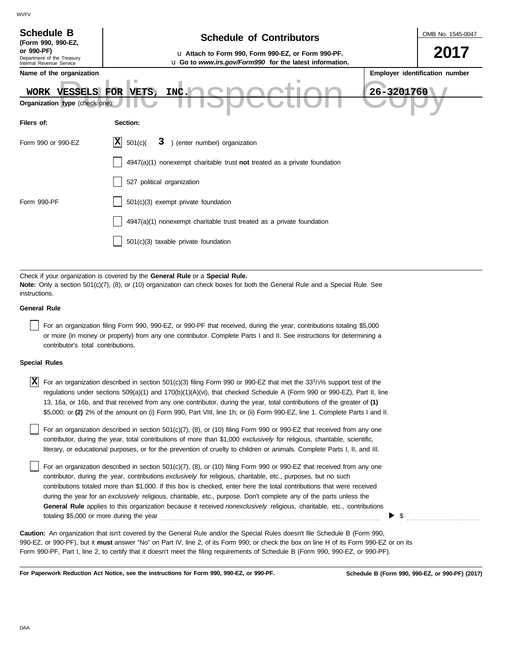| <b>Schedule B</b><br>(Form 990, 990-EZ,<br>or 990-PF)<br>Department of the Treasury<br>Internal Revenue Service<br>Name of the organization<br>WORK VESSELS FOR VETS,<br>Organization type (check one)                                                                              | OMB No. 1545-0047<br><b>Schedule of Contributors</b><br>2017<br>La Attach to Form 990, Form 990-EZ, or Form 990-PF.<br>u Go to www.irs.gov/Form990 for the latest information.<br>Employer identification number<br>26-3201760<br>INC. |  |  |  |  |
|-------------------------------------------------------------------------------------------------------------------------------------------------------------------------------------------------------------------------------------------------------------------------------------|----------------------------------------------------------------------------------------------------------------------------------------------------------------------------------------------------------------------------------------|--|--|--|--|
| Filers of:                                                                                                                                                                                                                                                                          | Section:                                                                                                                                                                                                                               |  |  |  |  |
| Form 990 or 990-EZ                                                                                                                                                                                                                                                                  | X <br>501(c)<br>3<br>) (enter number) organization                                                                                                                                                                                     |  |  |  |  |
|                                                                                                                                                                                                                                                                                     | $4947(a)(1)$ nonexempt charitable trust not treated as a private foundation<br>527 political organization                                                                                                                              |  |  |  |  |
| Form 990-PF                                                                                                                                                                                                                                                                         | 501(c)(3) exempt private foundation                                                                                                                                                                                                    |  |  |  |  |
|                                                                                                                                                                                                                                                                                     | 4947(a)(1) nonexempt charitable trust treated as a private foundation                                                                                                                                                                  |  |  |  |  |
|                                                                                                                                                                                                                                                                                     | 501(c)(3) taxable private foundation                                                                                                                                                                                                   |  |  |  |  |
|                                                                                                                                                                                                                                                                                     |                                                                                                                                                                                                                                        |  |  |  |  |
| Check if your organization is covered by the General Rule or a Special Rule.<br>Note: Only a section 501(c)(7), (8), or (10) organization can check boxes for both the General Rule and a Special Rule. See<br>instructions.                                                        |                                                                                                                                                                                                                                        |  |  |  |  |
| <b>General Rule</b>                                                                                                                                                                                                                                                                 |                                                                                                                                                                                                                                        |  |  |  |  |
| For an organization filing Form 990, 990-EZ, or 990-PF that received, during the year, contributions totaling \$5,000<br>or more (in money or property) from any one contributor. Complete Parts I and II. See instructions for determining a<br>contributor's total contributions. |                                                                                                                                                                                                                                        |  |  |  |  |
| <b>Special Rules</b>                                                                                                                                                                                                                                                                |                                                                                                                                                                                                                                        |  |  |  |  |

| X For an organization described in section 501(c)(3) filing Form 990 or 990-EZ that met the 33 <sup>1</sup> /3% support test of the |
|-------------------------------------------------------------------------------------------------------------------------------------|
| regulations under sections 509(a)(1) and 170(b)(1)(A)(vi), that checked Schedule A (Form 990 or 990-EZ), Part II, line              |
| 13, 16a, or 16b, and that received from any one contributor, during the year, total contributions of the greater of (1)             |
| \$5,000; or (2) 2% of the amount on (i) Form 990, Part VIII, line 1h; or (ii) Form 990-EZ, line 1. Complete Parts I and II.         |

literary, or educational purposes, or for the prevention of cruelty to children or animals. Complete Parts I, II, and III. For an organization described in section 501(c)(7), (8), or (10) filing Form 990 or 990-EZ that received from any one contributor, during the year, total contributions of more than \$1,000 *exclusively* for religious, charitable, scientific,

For an organization described in section 501(c)(7), (8), or (10) filing Form 990 or 990-EZ that received from any one contributor, during the year, contributions *exclusively* for religious, charitable, etc., purposes, but no such contributions totaled more than \$1,000. If this box is checked, enter here the total contributions that were received during the year for an *exclusively* religious, charitable, etc., purpose. Don't complete any of the parts unless the **General Rule** applies to this organization because it received *nonexclusively* religious, charitable, etc., contributions totaling \$5,000 or more during the year . . . . . . . . . . . . . . . . . . . . . . . . . . . . . . . . . . . . . . . . . . . . . . . . . . . . . . . . . . . . . . . . . . . . . . . . . . . . . . . .

990-EZ, or 990-PF), but it **must** answer "No" on Part IV, line 2, of its Form 990; or check the box on line H of its Form 990-EZ or on its Form 990-PF, Part I, line 2, to certify that it doesn't meet the filing requirements of Schedule B (Form 990, 990-EZ, or 990-PF). **Caution:** An organization that isn't covered by the General Rule and/or the Special Rules doesn't file Schedule B (Form 990,

**For Paperwork Reduction Act Notice, see the instructions for Form 990, 990-EZ, or 990-PF.**

\$ . . . . . . . . . . . . . . . . . . . . . . . . . . .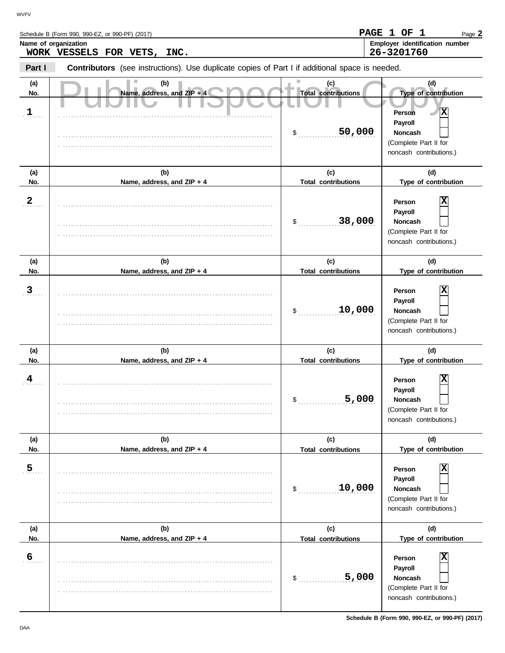|                 | Schedule B (Form 990, 990-EZ, or 990-PF) (2017)<br>Name of organization<br>WORK VESSELS FOR VETS, INC. |                                                   | PAGE 1 OF 1<br>Page 2<br>Employer identification number<br>26-3201760                                                              |
|-----------------|--------------------------------------------------------------------------------------------------------|---------------------------------------------------|------------------------------------------------------------------------------------------------------------------------------------|
| Part I          | <b>Contributors</b> (see instructions). Use duplicate copies of Part I if additional space is needed.  |                                                   |                                                                                                                                    |
| (a)<br>No.<br>1 | (b)<br>Name, address, and ZIP + 4                                                                      | (c)<br><b>Total contributions</b><br>50,000<br>\$ | (d)<br>Type of contribution<br>X<br>Person<br><b>Payroll</b><br><b>Noncash</b><br>(Complete Part II for<br>noncash contributions.) |
| (a)<br>No.      | (b)<br>Name, address, and ZIP + 4                                                                      | (c)<br><b>Total contributions</b>                 | (d)<br>Type of contribution                                                                                                        |
| 2               |                                                                                                        |                                                   | $\overline{\mathbf{x}}$<br>Person<br><b>Pavroll</b>                                                                                |

|              |                            | 38,000<br>\$               | Noncash<br>(Complete Part II for<br>noncash contributions.)                                                        |
|--------------|----------------------------|----------------------------|--------------------------------------------------------------------------------------------------------------------|
| (a)          | (b)                        | (c)                        | (d)                                                                                                                |
| No.          | Name, address, and ZIP + 4 | <b>Total contributions</b> | Type of contribution                                                                                               |
| $\mathbf{3}$ |                            | 10,000<br>\$               | $\mathbf x$<br>Person<br>Payroll<br><b>Noncash</b><br>(Complete Part II for<br>noncash contributions.)             |
| (a)          | (b)                        | (c)                        | (d)                                                                                                                |
| No.          | Name, address, and ZIP + 4 | <b>Total contributions</b> | Type of contribution                                                                                               |
| 4            |                            | 5,000<br>\$                | Person<br>Payroll<br>Noncash<br>(Complete Part II for<br>noncash contributions.)                                   |
| (a)          | (b)                        | (c)                        | (d)                                                                                                                |
| No.          | Name, address, and ZIP + 4 | <b>Total contributions</b> | Type of contribution                                                                                               |
| 5            |                            | 10,000<br>\$               | $\mathbf x$<br>Person<br>Payroll<br>Noncash<br>(Complete Part II for<br>noncash contributions.)                    |
| (a)          | (b)                        | (c)                        | (d)                                                                                                                |
| No.          | Name, address, and ZIP + 4 | <b>Total contributions</b> | Type of contribution                                                                                               |
| 6            |                            | 5,000<br>\$                | $\overline{\mathbf{X}}$<br>Person<br>Payroll<br><b>Noncash</b><br>(Complete Part II for<br>noncash contributions.) |

**Payroll**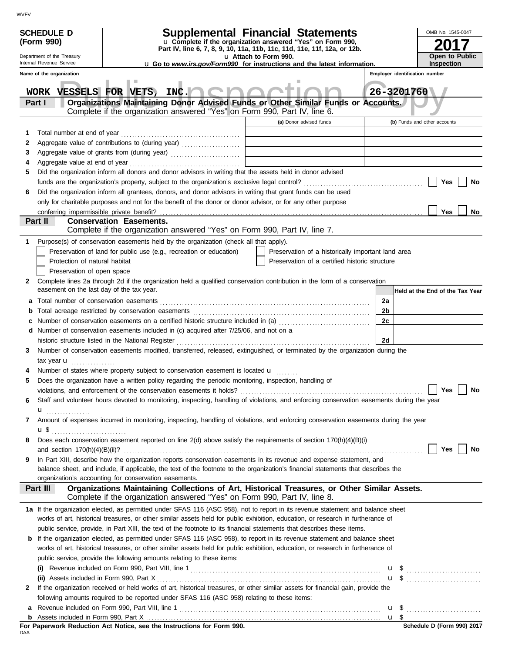|     | <b>SCHEDULE D</b>                                                                                               |                                                                                                                                                                                            | Supplemental Financial Statements                                                                 |      | OMB No. 1545-0047               |    |
|-----|-----------------------------------------------------------------------------------------------------------------|--------------------------------------------------------------------------------------------------------------------------------------------------------------------------------------------|---------------------------------------------------------------------------------------------------|------|---------------------------------|----|
|     | (Form 990)                                                                                                      |                                                                                                                                                                                            | u Complete if the organization answered "Yes" on Form 990,                                        |      |                                 |    |
|     | Department of the Treasury                                                                                      |                                                                                                                                                                                            | Part IV, line 6, 7, 8, 9, 10, 11a, 11b, 11c, 11d, 11e, 11f, 12a, or 12b.<br>u Attach to Form 990. |      | Open to Public                  |    |
|     | Internal Revenue Service                                                                                        |                                                                                                                                                                                            | <b>u</b> Go to <i>www.irs.gov/Form990</i> for instructions and the latest information.            |      | <b>Inspection</b>               |    |
|     | Name of the organization                                                                                        |                                                                                                                                                                                            |                                                                                                   |      | Employer identification number  |    |
|     | WORK VESSELS FOR VETS,                                                                                          | INC.                                                                                                                                                                                       |                                                                                                   |      | 26-3201760                      |    |
|     | Part I                                                                                                          | Organizations Maintaining Donor Advised Funds or Other Similar Funds or Accounts.                                                                                                          |                                                                                                   |      |                                 |    |
|     |                                                                                                                 | Complete if the organization answered "Yes" on Form 990, Part IV, line 6.                                                                                                                  |                                                                                                   |      |                                 |    |
|     |                                                                                                                 |                                                                                                                                                                                            | (a) Donor advised funds                                                                           |      | (b) Funds and other accounts    |    |
| 1   |                                                                                                                 |                                                                                                                                                                                            |                                                                                                   |      |                                 |    |
| 2   |                                                                                                                 |                                                                                                                                                                                            |                                                                                                   |      |                                 |    |
| 3   |                                                                                                                 | Aggregate value of grants from (during year) Mathematical Mathematical Contractor Contractor Contractor Contractor                                                                         |                                                                                                   |      |                                 |    |
| 5   | 4<br>Did the organization inform all donors and donor advisors in writing that the assets held in donor advised |                                                                                                                                                                                            |                                                                                                   |      |                                 |    |
|     |                                                                                                                 |                                                                                                                                                                                            |                                                                                                   |      | Yes                             | No |
| 6   |                                                                                                                 | Did the organization inform all grantees, donors, and donor advisors in writing that grant funds can be used                                                                               |                                                                                                   |      |                                 |    |
|     |                                                                                                                 | only for charitable purposes and not for the benefit of the donor or donor advisor, or for any other purpose                                                                               |                                                                                                   |      |                                 |    |
|     |                                                                                                                 |                                                                                                                                                                                            |                                                                                                   |      | Yes                             | No |
|     | Part II                                                                                                         | <b>Conservation Easements.</b>                                                                                                                                                             |                                                                                                   |      |                                 |    |
|     |                                                                                                                 | Complete if the organization answered "Yes" on Form 990, Part IV, line 7.                                                                                                                  |                                                                                                   |      |                                 |    |
| 1   |                                                                                                                 | Purpose(s) of conservation easements held by the organization (check all that apply).                                                                                                      |                                                                                                   |      |                                 |    |
|     |                                                                                                                 | Preservation of land for public use (e.g., recreation or education)                                                                                                                        | Preservation of a historically important land area                                                |      |                                 |    |
|     | Protection of natural habitat                                                                                   |                                                                                                                                                                                            | Preservation of a certified historic structure                                                    |      |                                 |    |
|     | Preservation of open space                                                                                      |                                                                                                                                                                                            |                                                                                                   |      |                                 |    |
| 2   |                                                                                                                 | Complete lines 2a through 2d if the organization held a qualified conservation contribution in the form of a conservation                                                                  |                                                                                                   |      |                                 |    |
|     | easement on the last day of the tax year.                                                                       |                                                                                                                                                                                            |                                                                                                   |      | Held at the End of the Tax Year |    |
| a   |                                                                                                                 |                                                                                                                                                                                            |                                                                                                   | 2a   |                                 |    |
| b   |                                                                                                                 |                                                                                                                                                                                            |                                                                                                   | 2b   |                                 |    |
| c   |                                                                                                                 | Number of conservation easements on a certified historic structure included in (a) [[[[[ [ [ $a)$ ]]                                                                                       |                                                                                                   | 2c   |                                 |    |
|     |                                                                                                                 | d Number of conservation easements included in (c) acquired after 7/25/06, and not on a<br>historic structure listed in the National Register                                              |                                                                                                   | 2d   |                                 |    |
| 3   |                                                                                                                 | Number of conservation easements modified, transferred, released, extinguished, or terminated by the organization during the                                                               |                                                                                                   |      |                                 |    |
|     | tax year <b>u</b>                                                                                               |                                                                                                                                                                                            |                                                                                                   |      |                                 |    |
|     |                                                                                                                 | Number of states where property subject to conservation easement is located u                                                                                                              |                                                                                                   |      |                                 |    |
| 5   |                                                                                                                 | Does the organization have a written policy regarding the periodic monitoring, inspection, handling of                                                                                     |                                                                                                   |      |                                 |    |
|     |                                                                                                                 |                                                                                                                                                                                            |                                                                                                   |      |                                 |    |
| 6   |                                                                                                                 | Staff and volunteer hours devoted to monitoring, inspecting, handling of violations, and enforcing conservation easements during the year                                                  |                                                                                                   |      |                                 |    |
|     |                                                                                                                 |                                                                                                                                                                                            |                                                                                                   |      |                                 |    |
| 7   |                                                                                                                 | Amount of expenses incurred in monitoring, inspecting, handling of violations, and enforcing conservation easements during the year                                                        |                                                                                                   |      |                                 |    |
|     | <b>u</b> \$                                                                                                     |                                                                                                                                                                                            |                                                                                                   |      |                                 |    |
| 8   |                                                                                                                 | Does each conservation easement reported on line 2(d) above satisfy the requirements of section 170(h)(4)(B)(i)                                                                            |                                                                                                   |      |                                 |    |
|     |                                                                                                                 |                                                                                                                                                                                            |                                                                                                   |      | Yes                             | No |
| 9   |                                                                                                                 | In Part XIII, describe how the organization reports conservation easements in its revenue and expense statement, and                                                                       |                                                                                                   |      |                                 |    |
|     |                                                                                                                 | balance sheet, and include, if applicable, the text of the footnote to the organization's financial statements that describes the<br>organization's accounting for conservation easements. |                                                                                                   |      |                                 |    |
|     | Part III                                                                                                        | Organizations Maintaining Collections of Art, Historical Treasures, or Other Similar Assets.                                                                                               |                                                                                                   |      |                                 |    |
|     |                                                                                                                 | Complete if the organization answered "Yes" on Form 990, Part IV, line 8.                                                                                                                  |                                                                                                   |      |                                 |    |
|     |                                                                                                                 | 1a If the organization elected, as permitted under SFAS 116 (ASC 958), not to report in its revenue statement and balance sheet                                                            |                                                                                                   |      |                                 |    |
|     |                                                                                                                 | works of art, historical treasures, or other similar assets held for public exhibition, education, or research in furtherance of                                                           |                                                                                                   |      |                                 |    |
|     |                                                                                                                 | public service, provide, in Part XIII, the text of the footnote to its financial statements that describes these items.                                                                    |                                                                                                   |      |                                 |    |
|     |                                                                                                                 | <b>b</b> If the organization elected, as permitted under SFAS 116 (ASC 958), to report in its revenue statement and balance sheet                                                          |                                                                                                   |      |                                 |    |
|     |                                                                                                                 | works of art, historical treasures, or other similar assets held for public exhibition, education, or research in furtherance of                                                           |                                                                                                   |      |                                 |    |
|     |                                                                                                                 | public service, provide the following amounts relating to these items:                                                                                                                     |                                                                                                   |      |                                 |    |
|     |                                                                                                                 |                                                                                                                                                                                            |                                                                                                   |      | $\mathbf{u}$ \$                 |    |
|     |                                                                                                                 |                                                                                                                                                                                            |                                                                                                   |      | $\mathbf{u}$ \$ $\ldots$        |    |
| 2   |                                                                                                                 | If the organization received or held works of art, historical treasures, or other similar assets for financial gain, provide the                                                           |                                                                                                   |      |                                 |    |
|     |                                                                                                                 | following amounts required to be reported under SFAS 116 (ASC 958) relating to these items:                                                                                                |                                                                                                   |      |                                 |    |
| a   |                                                                                                                 |                                                                                                                                                                                            |                                                                                                   | u \$ |                                 |    |
|     |                                                                                                                 | For Paperwork Reduction Act Notice, see the Instructions for Form 990.                                                                                                                     |                                                                                                   |      | Schedule D (Form 990) 2017      |    |
| DAA |                                                                                                                 |                                                                                                                                                                                            |                                                                                                   |      |                                 |    |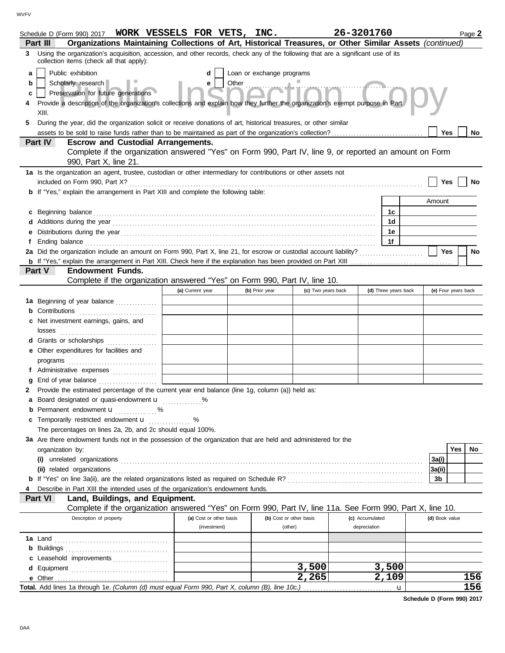| Schedule D (Form 990) 2017 WORK VESSELS FOR VETS, INC.                                                                                                                          |                                         |                           |                                    | 26-3201760                      |                      |                | Page 2              |
|---------------------------------------------------------------------------------------------------------------------------------------------------------------------------------|-----------------------------------------|---------------------------|------------------------------------|---------------------------------|----------------------|----------------|---------------------|
| Organizations Maintaining Collections of Art, Historical Treasures, or Other Similar Assets (continued)<br>Part III<br>3                                                        |                                         |                           |                                    |                                 |                      |                |                     |
| Using the organization's acquisition, accession, and other records, check any of the following that are a significant use of its<br>collection items (check all that apply):    |                                         |                           |                                    |                                 |                      |                |                     |
| Public exhibition<br>a                                                                                                                                                          |                                         | Loan or exchange programs |                                    |                                 |                      |                |                     |
| Scholarly research<br>b                                                                                                                                                         | е                                       | Other                     |                                    |                                 |                      |                |                     |
| Preservation for future generations<br>c<br>Provide a description of the organization's collections and explain how they further the organization's exempt purpose in Part<br>4 |                                         |                           |                                    |                                 |                      |                |                     |
| XIII.                                                                                                                                                                           |                                         |                           |                                    |                                 |                      |                |                     |
| During the year, did the organization solicit or receive donations of art, historical treasures, or other similar<br>5                                                          |                                         |                           |                                    |                                 |                      |                |                     |
| assets to be sold to raise funds rather than to be maintained as part of the organization's collection?                                                                         |                                         |                           |                                    |                                 |                      | Yes            | No                  |
| Part IV<br><b>Escrow and Custodial Arrangements.</b>                                                                                                                            |                                         |                           |                                    |                                 |                      |                |                     |
| Complete if the organization answered "Yes" on Form 990, Part IV, line 9, or reported an amount on Form                                                                         |                                         |                           |                                    |                                 |                      |                |                     |
| 990, Part X, line 21.                                                                                                                                                           |                                         |                           |                                    |                                 |                      |                |                     |
| 1a Is the organization an agent, trustee, custodian or other intermediary for contributions or other assets not                                                                 |                                         |                           |                                    |                                 |                      |                |                     |
|                                                                                                                                                                                 |                                         |                           |                                    |                                 |                      | Yes            | No                  |
| <b>b</b> If "Yes," explain the arrangement in Part XIII and complete the following table:                                                                                       |                                         |                           |                                    |                                 |                      | Amount         |                     |
| Beginning balance                                                                                                                                                               |                                         |                           |                                    |                                 | 1c                   |                |                     |
|                                                                                                                                                                                 |                                         |                           |                                    |                                 | 1d                   |                |                     |
| е                                                                                                                                                                               |                                         |                           |                                    |                                 | 1e                   |                |                     |
| f                                                                                                                                                                               |                                         |                           |                                    |                                 | 1f                   |                |                     |
| 2a Did the organization include an amount on Form 990, Part X, line 21, for escrow or custodial account liability?                                                              |                                         |                           |                                    |                                 |                      | Yes            | No                  |
|                                                                                                                                                                                 |                                         |                           |                                    |                                 |                      |                |                     |
| <b>Endowment Funds.</b><br>Part V                                                                                                                                               |                                         |                           |                                    |                                 |                      |                |                     |
| Complete if the organization answered "Yes" on Form 990, Part IV, line 10.                                                                                                      |                                         |                           |                                    |                                 |                      |                |                     |
|                                                                                                                                                                                 | (a) Current year                        | (b) Prior year            | (c) Two years back                 |                                 | (d) Three years back |                | (e) Four years back |
| 1a Beginning of year balance                                                                                                                                                    |                                         |                           |                                    |                                 |                      |                |                     |
| <b>b</b> Contributions <b>contributions</b>                                                                                                                                     |                                         |                           |                                    |                                 |                      |                |                     |
| c Net investment earnings, gains, and<br>losses                                                                                                                                 |                                         |                           |                                    |                                 |                      |                |                     |
| <b>d</b> Grants or scholarships<br>.                                                                                                                                            |                                         |                           |                                    |                                 |                      |                |                     |
| e Other expenditures for facilities and                                                                                                                                         |                                         |                           |                                    |                                 |                      |                |                     |
| programs $\Box$                                                                                                                                                                 |                                         |                           |                                    |                                 |                      |                |                     |
| f Administrative expenses                                                                                                                                                       |                                         |                           |                                    |                                 |                      |                |                     |
|                                                                                                                                                                                 |                                         |                           |                                    |                                 |                      |                |                     |
| 2 Provide the estimated percentage of the current year end balance (line 1g, column (a)) held as:                                                                               |                                         |                           |                                    |                                 |                      |                |                     |
| a Board designated or quasi-endowment <b>u</b> %                                                                                                                                |                                         |                           |                                    |                                 |                      |                |                     |
| Permanent endowment u                                                                                                                                                           |                                         |                           |                                    |                                 |                      |                |                     |
| c Temporarily restricted endowment <b>u</b> %                                                                                                                                   |                                         |                           |                                    |                                 |                      |                |                     |
| The percentages on lines 2a, 2b, and 2c should equal 100%.<br>3a Are there endowment funds not in the possession of the organization that are held and administered for the     |                                         |                           |                                    |                                 |                      |                |                     |
| organization by:                                                                                                                                                                |                                         |                           |                                    |                                 |                      |                | Yes<br>No.          |
|                                                                                                                                                                                 |                                         |                           |                                    |                                 |                      | 3a(i)          |                     |
|                                                                                                                                                                                 |                                         |                           |                                    |                                 |                      | 3a(ii)         |                     |
|                                                                                                                                                                                 |                                         |                           |                                    |                                 |                      | 3b             |                     |
| Describe in Part XIII the intended uses of the organization's endowment funds.                                                                                                  |                                         |                           |                                    |                                 |                      |                |                     |
| Part VI<br>Land, Buildings, and Equipment.                                                                                                                                      |                                         |                           |                                    |                                 |                      |                |                     |
| Complete if the organization answered "Yes" on Form 990, Part IV, line 11a. See Form 990, Part X, line 10.                                                                      |                                         |                           |                                    |                                 |                      |                |                     |
| Description of property                                                                                                                                                         | (a) Cost or other basis<br>(investment) |                           | (b) Cost or other basis<br>(other) | (c) Accumulated<br>depreciation |                      | (d) Book value |                     |
|                                                                                                                                                                                 |                                         |                           |                                    |                                 |                      |                |                     |
|                                                                                                                                                                                 |                                         |                           |                                    |                                 |                      |                |                     |
| c Leasehold improvements                                                                                                                                                        |                                         |                           |                                    |                                 |                      |                |                     |
|                                                                                                                                                                                 |                                         |                           | 3,500                              |                                 | 3,500                |                |                     |
|                                                                                                                                                                                 |                                         |                           | 2,265                              |                                 | 2,109                |                | 156                 |
|                                                                                                                                                                                 |                                         |                           |                                    |                                 |                      |                | 156                 |

**Schedule D (Form 990) 2017**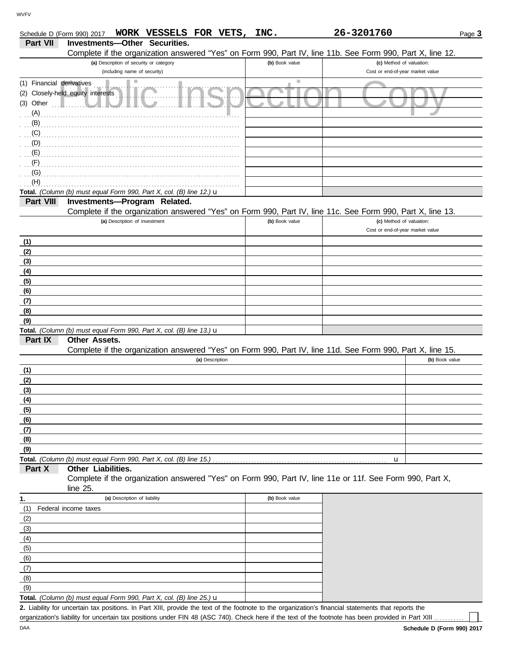|                           | WORK VESSELS FOR VETS,<br>Schedule D (Form 990) 2017                                                       | INC.           | 26-3201760                                                   | Page 3         |
|---------------------------|------------------------------------------------------------------------------------------------------------|----------------|--------------------------------------------------------------|----------------|
| <b>Part VII</b>           | <b>Investments-Other Securities.</b>                                                                       |                |                                                              |                |
|                           | Complete if the organization answered "Yes" on Form 990, Part IV, line 11b. See Form 990, Part X, line 12. |                |                                                              |                |
|                           | (a) Description of security or category<br>(including name of security)                                    | (b) Book value | (c) Method of valuation:<br>Cost or end-of-year market value |                |
| (1) Financial derivatives |                                                                                                            | ш              |                                                              |                |
|                           | (2) Closely-held equity interests                                                                          |                |                                                              |                |
| (3) Other                 |                                                                                                            |                |                                                              |                |
|                           |                                                                                                            |                |                                                              |                |
| (A)                       |                                                                                                            |                |                                                              |                |
| (B)<br>(C)                |                                                                                                            |                |                                                              |                |
| (D)                       |                                                                                                            |                |                                                              |                |
| (E)                       |                                                                                                            |                |                                                              |                |
| (F)                       |                                                                                                            |                |                                                              |                |
| (G)                       |                                                                                                            |                |                                                              |                |
| (H)                       |                                                                                                            |                |                                                              |                |
|                           | Total. (Column (b) must equal Form 990, Part X, col. (B) line 12.) u                                       |                |                                                              |                |
| Part VIII                 | Investments-Program Related.                                                                               |                |                                                              |                |
|                           | Complete if the organization answered "Yes" on Form 990, Part IV, line 11c. See Form 990, Part X, line 13. |                |                                                              |                |
|                           | (a) Description of investment                                                                              | (b) Book value | (c) Method of valuation:                                     |                |
|                           |                                                                                                            |                | Cost or end-of-year market value                             |                |
| (1)                       |                                                                                                            |                |                                                              |                |
| (2)                       |                                                                                                            |                |                                                              |                |
| (3)                       |                                                                                                            |                |                                                              |                |
| (4)                       |                                                                                                            |                |                                                              |                |
| (5)                       |                                                                                                            |                |                                                              |                |
| (6)                       |                                                                                                            |                |                                                              |                |
| (7)                       |                                                                                                            |                |                                                              |                |
| (8)                       |                                                                                                            |                |                                                              |                |
| (9)                       |                                                                                                            |                |                                                              |                |
|                           | Total. (Column (b) must equal Form 990, Part X, col. (B) line 13.) u                                       |                |                                                              |                |
| Part IX                   | Other Assets.                                                                                              |                |                                                              |                |
|                           | Complete if the organization answered "Yes" on Form 990, Part IV, line 11d. See Form 990, Part X, line 15. |                |                                                              |                |
|                           | (a) Description                                                                                            |                |                                                              | (b) Book value |
| (1)                       |                                                                                                            |                |                                                              |                |
| (2)                       |                                                                                                            |                |                                                              |                |
| (3)                       |                                                                                                            |                |                                                              |                |
| (4)                       |                                                                                                            |                |                                                              |                |
| (5)                       |                                                                                                            |                |                                                              |                |
| (6)                       |                                                                                                            |                |                                                              |                |
| (7)                       |                                                                                                            |                |                                                              |                |
| (8)                       |                                                                                                            |                |                                                              |                |
| (9)                       |                                                                                                            |                |                                                              |                |
|                           |                                                                                                            |                | u                                                            |                |
| Part X                    | Other Liabilities.                                                                                         |                |                                                              |                |
|                           | Complete if the organization answered "Yes" on Form 990, Part IV, line 11e or 11f. See Form 990, Part X,   |                |                                                              |                |
|                           | line 25.                                                                                                   |                |                                                              |                |
| 1.                        | (a) Description of liability                                                                               | (b) Book value |                                                              |                |
| (1)                       | Federal income taxes                                                                                       |                |                                                              |                |
| (2)                       |                                                                                                            |                |                                                              |                |
| (3)                       |                                                                                                            |                |                                                              |                |
| (4)                       |                                                                                                            |                |                                                              |                |
| (5)                       |                                                                                                            |                |                                                              |                |
| (6)                       |                                                                                                            |                |                                                              |                |
| (7)                       |                                                                                                            |                |                                                              |                |

**Total.** *(Column (b) must equal Form 990, Part X, col. (B) line 25.)* u

Liability for uncertain tax positions. In Part XIII, provide the text of the footnote to the organization's financial statements that reports the **2.** organization's liability for uncertain tax positions under FIN 48 (ASC 740). Check here if the text of the footnote has been provided in Part XIII.

DAA

(9) (8)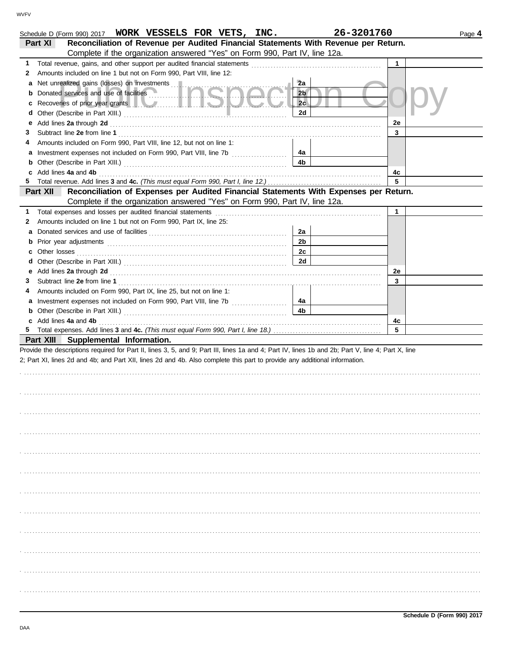|    | Schedule D (Form 990) 2017 WORK VESSELS FOR VETS, INC.                                                                                                                                                                         | 26-3201760     |    | Page 4 |
|----|--------------------------------------------------------------------------------------------------------------------------------------------------------------------------------------------------------------------------------|----------------|----|--------|
|    | Reconciliation of Revenue per Audited Financial Statements With Revenue per Return.<br>Part XI                                                                                                                                 |                |    |        |
|    | Complete if the organization answered "Yes" on Form 990, Part IV, line 12a.                                                                                                                                                    |                |    |        |
| 1. |                                                                                                                                                                                                                                |                | 1  |        |
| 2  | Amounts included on line 1 but not on Form 990, Part VIII, line 12:                                                                                                                                                            |                |    |        |
| a  | Net unrealized gains (losses) on investments                                                                                                                                                                                   | 2a             |    |        |
| b  |                                                                                                                                                                                                                                | 2 <sub>b</sub> |    |        |
| c  | Recoveries of prior year grants <b>the contract of the contract of prior</b>                                                                                                                                                   | 2c             |    |        |
| d  |                                                                                                                                                                                                                                | 2d             |    |        |
| е  | Add lines 2a through 2d [11] Add [12] Add [16] Add lines 2a through 2d [12] Add lines 2a through 2d [12] Add [12] Add [12] Add [12] Add [12] Add [12] Add [12] Add [12] Add [12] Add [12] Add [12] Add [12] Add [12] Add [12]  |                | 2e |        |
| З  |                                                                                                                                                                                                                                |                | 3  |        |
| 4  | Amounts included on Form 990, Part VIII, line 12, but not on line 1:                                                                                                                                                           |                |    |        |
| a  | Investment expenses not included on Form 990, Part VIII, line 7b [100] [100] [100] [100] [100] [100] [100] [100] [100] [100] [100] [100] [100] [100] [100] [100] [100] [100] [100] [100] [100] [100] [100] [100] [100] [100] [ | 4a             |    |        |
| b  |                                                                                                                                                                                                                                | 4b             |    |        |
| c  | Add lines 4a and 4b                                                                                                                                                                                                            |                | 4c |        |
| 5. |                                                                                                                                                                                                                                |                | 5  |        |
|    | Reconciliation of Expenses per Audited Financial Statements With Expenses per Return.<br>Part XII                                                                                                                              |                |    |        |
|    | Complete if the organization answered "Yes" on Form 990, Part IV, line 12a.                                                                                                                                                    |                |    |        |
| 1. |                                                                                                                                                                                                                                |                | 1  |        |
| 2  | Amounts included on line 1 but not on Form 990, Part IX, line 25:                                                                                                                                                              |                |    |        |
| a  |                                                                                                                                                                                                                                | 2a             |    |        |
| b  |                                                                                                                                                                                                                                | 2 <sub>b</sub> |    |        |
| c  |                                                                                                                                                                                                                                | 2c             |    |        |
| d  |                                                                                                                                                                                                                                | 2d             |    |        |
| е  |                                                                                                                                                                                                                                |                | 2e |        |
| З  |                                                                                                                                                                                                                                |                | 3  |        |
| 4  | Amounts included on Form 990, Part IX, line 25, but not on line 1:                                                                                                                                                             |                |    |        |
| а  | Investment expenses not included on Form 990, Part VIII, line 7b [                                                                                                                                                             | 4a             |    |        |
| b  |                                                                                                                                                                                                                                | 4b             |    |        |
|    | c Add lines 4a and 4b                                                                                                                                                                                                          |                | 4c |        |
|    |                                                                                                                                                                                                                                |                | 5  |        |
|    | Part XIII Supplemental Information.                                                                                                                                                                                            |                |    |        |
|    | Provide the descriptions required for Part II, lines 3, 5, and 9; Part III, lines 1a and 4; Part IV, lines 1b and 2b; Part V, line 4; Part X, line                                                                             |                |    |        |
|    | 2; Part XI, lines 2d and 4b; and Part XII, lines 2d and 4b. Also complete this part to provide any additional information.                                                                                                     |                |    |        |
|    |                                                                                                                                                                                                                                |                |    |        |
|    |                                                                                                                                                                                                                                |                |    |        |
|    |                                                                                                                                                                                                                                |                |    |        |
|    |                                                                                                                                                                                                                                |                |    |        |
|    |                                                                                                                                                                                                                                |                |    |        |
|    |                                                                                                                                                                                                                                |                |    |        |
|    |                                                                                                                                                                                                                                |                |    |        |
|    |                                                                                                                                                                                                                                |                |    |        |
|    |                                                                                                                                                                                                                                |                |    |        |
|    |                                                                                                                                                                                                                                |                |    |        |
|    |                                                                                                                                                                                                                                |                |    |        |
|    |                                                                                                                                                                                                                                |                |    |        |
|    |                                                                                                                                                                                                                                |                |    |        |
|    |                                                                                                                                                                                                                                |                |    |        |
|    |                                                                                                                                                                                                                                |                |    |        |
|    |                                                                                                                                                                                                                                |                |    |        |
|    |                                                                                                                                                                                                                                |                |    |        |
|    |                                                                                                                                                                                                                                |                |    |        |
|    |                                                                                                                                                                                                                                |                |    |        |
|    |                                                                                                                                                                                                                                |                |    |        |
|    |                                                                                                                                                                                                                                |                |    |        |
|    |                                                                                                                                                                                                                                |                |    |        |
|    |                                                                                                                                                                                                                                |                |    |        |
|    |                                                                                                                                                                                                                                |                |    |        |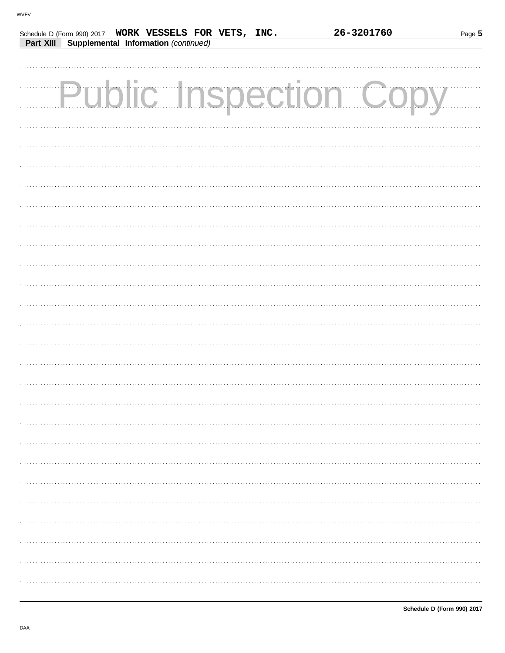| Part XIII | Supplemental Information (continued) | Schedule D (Form 990) 2017 WORK VESSELS FOR VETS, INC. | 26-3201760             | Page 5 |
|-----------|--------------------------------------|--------------------------------------------------------|------------------------|--------|
|           |                                      |                                                        |                        |        |
|           |                                      |                                                        |                        |        |
|           |                                      |                                                        |                        |        |
|           |                                      |                                                        | Public Inspection Copy |        |
|           |                                      |                                                        |                        |        |
|           |                                      |                                                        |                        |        |
|           |                                      |                                                        |                        |        |
|           |                                      |                                                        |                        |        |
|           |                                      |                                                        |                        |        |
|           |                                      |                                                        |                        |        |
|           |                                      |                                                        |                        |        |
|           |                                      |                                                        |                        |        |
|           |                                      |                                                        |                        |        |
|           |                                      |                                                        |                        |        |
|           |                                      |                                                        |                        |        |
|           |                                      |                                                        |                        |        |
|           |                                      |                                                        |                        |        |
|           |                                      |                                                        |                        |        |
|           |                                      |                                                        |                        |        |
|           |                                      |                                                        |                        |        |
|           |                                      |                                                        |                        |        |
|           |                                      |                                                        |                        |        |
|           |                                      |                                                        |                        |        |
|           |                                      |                                                        |                        |        |
|           |                                      |                                                        |                        |        |
|           |                                      |                                                        |                        |        |
|           |                                      |                                                        |                        |        |
|           |                                      |                                                        |                        |        |
|           |                                      |                                                        |                        |        |
|           |                                      |                                                        |                        |        |
|           |                                      |                                                        |                        |        |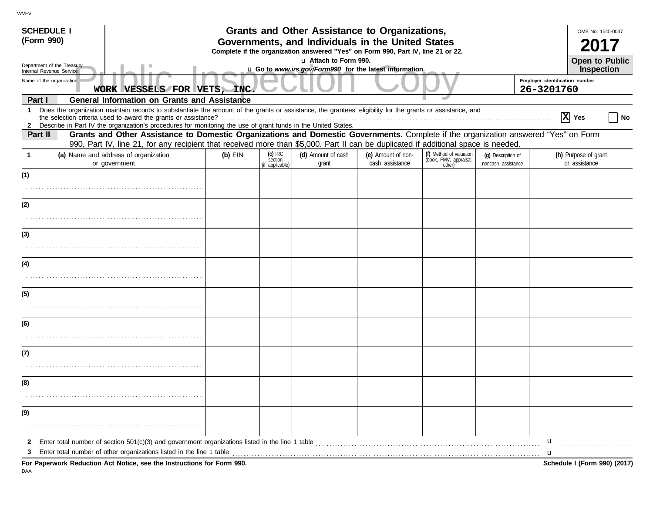| <b>SCHEDULE I</b>                                      |                                                                                                                                                                                                                                                        |                             |                                                                                                            | Grants and Other Assistance to Organizations, |                                       |                                                             |                                              |   | OMB No. 1545-0047                          |
|--------------------------------------------------------|--------------------------------------------------------------------------------------------------------------------------------------------------------------------------------------------------------------------------------------------------------|-----------------------------|------------------------------------------------------------------------------------------------------------|-----------------------------------------------|---------------------------------------|-------------------------------------------------------------|----------------------------------------------|---|--------------------------------------------|
| (Form 990)                                             |                                                                                                                                                                                                                                                        |                             | Governments, and Individuals in the United States                                                          |                                               |                                       |                                                             |                                              |   |                                            |
|                                                        |                                                                                                                                                                                                                                                        |                             | Complete if the organization answered "Yes" on Form 990, Part IV, line 21 or 22.<br>La Attach to Form 990. |                                               |                                       |                                                             |                                              |   |                                            |
| Department of the Treasury<br>Internal Revenue Service |                                                                                                                                                                                                                                                        |                             | u Go to www.irs.gov/Form990 for the latest information.                                                    |                                               |                                       |                                                             |                                              |   | <b>Open to Public</b><br><b>Inspection</b> |
|                                                        | Name of the organization                                                                                                                                                                                                                               | WORK VESSELS FOR VETS, INC. |                                                                                                            |                                               |                                       |                                                             | Employer identification number<br>26-3201760 |   |                                            |
| Part I                                                 | <b>General Information on Grants and Assistance</b>                                                                                                                                                                                                    |                             |                                                                                                            |                                               |                                       |                                                             |                                              |   |                                            |
|                                                        | 1 Does the organization maintain records to substantiate the amount of the grants or assistance, the grantees' eligibility for the grants or assistance, and                                                                                           |                             |                                                                                                            |                                               |                                       |                                                             |                                              |   | $ X $ Yes<br>No                            |
| Part II                                                | 2 Describe in Part IV the organization's procedures for monitoring the use of grant funds in the United States.<br>Grants and Other Assistance to Domestic Organizations and Domestic Governments. Complete if the organization answered "Yes" on Form |                             |                                                                                                            |                                               |                                       |                                                             |                                              |   |                                            |
|                                                        | 990, Part IV, line 21, for any recipient that received more than \$5,000. Part II can be duplicated if additional space is needed.                                                                                                                     |                             |                                                                                                            |                                               |                                       |                                                             |                                              |   |                                            |
|                                                        | (a) Name and address of organization<br>or government                                                                                                                                                                                                  | $(b)$ EIN                   | $(c)$ IRC<br>section<br>(if applicable)                                                                    | (d) Amount of cash<br>grant                   | (e) Amount of non-<br>cash assistance | (f) Method of valuation<br>(book, FMV, appraisal,<br>other) | (q) Description of<br>noncash assistance     |   | (h) Purpose of grant<br>or assistance      |
| (1)                                                    |                                                                                                                                                                                                                                                        |                             |                                                                                                            |                                               |                                       |                                                             |                                              |   |                                            |
|                                                        |                                                                                                                                                                                                                                                        |                             |                                                                                                            |                                               |                                       |                                                             |                                              |   |                                            |
| (2)                                                    |                                                                                                                                                                                                                                                        |                             |                                                                                                            |                                               |                                       |                                                             |                                              |   |                                            |
|                                                        |                                                                                                                                                                                                                                                        |                             |                                                                                                            |                                               |                                       |                                                             |                                              |   |                                            |
| (3)                                                    |                                                                                                                                                                                                                                                        |                             |                                                                                                            |                                               |                                       |                                                             |                                              |   |                                            |
|                                                        |                                                                                                                                                                                                                                                        |                             |                                                                                                            |                                               |                                       |                                                             |                                              |   |                                            |
| (4)                                                    |                                                                                                                                                                                                                                                        |                             |                                                                                                            |                                               |                                       |                                                             |                                              |   |                                            |
|                                                        |                                                                                                                                                                                                                                                        |                             |                                                                                                            |                                               |                                       |                                                             |                                              |   |                                            |
| (5)                                                    |                                                                                                                                                                                                                                                        |                             |                                                                                                            |                                               |                                       |                                                             |                                              |   |                                            |
|                                                        |                                                                                                                                                                                                                                                        |                             |                                                                                                            |                                               |                                       |                                                             |                                              |   |                                            |
| (6)                                                    |                                                                                                                                                                                                                                                        |                             |                                                                                                            |                                               |                                       |                                                             |                                              |   |                                            |
|                                                        |                                                                                                                                                                                                                                                        |                             |                                                                                                            |                                               |                                       |                                                             |                                              |   |                                            |
| (7)                                                    |                                                                                                                                                                                                                                                        |                             |                                                                                                            |                                               |                                       |                                                             |                                              |   |                                            |
|                                                        |                                                                                                                                                                                                                                                        |                             |                                                                                                            |                                               |                                       |                                                             |                                              |   |                                            |
| (8)                                                    |                                                                                                                                                                                                                                                        |                             |                                                                                                            |                                               |                                       |                                                             |                                              |   |                                            |
|                                                        |                                                                                                                                                                                                                                                        |                             |                                                                                                            |                                               |                                       |                                                             |                                              |   |                                            |
| (9)                                                    |                                                                                                                                                                                                                                                        |                             |                                                                                                            |                                               |                                       |                                                             |                                              |   |                                            |
|                                                        |                                                                                                                                                                                                                                                        |                             |                                                                                                            |                                               |                                       |                                                             |                                              |   |                                            |
| $\mathbf{2}$                                           |                                                                                                                                                                                                                                                        |                             |                                                                                                            |                                               |                                       |                                                             |                                              | u |                                            |
| 3                                                      | Enter total number of other organizations listed in the line 1 table<br>For Paperwork Reduction Act Notice, see the Instructions for Form 990.                                                                                                         |                             |                                                                                                            |                                               |                                       |                                                             |                                              | u | Schedule I (Form 990) (2017)               |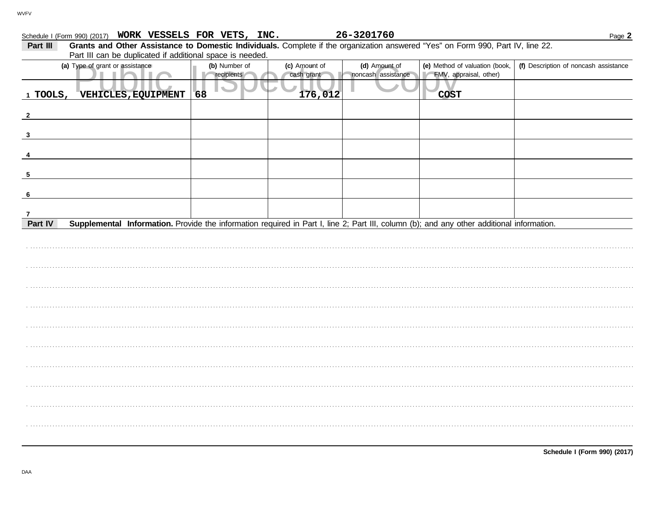| Schedule I (Form 990) (2017) WORK VESSELS FOR VETS, INC.                                                                                                               |               |               | 26-3201760         |                                | Page 2                                |  |  |  |  |
|------------------------------------------------------------------------------------------------------------------------------------------------------------------------|---------------|---------------|--------------------|--------------------------------|---------------------------------------|--|--|--|--|
| Grants and Other Assistance to Domestic Individuals. Complete if the organization answered "Yes" on Form 990, Part IV, line 22.<br>Part III                            |               |               |                    |                                |                                       |  |  |  |  |
| Part III can be duplicated if additional space is needed.                                                                                                              |               |               |                    |                                |                                       |  |  |  |  |
| (a) Type of grant or assistance                                                                                                                                        | (b) Number of | (c) Amount of | (d) Amount of      | (e) Method of valuation (book, | (f) Description of noncash assistance |  |  |  |  |
|                                                                                                                                                                        | recipients    | cash grant    | noncash assistance | FMV, appraisal, other)         |                                       |  |  |  |  |
| 1 TOOLS,<br><b>VEHICLES, EQUIPMENT</b>                                                                                                                                 | 68            | 176,012       |                    | <b>COST</b>                    |                                       |  |  |  |  |
|                                                                                                                                                                        |               |               |                    |                                |                                       |  |  |  |  |
|                                                                                                                                                                        |               |               |                    |                                |                                       |  |  |  |  |
|                                                                                                                                                                        |               |               |                    |                                |                                       |  |  |  |  |
| $\mathbf{3}$                                                                                                                                                           |               |               |                    |                                |                                       |  |  |  |  |
|                                                                                                                                                                        |               |               |                    |                                |                                       |  |  |  |  |
|                                                                                                                                                                        |               |               |                    |                                |                                       |  |  |  |  |
|                                                                                                                                                                        |               |               |                    |                                |                                       |  |  |  |  |
|                                                                                                                                                                        |               |               |                    |                                |                                       |  |  |  |  |
|                                                                                                                                                                        |               |               |                    |                                |                                       |  |  |  |  |
| -6                                                                                                                                                                     |               |               |                    |                                |                                       |  |  |  |  |
|                                                                                                                                                                        |               |               |                    |                                |                                       |  |  |  |  |
| $\overline{7}$<br>Supplemental Information. Provide the information required in Part I, line 2; Part III, column (b); and any other additional information.<br>Part IV |               |               |                    |                                |                                       |  |  |  |  |
|                                                                                                                                                                        |               |               |                    |                                |                                       |  |  |  |  |
|                                                                                                                                                                        |               |               |                    |                                |                                       |  |  |  |  |
|                                                                                                                                                                        |               |               |                    |                                |                                       |  |  |  |  |
|                                                                                                                                                                        |               |               |                    |                                |                                       |  |  |  |  |
|                                                                                                                                                                        |               |               |                    |                                |                                       |  |  |  |  |
|                                                                                                                                                                        |               |               |                    |                                |                                       |  |  |  |  |
|                                                                                                                                                                        |               |               |                    |                                |                                       |  |  |  |  |
|                                                                                                                                                                        |               |               |                    |                                |                                       |  |  |  |  |
|                                                                                                                                                                        |               |               |                    |                                |                                       |  |  |  |  |
|                                                                                                                                                                        |               |               |                    |                                |                                       |  |  |  |  |
|                                                                                                                                                                        |               |               |                    |                                |                                       |  |  |  |  |
|                                                                                                                                                                        |               |               |                    |                                |                                       |  |  |  |  |
|                                                                                                                                                                        |               |               |                    |                                |                                       |  |  |  |  |
|                                                                                                                                                                        |               |               |                    |                                |                                       |  |  |  |  |
|                                                                                                                                                                        |               |               |                    |                                |                                       |  |  |  |  |
|                                                                                                                                                                        |               |               |                    |                                |                                       |  |  |  |  |
|                                                                                                                                                                        |               |               |                    |                                |                                       |  |  |  |  |
|                                                                                                                                                                        |               |               |                    |                                |                                       |  |  |  |  |
|                                                                                                                                                                        |               |               |                    |                                |                                       |  |  |  |  |
|                                                                                                                                                                        |               |               |                    |                                |                                       |  |  |  |  |
|                                                                                                                                                                        |               |               |                    |                                |                                       |  |  |  |  |
|                                                                                                                                                                        |               |               |                    |                                |                                       |  |  |  |  |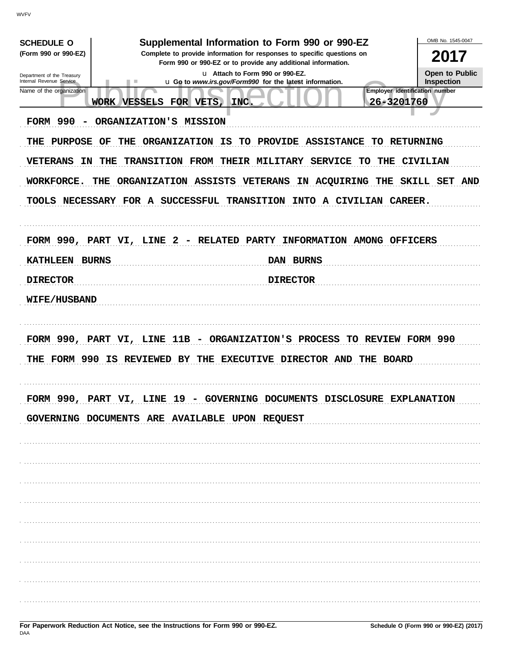| <b>SCHEDULE O</b>                                    |                                                                         | Supplemental Information to Form 990 or 990-EZ                                                  | OMB No. 1545-0047                            |
|------------------------------------------------------|-------------------------------------------------------------------------|-------------------------------------------------------------------------------------------------|----------------------------------------------|
| (Form 990 or 990-EZ)                                 | 2017                                                                    |                                                                                                 |                                              |
| Department of the Treasury                           |                                                                         | Form 990 or 990-EZ or to provide any additional information.<br>u Attach to Form 990 or 990-EZ. | <b>Open to Public</b>                        |
| Internal Revenue Service<br>Name of the organization |                                                                         | u Go to www.irs.gov/Form990 for the latest information.                                         | Inspection<br>Employer identification number |
|                                                      | FOR VETS.<br>WORK VESSELS<br>INC.                                       |                                                                                                 | 26-3201760                                   |
| <b>FORM 990</b>                                      | ORGANIZATION'S MISSION                                                  |                                                                                                 |                                              |
| PURPOSE<br>THE                                       | ORGANIZATION<br>IS<br>OF<br>THE                                         | TO<br>PROVIDE ASSISTANCE TO RETURNING                                                           |                                              |
| VETERANS<br>ΙN                                       | <b>TRANSITION FROM THEIR</b><br>THE                                     | <b>MILITARY</b><br><b>SERVICE</b><br>TO.                                                        | THE<br><b>CIVILIAN</b>                       |
| WORKFORCE.                                           | THE ORGANIZATION ASSISTS VETERANS                                       | IN ACQUIRING<br>THE                                                                             | SKILL SET AND                                |
|                                                      | TOOLS NECESSARY FOR A SUCCESSFUL TRANSITION INTO A CIVILIAN CAREER.     |                                                                                                 |                                              |
|                                                      |                                                                         |                                                                                                 |                                              |
|                                                      |                                                                         |                                                                                                 |                                              |
|                                                      | FORM 990, PART VI, LINE 2 - RELATED PARTY INFORMATION AMONG OFFICERS    |                                                                                                 |                                              |
| <b>KATHLEEN BURNS</b>                                |                                                                         | <b>DAN BURNS</b>                                                                                |                                              |
| <b>DIRECTOR</b>                                      |                                                                         | <b>DIRECTOR</b>                                                                                 |                                              |
| <b>WIFE/HUSBAND</b>                                  |                                                                         |                                                                                                 |                                              |
|                                                      |                                                                         |                                                                                                 |                                              |
|                                                      | FORM 990, PART VI, LINE 11B - ORGANIZATION'S PROCESS TO REVIEW FORM 990 |                                                                                                 |                                              |
|                                                      |                                                                         |                                                                                                 |                                              |
| THE                                                  | FORM 990 IS REVIEWED BY<br>THE                                          | <b>EXECUTIVE DIRECTOR AND THE BOARD</b>                                                         |                                              |
|                                                      |                                                                         |                                                                                                 |                                              |
| <b>FORM 990</b>                                      | PART VI<br>LINE<br>19<br><b>GOVERNING</b>                               | DOCUMENTS DISCLOSURE EXPLANATION                                                                |                                              |
|                                                      | GOVERNING DOCUMENTS ARE AVAILABLE UPON REQUEST                          |                                                                                                 |                                              |
|                                                      |                                                                         |                                                                                                 |                                              |
|                                                      |                                                                         |                                                                                                 |                                              |
|                                                      |                                                                         |                                                                                                 |                                              |
|                                                      |                                                                         |                                                                                                 |                                              |
|                                                      |                                                                         |                                                                                                 |                                              |
|                                                      |                                                                         |                                                                                                 |                                              |
|                                                      |                                                                         |                                                                                                 |                                              |
|                                                      |                                                                         |                                                                                                 |                                              |
|                                                      |                                                                         |                                                                                                 |                                              |
|                                                      |                                                                         |                                                                                                 |                                              |
|                                                      |                                                                         |                                                                                                 |                                              |
|                                                      |                                                                         |                                                                                                 |                                              |